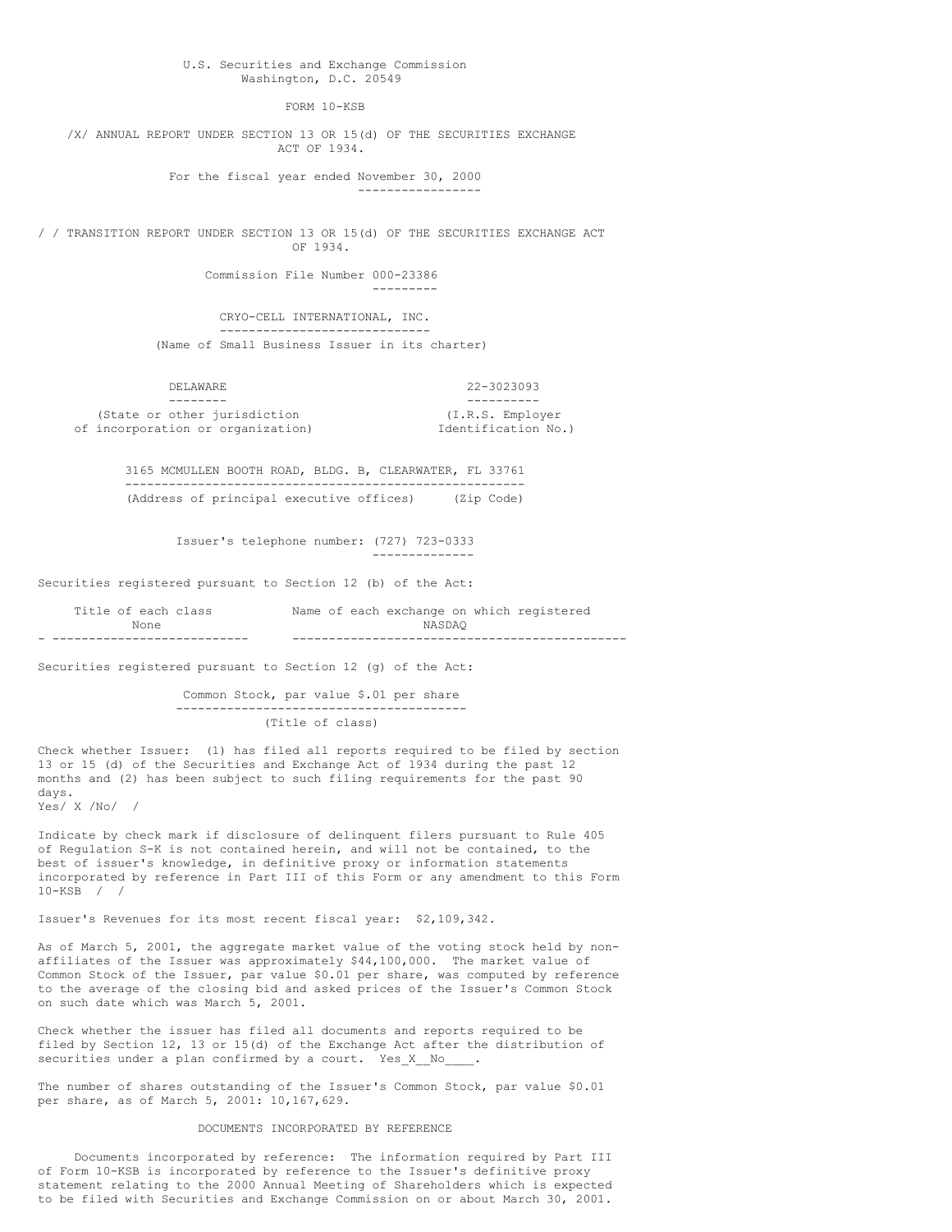## U.S. Securities and Exchange Commission Washington, D.C. 20549

FORM 10-KSB

/X/ ANNUAL REPORT UNDER SECTION 13 OR 15(d) OF THE SECURITIES EXCHANGE ACT OF 1934.

> For the fiscal year ended November 30, 2000 -----------------

/ / TRANSITION REPORT UNDER SECTION 13 OR 15(d) OF THE SECURITIES EXCHANGE ACT OF 1934.

Commission File Number 000-23386

---------

CRYO-CELL INTERNATIONAL, INC. -----------------------------

(Name of Small Business Issuer in its charter)

| DELAWARE.                                                         | 22-3023093                              |  |  |
|-------------------------------------------------------------------|-----------------------------------------|--|--|
|                                                                   |                                         |  |  |
| (State or other jurisdiction<br>of incorporation or organization) | (I.R.S. Emplover<br>Identification No.) |  |  |

3165 MCMULLEN BOOTH ROAD, BLDG. B, CLEARWATER, FL 33761 ------------------------------------------------------- (Address of principal executive offices) (Zip Code)

> Issuer's telephone number: (727) 723-0333 --------------

Securities registered pursuant to Section 12 (b) of the Act:

| None                | NASDAO                                    |
|---------------------|-------------------------------------------|
| Title of each class | Name of each exchange on which registered |

Securities registered pursuant to Section 12 (g) of the Act:

Common Stock, par value \$.01 per share ---------------------------------------- (Title of class)

Check whether Issuer: (1) has filed all reports required to be filed by section 13 or 15 (d) of the Securities and Exchange Act of 1934 during the past 12 months and (2) has been subject to such filing requirements for the past 90 days. Yes/ X /No/ /

Indicate by check mark if disclosure of delinquent filers pursuant to Rule 405 of Regulation S-K is not contained herein, and will not be contained, to the best of issuer's knowledge, in definitive proxy or information statements incorporated by reference in Part III of this Form or any amendment to this Form 10-KSB / /

Issuer's Revenues for its most recent fiscal year: \$2,109,342.

As of March 5, 2001, the aggregate market value of the voting stock held by nonaffiliates of the Issuer was approximately \$44,100,000. The market value of Common Stock of the Issuer, par value \$0.01 per share, was computed by reference to the average of the closing bid and asked prices of the Issuer's Common Stock on such date which was March 5, 2001.

Check whether the issuer has filed all documents and reports required to be filed by Section 12, 13 or 15(d) of the Exchange Act after the distribution of securities under a plan confirmed by a court. Yes\_X\_No\_

The number of shares outstanding of the Issuer's Common Stock, par value \$0.01 per share, as of March 5, 2001: 10,167,629.

## DOCUMENTS INCORPORATED BY REFERENCE

Documents incorporated by reference: The information required by Part III of Form 10-KSB is incorporated by reference to the Issuer's definitive proxy statement relating to the 2000 Annual Meeting of Shareholders which is expected to be filed with Securities and Exchange Commission on or about March 30, 2001.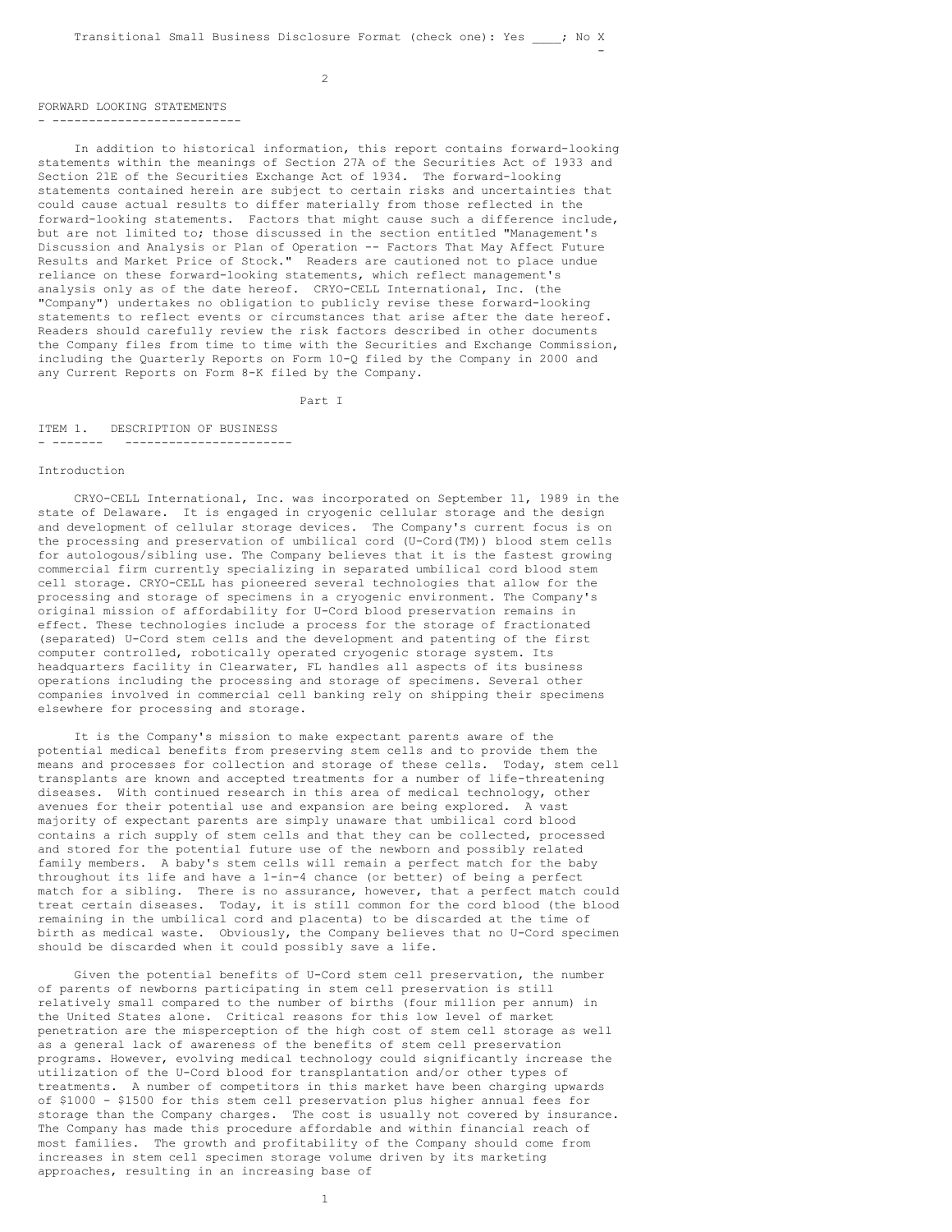-

## FORWARD LOOKING STATEMENTS

. **-----------------------**

In addition to historical information, this report contains forward-looking statements within the meanings of Section 27A of the Securities Act of 1933 and Section 21E of the Securities Exchange Act of 1934. The forward-looking statements contained herein are subject to certain risks and uncertainties that could cause actual results to differ materially from those reflected in the forward-looking statements. Factors that might cause such a difference include, but are not limited to; those discussed in the section entitled "Management's Discussion and Analysis or Plan of Operation -- Factors That May Affect Future Results and Market Price of Stock." Readers are cautioned not to place undue reliance on these forward-looking statements, which reflect management's analysis only as of the date hereof. CRYO-CELL International, Inc. (the "Company") undertakes no obligation to publicly revise these forward-looking statements to reflect events or circumstances that arise after the date hereof. Readers should carefully review the risk factors described in other documents the Company files from time to time with the Securities and Exchange Commission, including the Quarterly Reports on Form 10-Q filed by the Company in 2000 and any Current Reports on Form 8-K filed by the Company.

Part I

#### ITEM 1. DESCRIPTION OF BUSINESS - ------- -----------------------

#### Introduction

CRYO-CELL International, Inc. was incorporated on September 11, 1989 in the state of Delaware. It is engaged in cryogenic cellular storage and the design and development of cellular storage devices. The Company's current focus is on the processing and preservation of umbilical cord (U-Cord(TM)) blood stem cells for autologous/sibling use. The Company believes that it is the fastest growing commercial firm currently specializing in separated umbilical cord blood stem cell storage. CRYO-CELL has pioneered several technologies that allow for the processing and storage of specimens in a cryogenic environment. The Company's original mission of affordability for U-Cord blood preservation remains in effect. These technologies include a process for the storage of fractionated (separated) U-Cord stem cells and the development and patenting of the first computer controlled, robotically operated cryogenic storage system. Its headquarters facility in Clearwater, FL handles all aspects of its business operations including the processing and storage of specimens. Several other companies involved in commercial cell banking rely on shipping their specimens elsewhere for processing and storage.

It is the Company's mission to make expectant parents aware of the potential medical benefits from preserving stem cells and to provide them the means and processes for collection and storage of these cells. Today, stem cell transplants are known and accepted treatments for a number of life-threatening diseases. With continued research in this area of medical technology, other avenues for their potential use and expansion are being explored. A vast majority of expectant parents are simply unaware that umbilical cord blood contains a rich supply of stem cells and that they can be collected, processed and stored for the potential future use of the newborn and possibly related family members. A baby's stem cells will remain a perfect match for the baby throughout its life and have a 1-in-4 chance (or better) of being a perfect match for a sibling. There is no assurance, however, that a perfect match could treat certain diseases. Today, it is still common for the cord blood (the blood remaining in the umbilical cord and placenta) to be discarded at the time of birth as medical waste. Obviously, the Company believes that no U-Cord specimen should be discarded when it could possibly save a life.

Given the potential benefits of U-Cord stem cell preservation, the number of parents of newborns participating in stem cell preservation is still relatively small compared to the number of births (four million per annum) in the United States alone. Critical reasons for this low level of market penetration are the misperception of the high cost of stem cell storage as well as a general lack of awareness of the benefits of stem cell preservation programs. However, evolving medical technology could significantly increase the utilization of the U-Cord blood for transplantation and/or other types of treatments. A number of competitors in this market have been charging upwards of \$1000 - \$1500 for this stem cell preservation plus higher annual fees for storage than the Company charges. The cost is usually not covered by insurance. The Company has made this procedure affordable and within financial reach of most families. The growth and profitability of the Company should come from increases in stem cell specimen storage volume driven by its marketing approaches, resulting in an increasing base of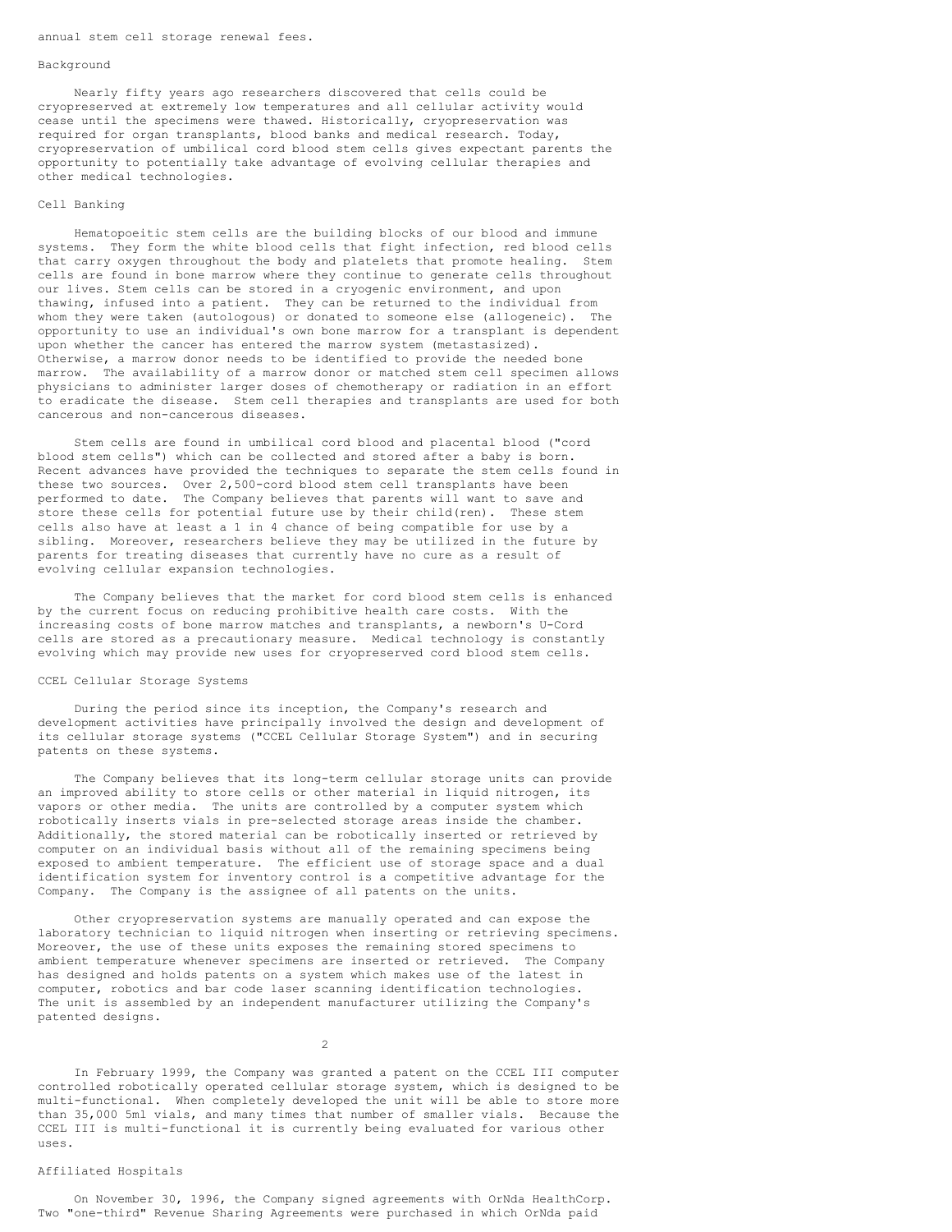#### annual stem cell storage renewal fees.

#### Background

Nearly fifty years ago researchers discovered that cells could be cryopreserved at extremely low temperatures and all cellular activity would cease until the specimens were thawed. Historically, cryopreservation was required for organ transplants, blood banks and medical research. Today, cryopreservation of umbilical cord blood stem cells gives expectant parents the opportunity to potentially take advantage of evolving cellular therapies and other medical technologies.

## Cell Banking

Hematopoeitic stem cells are the building blocks of our blood and immune systems. They form the white blood cells that fight infection, red blood cells that carry oxygen throughout the body and platelets that promote healing. Stem cells are found in bone marrow where they continue to generate cells throughout our lives. Stem cells can be stored in a cryogenic environment, and upon thawing, infused into a patient. They can be returned to the individual from whom they were taken (autologous) or donated to someone else (allogeneic). The opportunity to use an individual's own bone marrow for a transplant is dependent upon whether the cancer has entered the marrow system (metastasized). Otherwise, a marrow donor needs to be identified to provide the needed bone marrow. The availability of a marrow donor or matched stem cell specimen allows physicians to administer larger doses of chemotherapy or radiation in an effort to eradicate the disease. Stem cell therapies and transplants are used for both cancerous and non-cancerous diseases.

Stem cells are found in umbilical cord blood and placental blood ("cord blood stem cells") which can be collected and stored after a baby is born. Recent advances have provided the techniques to separate the stem cells found in these two sources. Over 2,500-cord blood stem cell transplants have been performed to date. The Company believes that parents will want to save and store these cells for potential future use by their child(ren). These stem cells also have at least a 1 in 4 chance of being compatible for use by a sibling. Moreover, researchers believe they may be utilized in the future by parents for treating diseases that currently have no cure as a result of evolving cellular expansion technologies.

The Company believes that the market for cord blood stem cells is enhanced by the current focus on reducing prohibitive health care costs. With the increasing costs of bone marrow matches and transplants, a newborn's U-Cord cells are stored as a precautionary measure. Medical technology is constantly evolving which may provide new uses for cryopreserved cord blood stem cells.

#### CCEL Cellular Storage Systems

During the period since its inception, the Company's research and development activities have principally involved the design and development of its cellular storage systems ("CCEL Cellular Storage System") and in securing patents on these systems.

The Company believes that its long-term cellular storage units can provide an improved ability to store cells or other material in liquid nitrogen, its vapors or other media. The units are controlled by a computer system which robotically inserts vials in pre-selected storage areas inside the chamber. Additionally, the stored material can be robotically inserted or retrieved by computer on an individual basis without all of the remaining specimens being exposed to ambient temperature. The efficient use of storage space and a dual identification system for inventory control is a competitive advantage for the Company. The Company is the assignee of all patents on the units.

Other cryopreservation systems are manually operated and can expose the laboratory technician to liquid nitrogen when inserting or retrieving specimens. Moreover, the use of these units exposes the remaining stored specimens to ambient temperature whenever specimens are inserted or retrieved. The Company has designed and holds patents on a system which makes use of the latest in computer, robotics and bar code laser scanning identification technologies. The unit is assembled by an independent manufacturer utilizing the Company's patented designs.

 $\overline{2}$ 

In February 1999, the Company was granted a patent on the CCEL III computer controlled robotically operated cellular storage system, which is designed to be multi-functional. When completely developed the unit will be able to store more than 35,000 5ml vials, and many times that number of smaller vials. Because the CCEL III is multi-functional it is currently being evaluated for various other uses.

## Affiliated Hospitals

On November 30, 1996, the Company signed agreements with OrNda HealthCorp. Two "one-third" Revenue Sharing Agreements were purchased in which OrNda paid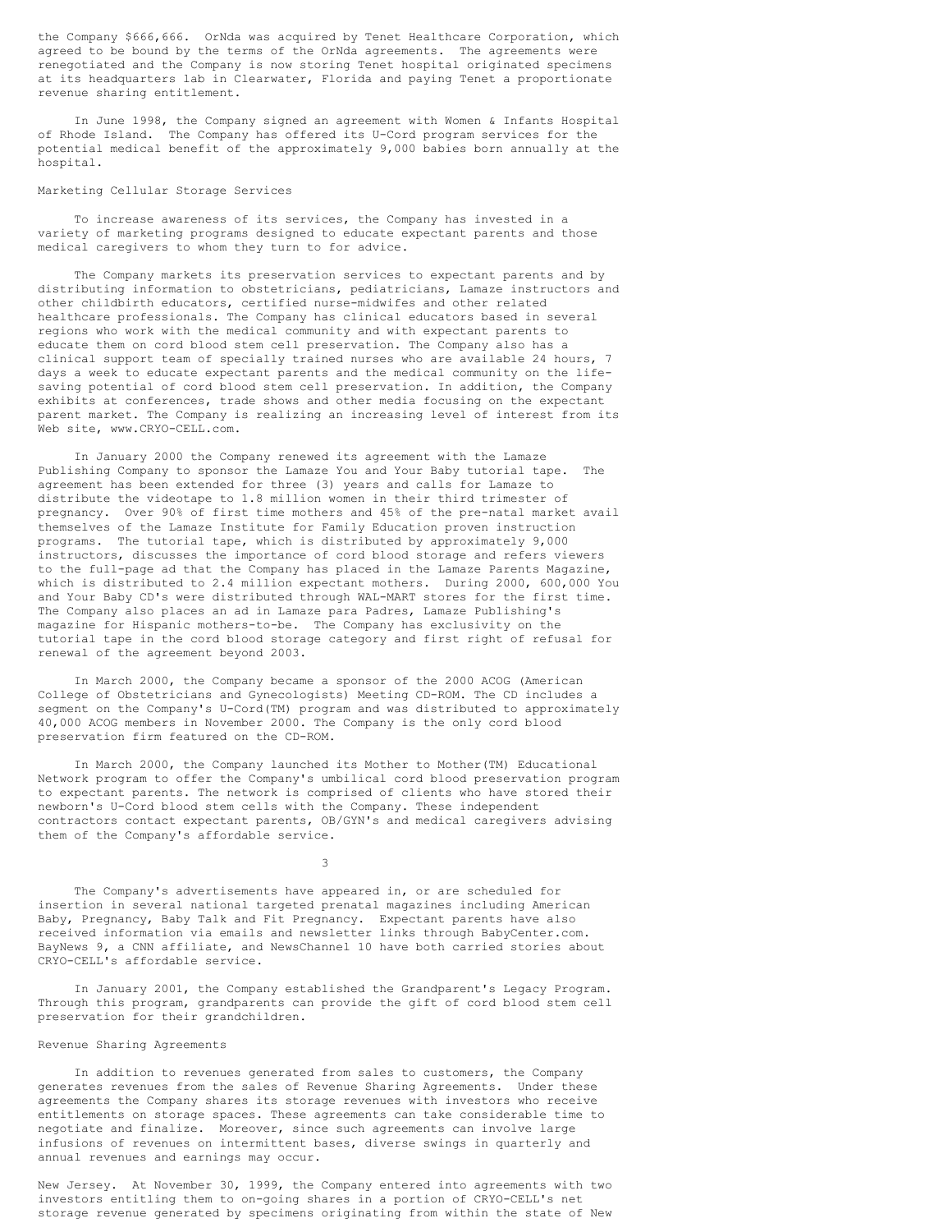the Company \$666,666. OrNda was acquired by Tenet Healthcare Corporation, which agreed to be bound by the terms of the OrNda agreements. The agreements were renegotiated and the Company is now storing Tenet hospital originated specimens at its headquarters lab in Clearwater, Florida and paying Tenet a proportionate revenue sharing entitlement.

In June 1998, the Company signed an agreement with Women & Infants Hospital of Rhode Island. The Company has offered its U-Cord program services for the potential medical benefit of the approximately 9,000 babies born annually at the hospital.

## Marketing Cellular Storage Services

To increase awareness of its services, the Company has invested in a variety of marketing programs designed to educate expectant parents and those medical caregivers to whom they turn to for advice.

The Company markets its preservation services to expectant parents and by distributing information to obstetricians, pediatricians, Lamaze instructors and other childbirth educators, certified nurse-midwifes and other related healthcare professionals. The Company has clinical educators based in several regions who work with the medical community and with expectant parents to educate them on cord blood stem cell preservation. The Company also has a clinical support team of specially trained nurses who are available 24 hours, 7 days a week to educate expectant parents and the medical community on the lifesaving potential of cord blood stem cell preservation. In addition, the Company exhibits at conferences, trade shows and other media focusing on the expectant parent market. The Company is realizing an increasing level of interest from its Web site, www.CRYO-CELL.com.

In January 2000 the Company renewed its agreement with the Lamaze Publishing Company to sponsor the Lamaze You and Your Baby tutorial tape. The agreement has been extended for three (3) years and calls for Lamaze to distribute the videotape to 1.8 million women in their third trimester of pregnancy. Over 90% of first time mothers and 45% of the pre-natal market avail themselves of the Lamaze Institute for Family Education proven instruction programs. The tutorial tape, which is distributed by approximately 9,000 instructors, discusses the importance of cord blood storage and refers viewers to the full-page ad that the Company has placed in the Lamaze Parents Magazine, which is distributed to 2.4 million expectant mothers. During 2000, 600,000 You and Your Baby CD's were distributed through WAL-MART stores for the first time. The Company also places an ad in Lamaze para Padres, Lamaze Publishing's magazine for Hispanic mothers-to-be. The Company has exclusivity on the tutorial tape in the cord blood storage category and first right of refusal for renewal of the agreement beyond 2003.

In March 2000, the Company became a sponsor of the 2000 ACOG (American College of Obstetricians and Gynecologists) Meeting CD-ROM. The CD includes a segment on the Company's U-Cord(TM) program and was distributed to approximately 40,000 ACOG members in November 2000. The Company is the only cord blood preservation firm featured on the CD-ROM.

In March 2000, the Company launched its Mother to Mother(TM) Educational Network program to offer the Company's umbilical cord blood preservation program to expectant parents. The network is comprised of clients who have stored their newborn's U-Cord blood stem cells with the Company. These independent contractors contact expectant parents, OB/GYN's and medical caregivers advising them of the Company's affordable service.

3

The Company's advertisements have appeared in, or are scheduled for insertion in several national targeted prenatal magazines including American Baby, Pregnancy, Baby Talk and Fit Pregnancy. Expectant parents have also received information via emails and newsletter links through BabyCenter.com. BayNews 9, a CNN affiliate, and NewsChannel 10 have both carried stories about CRYO-CELL's affordable service.

In January 2001, the Company established the Grandparent's Legacy Program. Through this program, grandparents can provide the gift of cord blood stem cell preservation for their grandchildren.

## Revenue Sharing Agreements

In addition to revenues generated from sales to customers, the Company generates revenues from the sales of Revenue Sharing Agreements. Under these agreements the Company shares its storage revenues with investors who receive entitlements on storage spaces. These agreements can take considerable time to negotiate and finalize. Moreover, since such agreements can involve large infusions of revenues on intermittent bases, diverse swings in quarterly and annual revenues and earnings may occur.

New Jersey. At November 30, 1999, the Company entered into agreements with two investors entitling them to on-going shares in a portion of CRYO-CELL's net storage revenue generated by specimens originating from within the state of New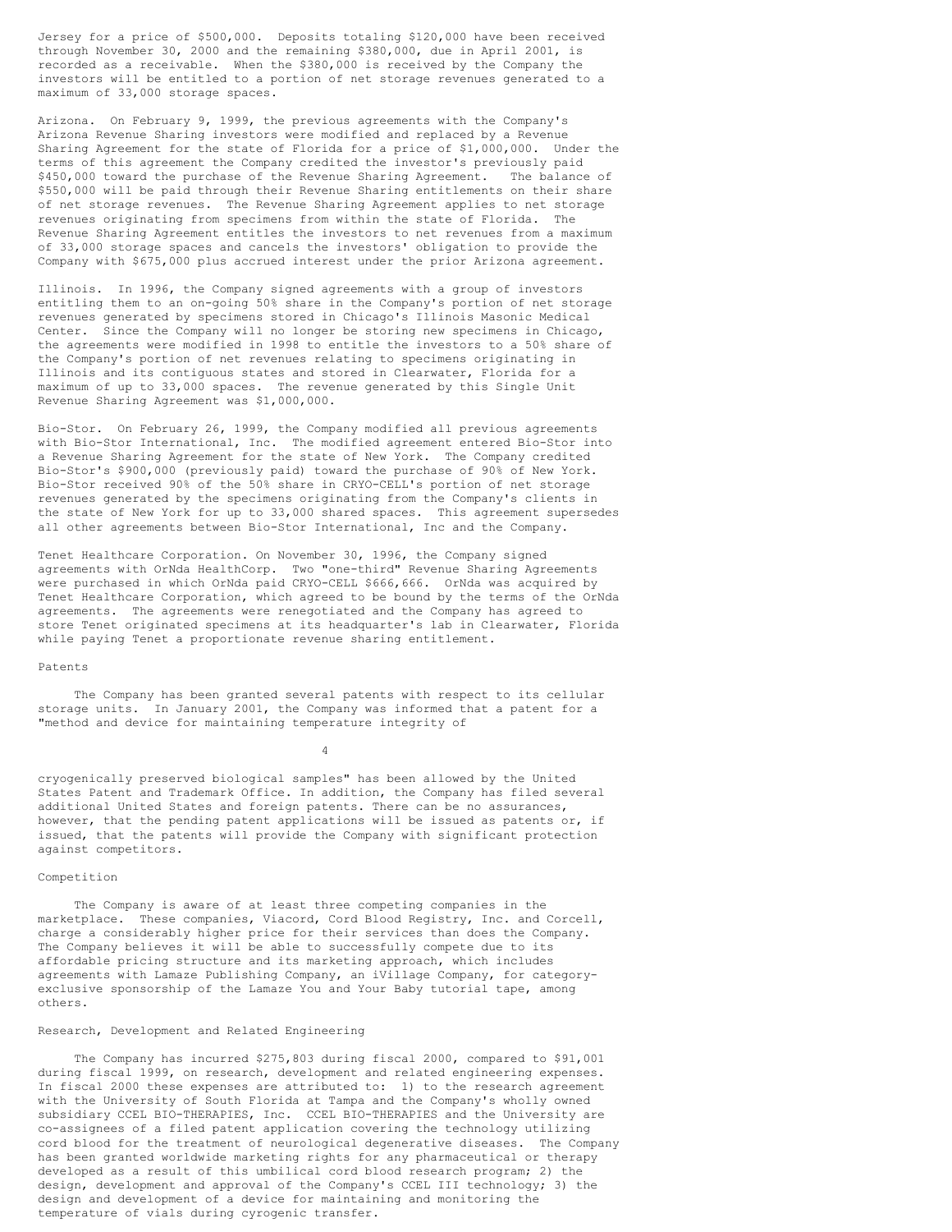Jersey for a price of \$500,000. Deposits totaling \$120,000 have been received through November 30, 2000 and the remaining \$380,000, due in April 2001, is recorded as a receivable. When the \$380,000 is received by the Company the investors will be entitled to a portion of net storage revenues generated to a maximum of 33,000 storage spaces.

Arizona. On February 9, 1999, the previous agreements with the Company's Arizona Revenue Sharing investors were modified and replaced by a Revenue Sharing Agreement for the state of Florida for a price of \$1,000,000. Under the terms of this agreement the Company credited the investor's previously paid \$450,000 toward the purchase of the Revenue Sharing Agreement. The balance of \$550,000 will be paid through their Revenue Sharing entitlements on their share of net storage revenues. The Revenue Sharing Agreement applies to net storage revenues originating from specimens from within the state of Florida. The Revenue Sharing Agreement entitles the investors to net revenues from a maximum of 33,000 storage spaces and cancels the investors' obligation to provide the Company with \$675,000 plus accrued interest under the prior Arizona agreement.

Illinois. In 1996, the Company signed agreements with a group of investors entitling them to an on-going 50% share in the Company's portion of net storage revenues generated by specimens stored in Chicago's Illinois Masonic Medical Center. Since the Company will no longer be storing new specimens in Chicago, the agreements were modified in 1998 to entitle the investors to a 50% share of the Company's portion of net revenues relating to specimens originating in Illinois and its contiguous states and stored in Clearwater, Florida for a maximum of up to 33,000 spaces. The revenue generated by this Single Unit Revenue Sharing Agreement was \$1,000,000.

Bio-Stor. On February 26, 1999, the Company modified all previous agreements with Bio-Stor International, Inc. The modified agreement entered Bio-Stor into a Revenue Sharing Agreement for the state of New York. The Company credited Bio-Stor's \$900,000 (previously paid) toward the purchase of 90% of New York. Bio-Stor received 90% of the 50% share in CRYO-CELL's portion of net storage revenues generated by the specimens originating from the Company's clients in the state of New York for up to 33,000 shared spaces. This agreement supersedes all other agreements between Bio-Stor International, Inc and the Company.

Tenet Healthcare Corporation. On November 30, 1996, the Company signed agreements with OrNda HealthCorp. Two "one-third" Revenue Sharing Agreements were purchased in which OrNda paid CRYO-CELL \$666,666. OrNda was acquired by Tenet Healthcare Corporation, which agreed to be bound by the terms of the OrNda agreements. The agreements were renegotiated and the Company has agreed to store Tenet originated specimens at its headquarter's lab in Clearwater, Florida while paying Tenet a proportionate revenue sharing entitlement.

## Patents

The Company has been granted several patents with respect to its cellular storage units. In January 2001, the Company was informed that a patent for a "method and device for maintaining temperature integrity of

cryogenically preserved biological samples" has been allowed by the United States Patent and Trademark Office. In addition, the Company has filed several additional United States and foreign patents. There can be no assurances, however, that the pending patent applications will be issued as patents or, if issued, that the patents will provide the Company with significant protection against competitors.

4

#### Competition

The Company is aware of at least three competing companies in the marketplace. These companies, Viacord, Cord Blood Registry, Inc. and Corcell, charge a considerably higher price for their services than does the Company. The Company believes it will be able to successfully compete due to its affordable pricing structure and its marketing approach, which includes agreements with Lamaze Publishing Company, an iVillage Company, for categoryexclusive sponsorship of the Lamaze You and Your Baby tutorial tape, among others.

## Research, Development and Related Engineering

The Company has incurred \$275,803 during fiscal 2000, compared to \$91,001 during fiscal 1999, on research, development and related engineering expenses. In fiscal 2000 these expenses are attributed to: 1) to the research agreement with the University of South Florida at Tampa and the Company's wholly owned subsidiary CCEL BIO-THERAPIES, Inc. CCEL BIO-THERAPIES and the University are co-assignees of a filed patent application covering the technology utilizing cord blood for the treatment of neurological degenerative diseases. The Company has been granted worldwide marketing rights for any pharmaceutical or therapy developed as a result of this umbilical cord blood research program; 2) the design, development and approval of the Company's CCEL III technology; 3) the design and development of a device for maintaining and monitoring the temperature of vials during cyrogenic transfer.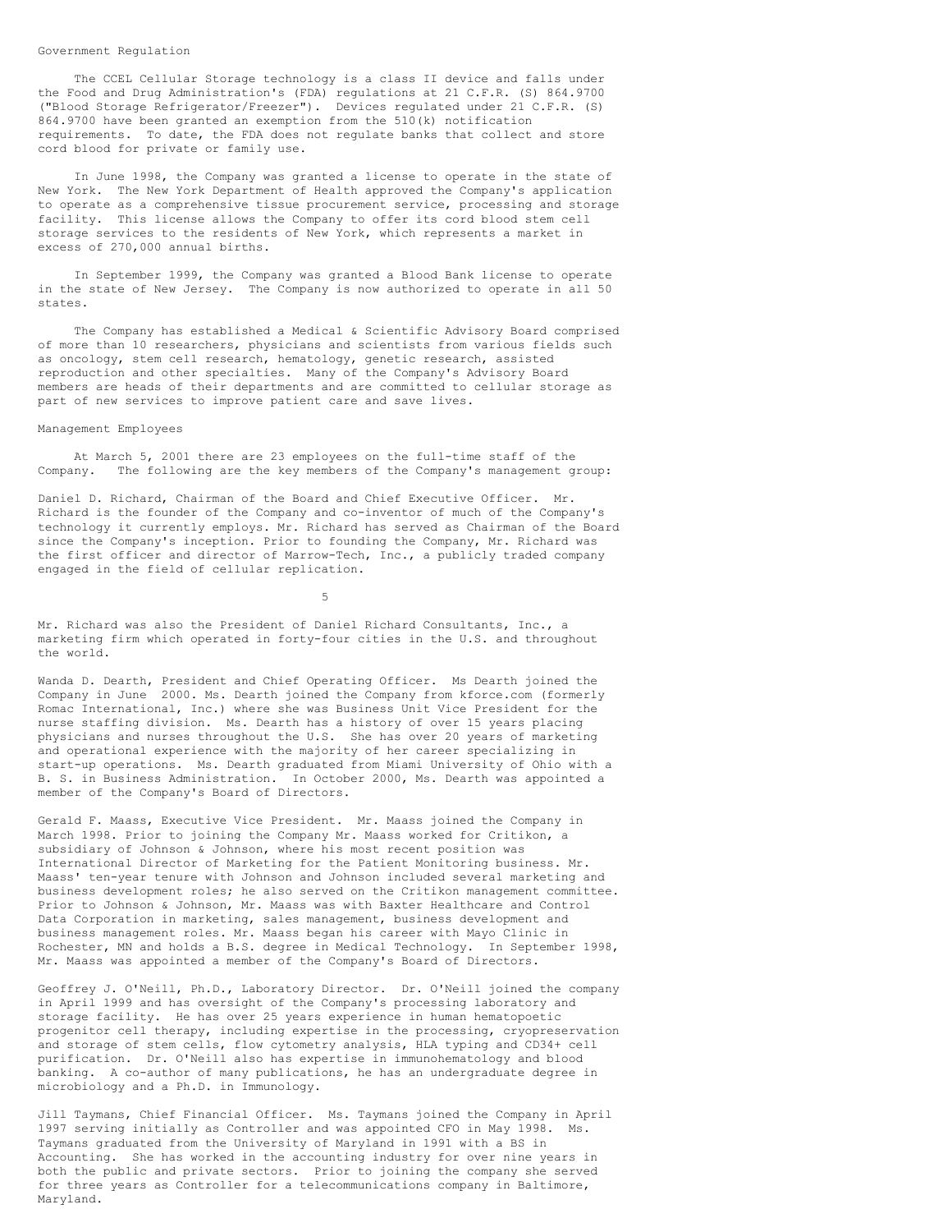#### Government Regulation

The CCEL Cellular Storage technology is a class II device and falls under the Food and Drug Administration's (FDA) regulations at 21 C.F.R. (S) 864.9700 ("Blood Storage Refrigerator/Freezer"). Devices regulated under 21 C.F.R. (S) 864.9700 have been granted an exemption from the 510(k) notification requirements. To date, the FDA does not regulate banks that collect and store cord blood for private or family use.

In June 1998, the Company was granted a license to operate in the state of New York. The New York Department of Health approved the Company's application to operate as a comprehensive tissue procurement service, processing and storage facility. This license allows the Company to offer its cord blood stem cell storage services to the residents of New York, which represents a market in excess of 270,000 annual births.

In September 1999, the Company was granted a Blood Bank license to operate in the state of New Jersey. The Company is now authorized to operate in all 50 states.

The Company has established a Medical & Scientific Advisory Board comprised of more than 10 researchers, physicians and scientists from various fields such as oncology, stem cell research, hematology, genetic research, assisted reproduction and other specialties. Many of the Company's Advisory Board members are heads of their departments and are committed to cellular storage as part of new services to improve patient care and save lives.

#### Management Employees

At March 5, 2001 there are 23 employees on the full-time staff of the Company. The following are the key members of the Company's management group:

Daniel D. Richard, Chairman of the Board and Chief Executive Officer. Mr. Richard is the founder of the Company and co-inventor of much of the Company's technology it currently employs. Mr. Richard has served as Chairman of the Board since the Company's inception. Prior to founding the Company, Mr. Richard was the first officer and director of Marrow-Tech, Inc., a publicly traded company engaged in the field of cellular replication.

5

Mr. Richard was also the President of Daniel Richard Consultants, Inc., a marketing firm which operated in forty-four cities in the U.S. and throughout the world.

Wanda D. Dearth, President and Chief Operating Officer. Ms Dearth joined the Company in June 2000. Ms. Dearth joined the Company from kforce.com (formerly Romac International, Inc.) where she was Business Unit Vice President for the nurse staffing division. Ms. Dearth has a history of over 15 years placing physicians and nurses throughout the U.S. She has over 20 years of marketing and operational experience with the majority of her career specializing in start-up operations. Ms. Dearth graduated from Miami University of Ohio with a B. S. in Business Administration. In October 2000, Ms. Dearth was appointed a member of the Company's Board of Directors.

Gerald F. Maass, Executive Vice President. Mr. Maass joined the Company in March 1998. Prior to joining the Company Mr. Maass worked for Critikon, a subsidiary of Johnson & Johnson, where his most recent position was International Director of Marketing for the Patient Monitoring business. Mr. Maass' ten-year tenure with Johnson and Johnson included several marketing and business development roles; he also served on the Critikon management committee. Prior to Johnson & Johnson, Mr. Maass was with Baxter Healthcare and Control Data Corporation in marketing, sales management, business development and business management roles. Mr. Maass began his career with Mayo Clinic in Rochester, MN and holds a B.S. degree in Medical Technology. In September 1998, Mr. Maass was appointed a member of the Company's Board of Directors.

Geoffrey J. O'Neill, Ph.D., Laboratory Director. Dr. O'Neill joined the company in April 1999 and has oversight of the Company's processing laboratory and storage facility. He has over 25 years experience in human hematopoetic progenitor cell therapy, including expertise in the processing, cryopreservation and storage of stem cells, flow cytometry analysis, HLA typing and CD34+ cell purification. Dr. O'Neill also has expertise in immunohematology and blood banking. A co-author of many publications, he has an undergraduate degree in microbiology and a Ph.D. in Immunology.

Jill Taymans, Chief Financial Officer. Ms. Taymans joined the Company in April 1997 serving initially as Controller and was appointed CFO in May 1998. Ms. Taymans graduated from the University of Maryland in 1991 with a BS in Accounting. She has worked in the accounting industry for over nine years in both the public and private sectors. Prior to joining the company she served for three years as Controller for a telecommunications company in Baltimore, Maryland.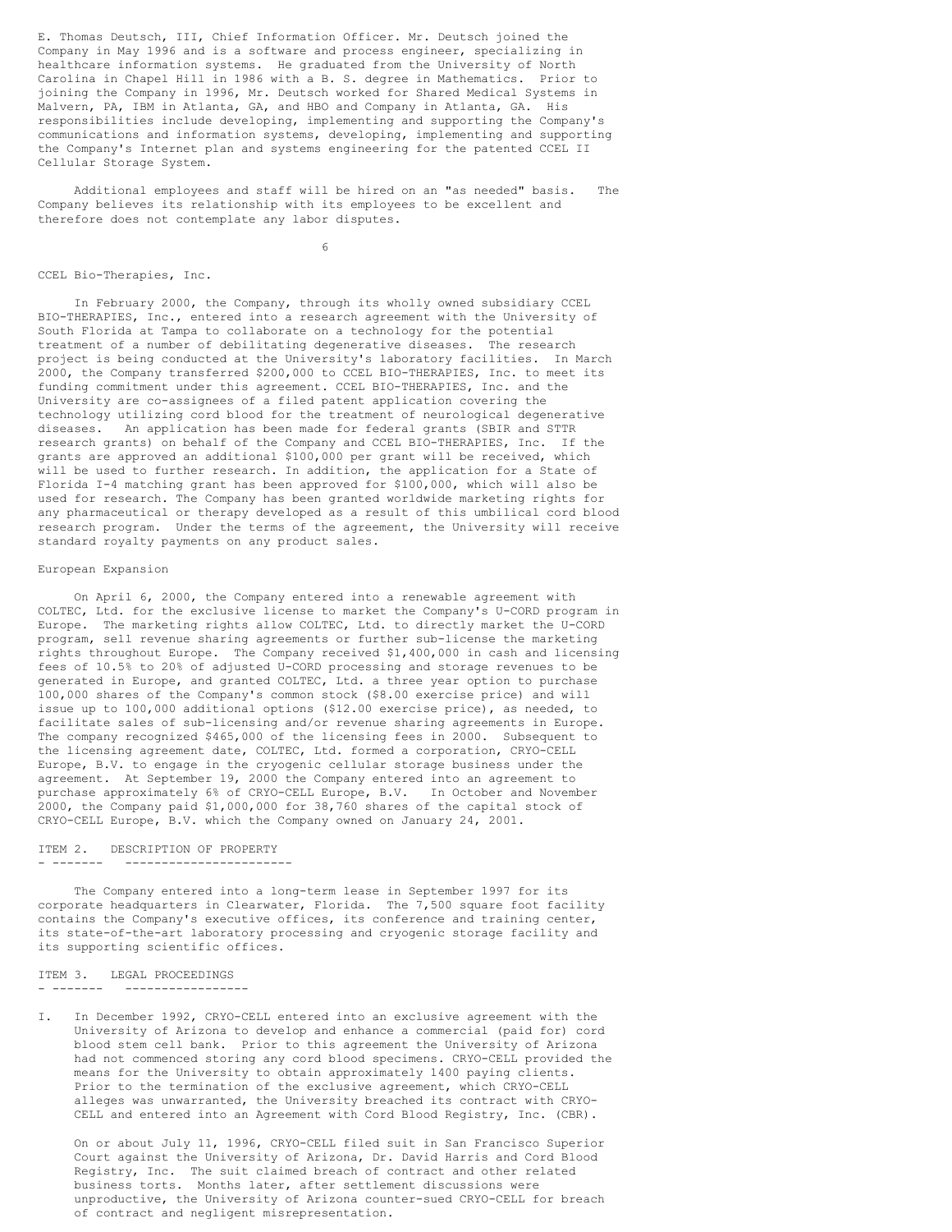E. Thomas Deutsch, III, Chief Information Officer. Mr. Deutsch joined the Company in May 1996 and is a software and process engineer, specializing in healthcare information systems. He graduated from the University of North Carolina in Chapel Hill in 1986 with a B. S. degree in Mathematics. Prior to joining the Company in 1996, Mr. Deutsch worked for Shared Medical Systems in Malvern, PA, IBM in Atlanta, GA, and HBO and Company in Atlanta, GA. His responsibilities include developing, implementing and supporting the Company's communications and information systems, developing, implementing and supporting the Company's Internet plan and systems engineering for the patented CCEL II Cellular Storage System.

Additional employees and staff will be hired on an "as needed" basis. The Company believes its relationship with its employees to be excellent and therefore does not contemplate any labor disputes.

6

#### CCEL Bio-Therapies, Inc.

In February 2000, the Company, through its wholly owned subsidiary CCEL BIO-THERAPIES, Inc., entered into a research agreement with the University of South Florida at Tampa to collaborate on a technology for the potential treatment of a number of debilitating degenerative diseases. The research project is being conducted at the University's laboratory facilities. In March 2000, the Company transferred \$200,000 to CCEL BIO-THERAPIES, Inc. to meet its funding commitment under this agreement. CCEL BIO-THERAPIES, Inc. and the University are co-assignees of a filed patent application covering the technology utilizing cord blood for the treatment of neurological degenerative diseases. An application has been made for federal grants (SBIR and STTR research grants) on behalf of the Company and CCEL BIO-THERAPIES, Inc. If the grants are approved an additional \$100,000 per grant will be received, which will be used to further research. In addition, the application for a State of Florida I-4 matching grant has been approved for \$100,000, which will also be used for research. The Company has been granted worldwide marketing rights for any pharmaceutical or therapy developed as a result of this umbilical cord blood research program. Under the terms of the agreement, the University will receive standard royalty payments on any product sales.

## European Expansion

On April 6, 2000, the Company entered into a renewable agreement with COLTEC, Ltd. for the exclusive license to market the Company's U-CORD program in Europe. The marketing rights allow COLTEC, Ltd. to directly market the U-CORD program, sell revenue sharing agreements or further sub-license the marketing rights throughout Europe. The Company received \$1,400,000 in cash and licensing fees of 10.5% to 20% of adjusted U-CORD processing and storage revenues to be generated in Europe, and granted COLTEC, Ltd. a three year option to purchase 100,000 shares of the Company's common stock (\$8.00 exercise price) and will issue up to 100,000 additional options (\$12.00 exercise price), as needed, to facilitate sales of sub-licensing and/or revenue sharing agreements in Europe. The company recognized \$465,000 of the licensing fees in 2000. Subsequent to the licensing agreement date, COLTEC, Ltd. formed a corporation, CRYO-CELL Europe, B.V. to engage in the cryogenic cellular storage business under the agreement. At September 19, 2000 the Company entered into an agreement to purchase approximately 6% of CRYO-CELL Europe, B.V. In October and November 2000, the Company paid \$1,000,000 for 38,760 shares of the capital stock of CRYO-CELL Europe, B.V. which the Company owned on January 24, 2001.

## ITEM 2. DESCRIPTION OF PROPERTY - ------- -----------------------

The Company entered into a long-term lease in September 1997 for its corporate headquarters in Clearwater, Florida. The 7,500 square foot facility contains the Company's executive offices, its conference and training center, its state-of-the-art laboratory processing and cryogenic storage facility and its supporting scientific offices.

# ITEM 3. LEGAL PROCEEDINGS

- ------- -----------------

I. In December 1992, CRYO-CELL entered into an exclusive agreement with the University of Arizona to develop and enhance a commercial (paid for) cord blood stem cell bank. Prior to this agreement the University of Arizona had not commenced storing any cord blood specimens. CRYO-CELL provided the means for the University to obtain approximately 1400 paying clients. Prior to the termination of the exclusive agreement, which CRYO-CELL alleges was unwarranted, the University breached its contract with CRYO-CELL and entered into an Agreement with Cord Blood Registry, Inc. (CBR).

On or about July 11, 1996, CRYO-CELL filed suit in San Francisco Superior Court against the University of Arizona, Dr. David Harris and Cord Blood Registry, Inc. The suit claimed breach of contract and other related business torts. Months later, after settlement discussions were unproductive, the University of Arizona counter-sued CRYO-CELL for breach of contract and negligent misrepresentation.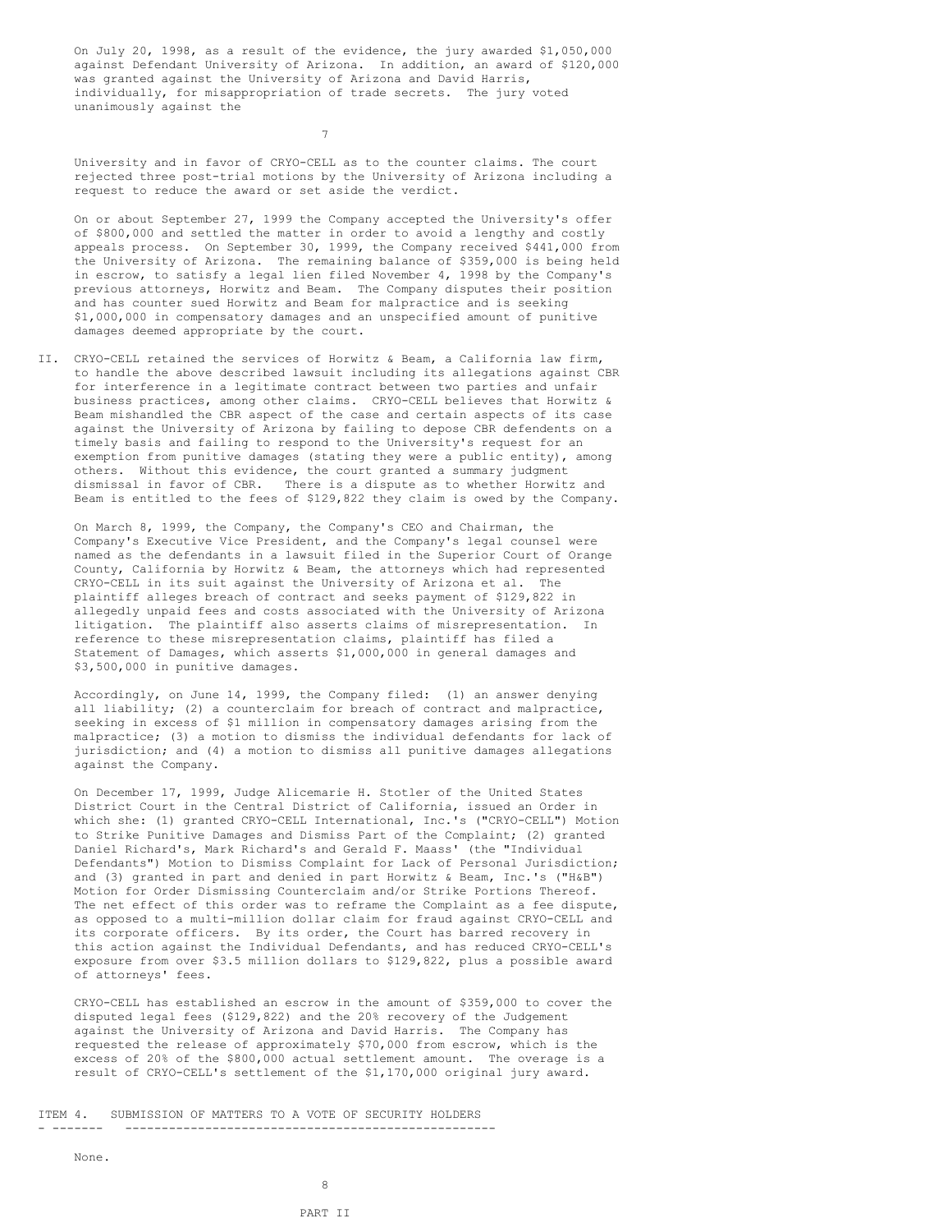On July 20, 1998, as a result of the evidence, the jury awarded \$1,050,000 against Defendant University of Arizona. In addition, an award of \$120,000 was granted against the University of Arizona and David Harris, individually, for misappropriation of trade secrets. The jury voted unanimously against the

7

University and in favor of CRYO-CELL as to the counter claims. The court rejected three post-trial motions by the University of Arizona including a request to reduce the award or set aside the verdict.

On or about September 27, 1999 the Company accepted the University's offer of \$800,000 and settled the matter in order to avoid a lengthy and costly appeals process. On September 30, 1999, the Company received \$441,000 from the University of Arizona. The remaining balance of \$359,000 is being held in escrow, to satisfy a legal lien filed November 4, 1998 by the Company's previous attorneys, Horwitz and Beam. The Company disputes their position and has counter sued Horwitz and Beam for malpractice and is seeking \$1,000,000 in compensatory damages and an unspecified amount of punitive damages deemed appropriate by the court.

II. CRYO-CELL retained the services of Horwitz & Beam, a California law firm, to handle the above described lawsuit including its allegations against CBR for interference in a legitimate contract between two parties and unfair business practices, among other claims. CRYO-CELL believes that Horwitz & Beam mishandled the CBR aspect of the case and certain aspects of its case against the University of Arizona by failing to depose CBR defendents on a timely basis and failing to respond to the University's request for an exemption from punitive damages (stating they were a public entity), among others. Without this evidence, the court granted a summary judgment dismissal in favor of CBR. There is a dispute as to whether Horwitz and Beam is entitled to the fees of \$129,822 they claim is owed by the Company.

On March 8, 1999, the Company, the Company's CEO and Chairman, the Company's Executive Vice President, and the Company's legal counsel were named as the defendants in a lawsuit filed in the Superior Court of Orange County, California by Horwitz & Beam, the attorneys which had represented CRYO-CELL in its suit against the University of Arizona et al. The plaintiff alleges breach of contract and seeks payment of \$129,822 in allegedly unpaid fees and costs associated with the University of Arizona litigation. The plaintiff also asserts claims of misrepresentation. In reference to these misrepresentation claims, plaintiff has filed a Statement of Damages, which asserts \$1,000,000 in general damages and \$3,500,000 in punitive damages.

Accordingly, on June 14, 1999, the Company filed: (1) an answer denying all liability; (2) a counterclaim for breach of contract and malpractice, seeking in excess of \$1 million in compensatory damages arising from the malpractice; (3) a motion to dismiss the individual defendants for lack of jurisdiction; and (4) a motion to dismiss all punitive damages allegations against the Company.

On December 17, 1999, Judge Alicemarie H. Stotler of the United States District Court in the Central District of California, issued an Order in which she: (1) granted CRYO-CELL International, Inc.'s ("CRYO-CELL") Motion to Strike Punitive Damages and Dismiss Part of the Complaint; (2) granted Daniel Richard's, Mark Richard's and Gerald F. Maass' (the "Individual Defendants") Motion to Dismiss Complaint for Lack of Personal Jurisdiction; and (3) granted in part and denied in part Horwitz & Beam, Inc.'s ("H&B") Motion for Order Dismissing Counterclaim and/or Strike Portions Thereof. The net effect of this order was to reframe the Complaint as a fee dispute, as opposed to a multi-million dollar claim for fraud against CRYO-CELL and its corporate officers. By its order, the Court has barred recovery in this action against the Individual Defendants, and has reduced CRYO-CELL's exposure from over \$3.5 million dollars to \$129,822, plus a possible award of attorneys' fees.

CRYO-CELL has established an escrow in the amount of \$359,000 to cover the disputed legal fees (\$129,822) and the 20% recovery of the Judgement against the University of Arizona and David Harris. The Company has requested the release of approximately \$70,000 from escrow, which is the excess of 20% of the \$800,000 actual settlement amount. The overage is a result of CRYO-CELL's settlement of the \$1,170,000 original jury award.

ITEM 4. SUBMISSION OF MATTERS TO A VOTE OF SECURITY HOLDERS - ------- ---------------------------------------------------

None.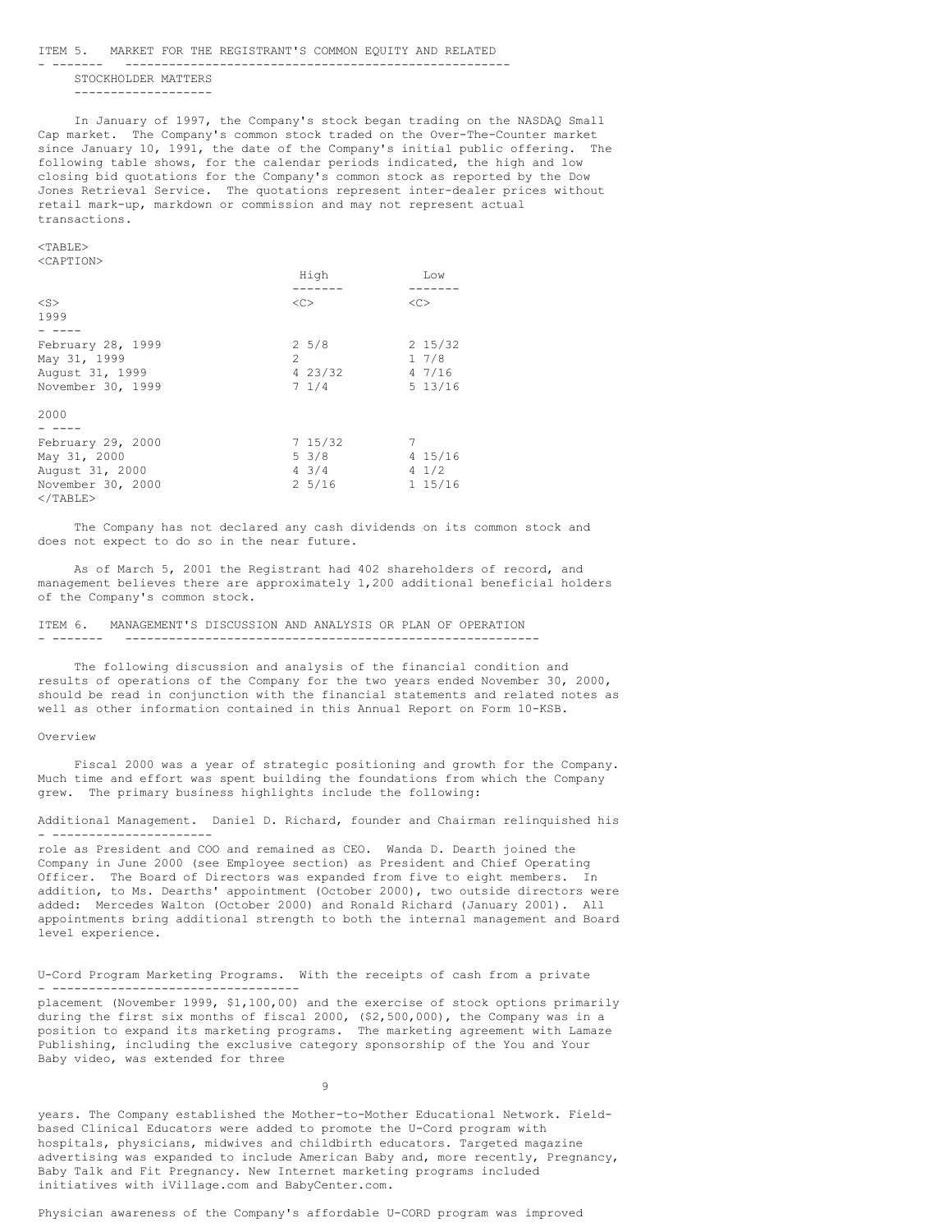#### ITEM 5. MARKET FOR THE REGISTRANT'S COMMON EQUITY AND RELATED

- ------- ----------------------------------------------------- STOCKHOLDER MATTERS

-------------------

In January of 1997, the Company's stock began trading on the NASDAQ Small Cap market. The Company's common stock traded on the Over-The-Counter market since January 10, 1991, the date of the Company's initial public offering. The following table shows, for the calendar periods indicated, the high and low closing bid quotations for the Company's common stock as reported by the Dow Jones Retrieval Service. The quotations represent inter-dealer prices without retail mark-up, markdown or commission and may not represent actual transactions.

#### $<$ TABLE> <CAPTION>

|                   | High<br>------- | Low<br>-----    |
|-------------------|-----------------|-----------------|
| $<$ S $>$         | <<              | <<              |
| 1999              |                 |                 |
|                   |                 |                 |
| February 28, 1999 | $2\;\;5/8$      | $2\;15/32$      |
| May 31, 1999      | $\mathcal{D}$   | 17/8            |
| August 31, 1999   | 4 23/32         | 47/16           |
| November 30, 1999 | 71/4            | 5 13/16         |
| 2000              |                 |                 |
|                   |                 |                 |
| February 29, 2000 | 715/32          | 7               |
| May 31, 2000      | 5 3/8           | 4 15/16         |
| August 31, 2000   | $4 \frac{3}{4}$ | $4 \frac{1}{2}$ |
| November 30, 2000 | 25/16           | $1\;15/16$      |

The Company has not declared any cash dividends on its common stock and does not expect to do so in the near future.

As of March 5, 2001 the Registrant had 402 shareholders of record, and management believes there are approximately 1,200 additional beneficial holders of the Company's common stock.

#### ITEM 6. MANAGEMENT'S DISCUSSION AND ANALYSIS OR PLAN OF OPERATION - ------- ---------------------------------------------------------

The following discussion and analysis of the financial condition and results of operations of the Company for the two years ended November 30, 2000, should be read in conjunction with the financial statements and related notes as well as other information contained in this Annual Report on Form 10-KSB.

#### Overview

 $\langle$ /TABLE>

Fiscal 2000 was a year of strategic positioning and growth for the Company. Much time and effort was spent building the foundations from which the Company grew. The primary business highlights include the following:

Additional Management. Daniel D. Richard, founder and Chairman relinquished his - ----------------------

role as President and COO and remained as CEO. Wanda D. Dearth joined the Company in June 2000 (see Employee section) as President and Chief Operating Officer. The Board of Directors was expanded from five to eight members. In addition, to Ms. Dearths' appointment (October 2000), two outside directors were added: Mercedes Walton (October 2000) and Ronald Richard (January 2001). All appointments bring additional strength to both the internal management and Board level experience.

U-Cord Program Marketing Programs. With the receipts of cash from a private - ----------------------------------

placement (November 1999, \$1,100,00) and the exercise of stock options primarily during the first six months of fiscal 2000, (\$2,500,000), the Company was in a position to expand its marketing programs. The marketing agreement with Lamaze Publishing, including the exclusive category sponsorship of the You and Your Baby video, was extended for three

9

years. The Company established the Mother-to-Mother Educational Network. Fieldbased Clinical Educators were added to promote the U-Cord program with hospitals, physicians, midwives and childbirth educators. Targeted magazine advertising was expanded to include American Baby and, more recently, Pregnancy, Baby Talk and Fit Pregnancy. New Internet marketing programs included initiatives with iVillage.com and BabyCenter.com.

Physician awareness of the Company's affordable U-CORD program was improved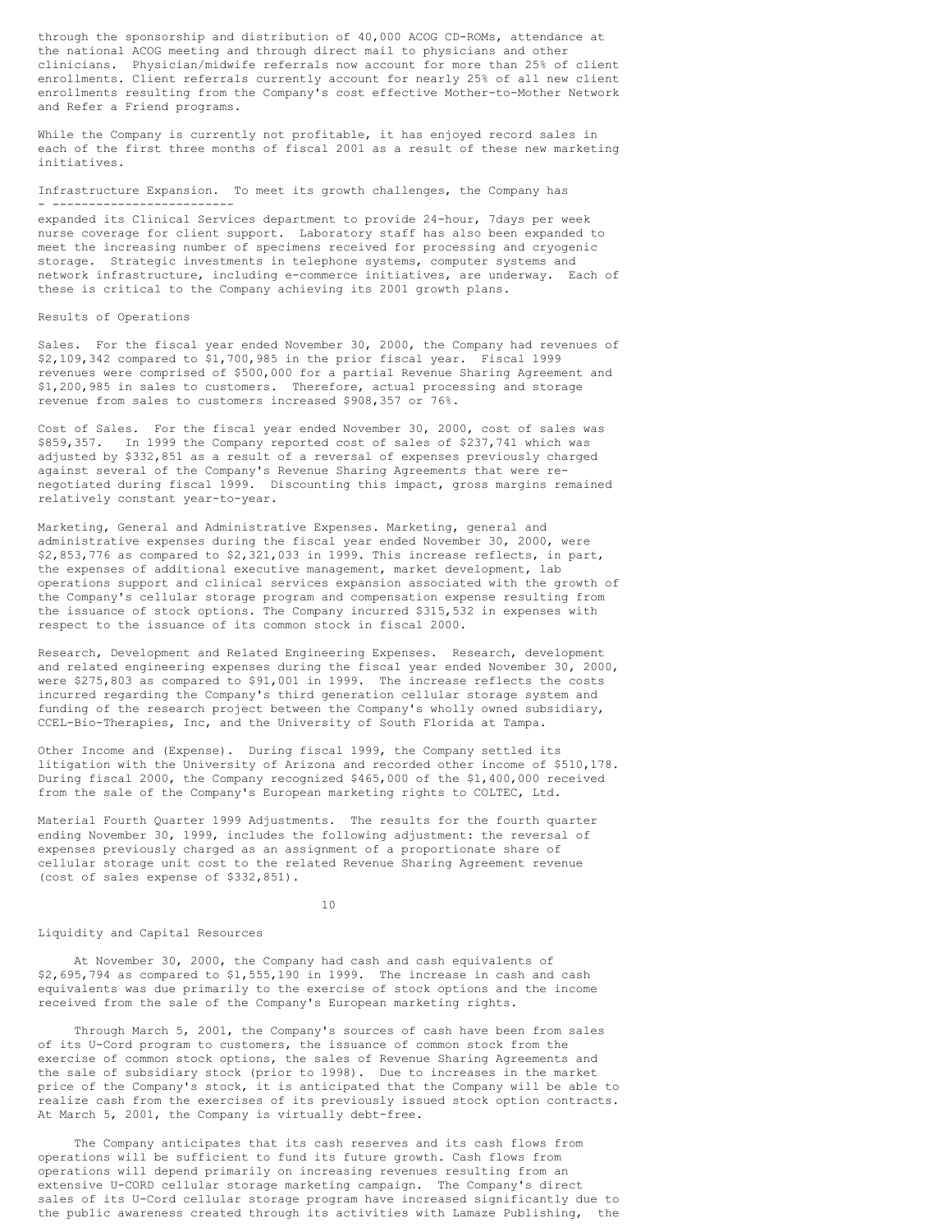through the sponsorship and distribution of 40,000 ACOG CD-ROMs, attendance at the national ACOG meeting and through direct mail to physicians and other clinicians. Physician/midwife referrals now account for more than 25% of client enrollments. Client referrals currently account for nearly 25% of all new client enrollments resulting from the Company's cost effective Mother-to-Mother Network and Refer a Friend programs.

While the Company is currently not profitable, it has enjoyed record sales in each of the first three months of fiscal 2001 as a result of these new marketing initiatives.

Infrastructure Expansion. To meet its growth challenges, the Company has - -------------------------

expanded its Clinical Services department to provide 24-hour, 7days per week nurse coverage for client support. Laboratory staff has also been expanded to meet the increasing number of specimens received for processing and cryogenic storage. Strategic investments in telephone systems, computer systems and network infrastructure, including e-commerce initiatives, are underway. Each of these is critical to the Company achieving its 2001 growth plans.

## Results of Operations

Sales. For the fiscal year ended November 30, 2000, the Company had revenues of \$2,109,342 compared to \$1,700,985 in the prior fiscal year. Fiscal 1999 revenues were comprised of \$500,000 for a partial Revenue Sharing Agreement and \$1,200,985 in sales to customers. Therefore, actual processing and storage revenue from sales to customers increased \$908,357 or 76%.

Cost of Sales. For the fiscal year ended November 30, 2000, cost of sales was \$859,357. In 1999 the Company reported cost of sales of \$237,741 which was adjusted by \$332,851 as a result of a reversal of expenses previously charged against several of the Company's Revenue Sharing Agreements that were renegotiated during fiscal 1999. Discounting this impact, gross margins remained relatively constant year-to-year.

Marketing, General and Administrative Expenses. Marketing, general and administrative expenses during the fiscal year ended November 30, 2000, were \$2,853,776 as compared to \$2,321,033 in 1999. This increase reflects, in part, the expenses of additional executive management, market development, lab operations support and clinical services expansion associated with the growth of the Company's cellular storage program and compensation expense resulting from the issuance of stock options. The Company incurred \$315,532 in expenses with respect to the issuance of its common stock in fiscal 2000.

Research, Development and Related Engineering Expenses. Research, development and related engineering expenses during the fiscal year ended November 30, 2000, were \$275,803 as compared to \$91,001 in 1999. The increase reflects the costs incurred regarding the Company's third generation cellular storage system and funding of the research project between the Company's wholly owned subsidiary, CCEL-Bio-Therapies, Inc, and the University of South Florida at Tampa.

Other Income and (Expense). During fiscal 1999, the Company settled its litigation with the University of Arizona and recorded other income of \$510,178. During fiscal 2000, the Company recognized \$465,000 of the \$1,400,000 received from the sale of the Company's European marketing rights to COLTEC, Ltd.

Material Fourth Quarter 1999 Adjustments. The results for the fourth quarter ending November 30, 1999, includes the following adjustment: the reversal of expenses previously charged as an assignment of a proportionate share of cellular storage unit cost to the related Revenue Sharing Agreement revenue (cost of sales expense of \$332,851).

#### 10

## Liquidity and Capital Resources

At November 30, 2000, the Company had cash and cash equivalents of \$2,695,794 as compared to \$1,555,190 in 1999. The increase in cash and cash equivalents was due primarily to the exercise of stock options and the income received from the sale of the Company's European marketing rights.

Through March 5, 2001, the Company's sources of cash have been from sales of its U-Cord program to customers, the issuance of common stock from the exercise of common stock options, the sales of Revenue Sharing Agreements and the sale of subsidiary stock (prior to 1998). Due to increases in the market price of the Company's stock, it is anticipated that the Company will be able to realize cash from the exercises of its previously issued stock option contracts. At March 5, 2001, the Company is virtually debt-free.

The Company anticipates that its cash reserves and its cash flows from operations will be sufficient to fund its future growth. Cash flows from operations will depend primarily on increasing revenues resulting from an extensive U-CORD cellular storage marketing campaign. The Company's direct sales of its U-Cord cellular storage program have increased significantly due to the public awareness created through its activities with Lamaze Publishing, the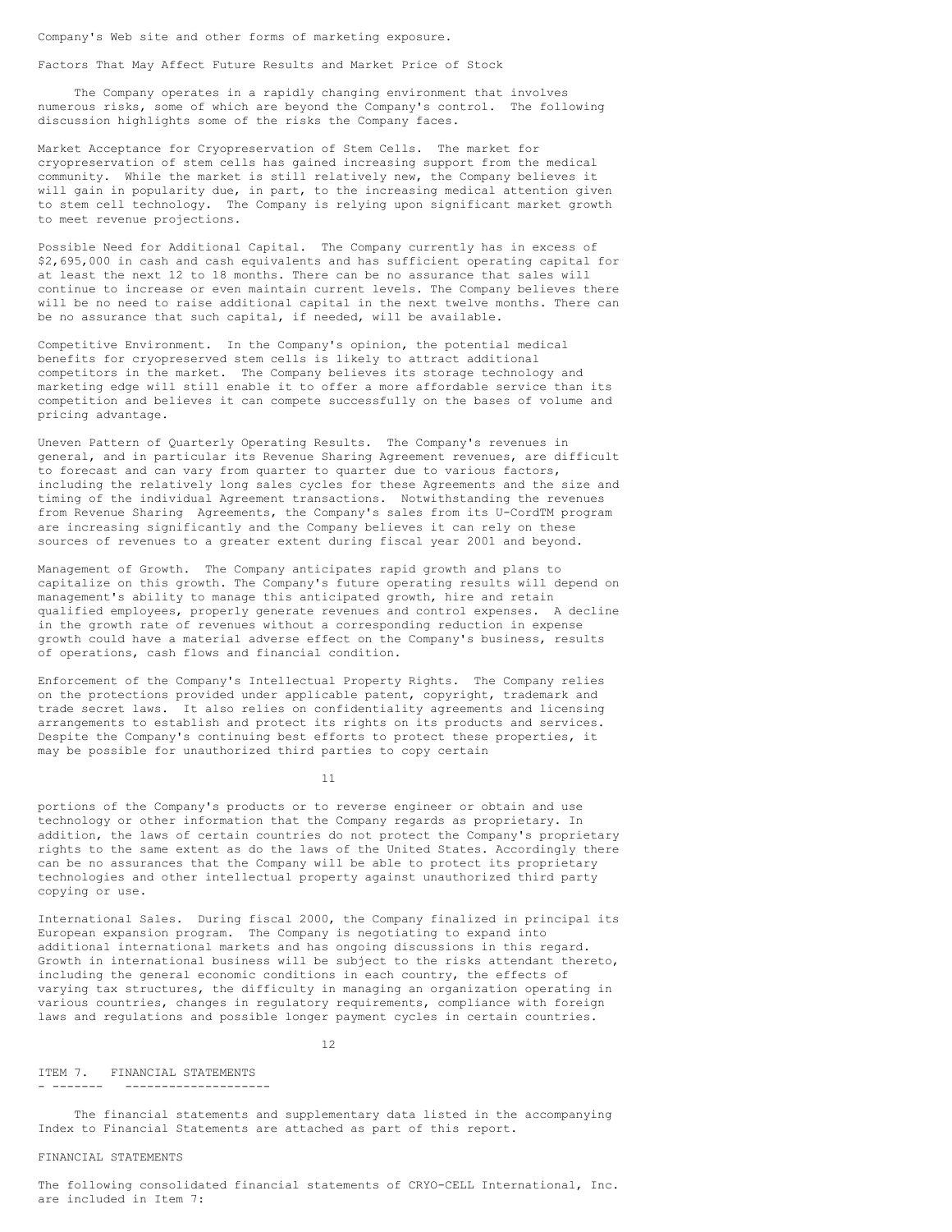Company's Web site and other forms of marketing exposure.

#### Factors That May Affect Future Results and Market Price of Stock

The Company operates in a rapidly changing environment that involves numerous risks, some of which are beyond the Company's control. The following discussion highlights some of the risks the Company faces.

Market Acceptance for Cryopreservation of Stem Cells. The market for cryopreservation of stem cells has gained increasing support from the medical community. While the market is still relatively new, the Company believes it will gain in popularity due, in part, to the increasing medical attention given to stem cell technology. The Company is relying upon significant market growth to meet revenue projections.

Possible Need for Additional Capital. The Company currently has in excess of \$2,695,000 in cash and cash equivalents and has sufficient operating capital for at least the next 12 to 18 months. There can be no assurance that sales will continue to increase or even maintain current levels. The Company believes there will be no need to raise additional capital in the next twelve months. There can be no assurance that such capital, if needed, will be available.

Competitive Environment. In the Company's opinion, the potential medical benefits for cryopreserved stem cells is likely to attract additional competitors in the market. The Company believes its storage technology and marketing edge will still enable it to offer a more affordable service than its competition and believes it can compete successfully on the bases of volume and pricing advantage.

Uneven Pattern of Quarterly Operating Results. The Company's revenues in general, and in particular its Revenue Sharing Agreement revenues, are difficult to forecast and can vary from quarter to quarter due to various factors, including the relatively long sales cycles for these Agreements and the size and timing of the individual Agreement transactions. Notwithstanding the revenues from Revenue Sharing Agreements, the Company's sales from its U-CordTM program are increasing significantly and the Company believes it can rely on these sources of revenues to a greater extent during fiscal year 2001 and beyond.

Management of Growth. The Company anticipates rapid growth and plans to capitalize on this growth. The Company's future operating results will depend on management's ability to manage this anticipated growth, hire and retain qualified employees, properly generate revenues and control expenses. A decline in the growth rate of revenues without a corresponding reduction in expense growth could have a material adverse effect on the Company's business, results of operations, cash flows and financial condition.

Enforcement of the Company's Intellectual Property Rights. The Company relies on the protections provided under applicable patent, copyright, trademark and trade secret laws. It also relies on confidentiality agreements and licensing arrangements to establish and protect its rights on its products and services. Despite the Company's continuing best efforts to protect these properties, it may be possible for unauthorized third parties to copy certain

11

portions of the Company's products or to reverse engineer or obtain and use technology or other information that the Company regards as proprietary. In addition, the laws of certain countries do not protect the Company's proprietary rights to the same extent as do the laws of the United States. Accordingly there can be no assurances that the Company will be able to protect its proprietary technologies and other intellectual property against unauthorized third party copying or use.

International Sales. During fiscal 2000, the Company finalized in principal its European expansion program. The Company is negotiating to expand into additional international markets and has ongoing discussions in this regard. Growth in international business will be subject to the risks attendant thereto, including the general economic conditions in each country, the effects of varying tax structures, the difficulty in managing an organization operating in various countries, changes in regulatory requirements, compliance with foreign laws and regulations and possible longer payment cycles in certain countries.

## 12

#### ITEM 7. FINANCIAL STATEMENTS - ------- --------------------

The financial statements and supplementary data listed in the accompanying Index to Financial Statements are attached as part of this report.

## FINANCIAL STATEMENTS

The following consolidated financial statements of CRYO-CELL International, Inc. are included in Item 7: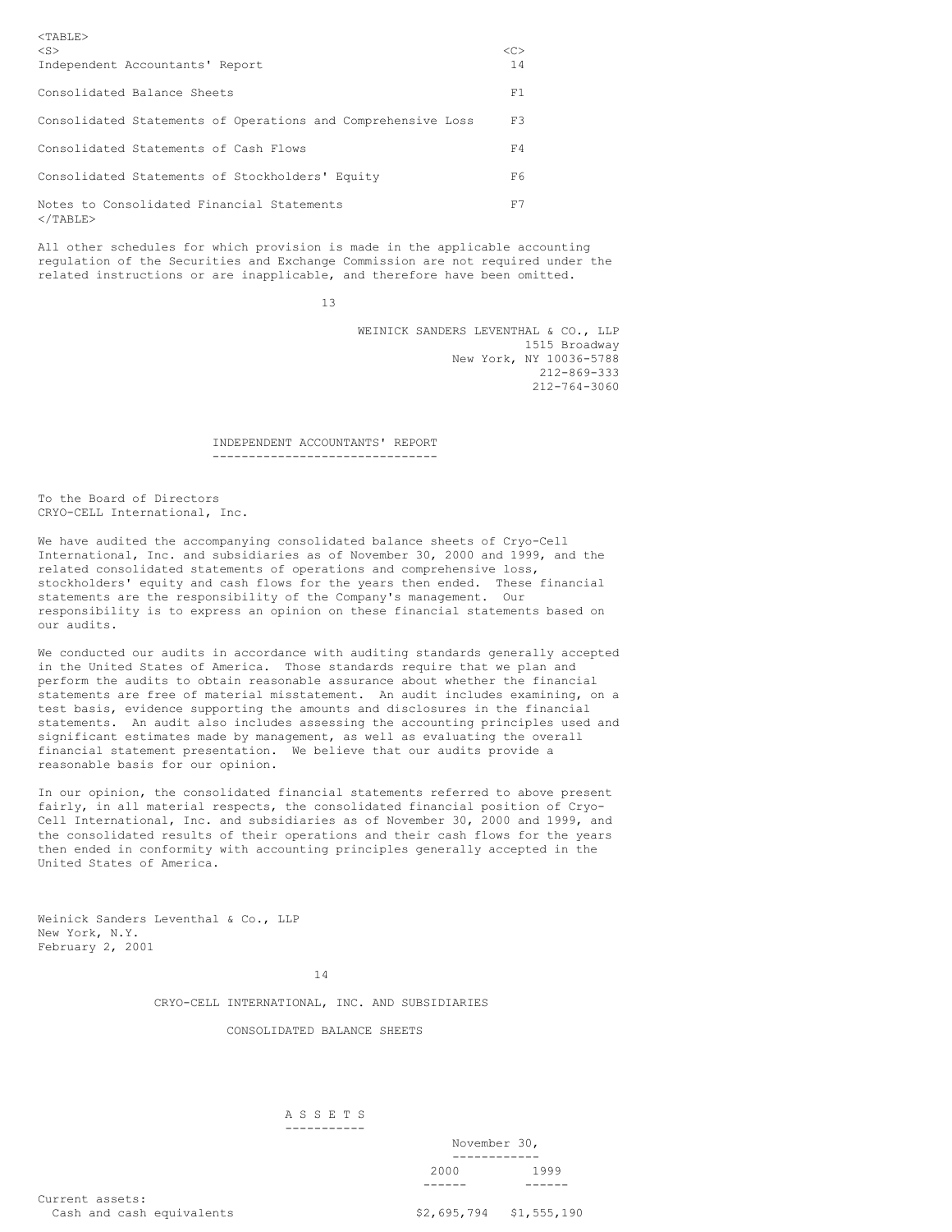| $TABLE$                                                         |               |
|-----------------------------------------------------------------|---------------|
| $<$ S $>$                                                       | < <sub></sub> |
| Independent Accountants' Report                                 | 14            |
| Consolidated Balance Sheets                                     | F1            |
| Consolidated Statements of Operations and Comprehensive Loss    | F3            |
| Consolidated Statements of Cash Flows                           | F4            |
| Consolidated Statements of Stockholders' Equity                 | F6.           |
| Notes to Consolidated Financial Statements<br>$\langle$ /TABLE> | F7            |

All other schedules for which provision is made in the applicable accounting regulation of the Securities and Exchange Commission are not required under the related instructions or are inapplicable, and therefore have been omitted.

13

WEINICK SANDERS LEVENTHAL & CO., LLP 1515 Broadway New York, NY 10036-5788 212-869-333 212-764-3060

#### INDEPENDENT ACCOUNTANTS' REPORT -------------------------------

To the Board of Directors CRYO-CELL International, Inc.

We have audited the accompanying consolidated balance sheets of Cryo-Cell International, Inc. and subsidiaries as of November 30, 2000 and 1999, and the related consolidated statements of operations and comprehensive loss, stockholders' equity and cash flows for the years then ended. These financial statements are the responsibility of the Company's management. Our responsibility is to express an opinion on these financial statements based on our audits.

We conducted our audits in accordance with auditing standards generally accepted in the United States of America. Those standards require that we plan and perform the audits to obtain reasonable assurance about whether the financial statements are free of material misstatement. An audit includes examining, on a test basis, evidence supporting the amounts and disclosures in the financial statements. An audit also includes assessing the accounting principles used and significant estimates made by management, as well as evaluating the overall financial statement presentation. We believe that our audits provide a reasonable basis for our opinion.

In our opinion, the consolidated financial statements referred to above present fairly, in all material respects, the consolidated financial position of Cryo-Cell International, Inc. and subsidiaries as of November 30, 2000 and 1999, and the consolidated results of their operations and their cash flows for the years then ended in conformity with accounting principles generally accepted in the United States of America.

Weinick Sanders Leventhal & Co., LLP New York, N.Y. February 2, 2001

14

CRYO-CELL INTERNATIONAL, INC. AND SUBSIDIARIES

CONSOLIDATED BALANCE SHEETS

#### A S S E T S -----------

| November 30, |      |
|--------------|------|
|              |      |
| 2000         | 1999 |
|              |      |

Current assets: Cash and cash equivalents  $$2,695,794$  \$1,555,190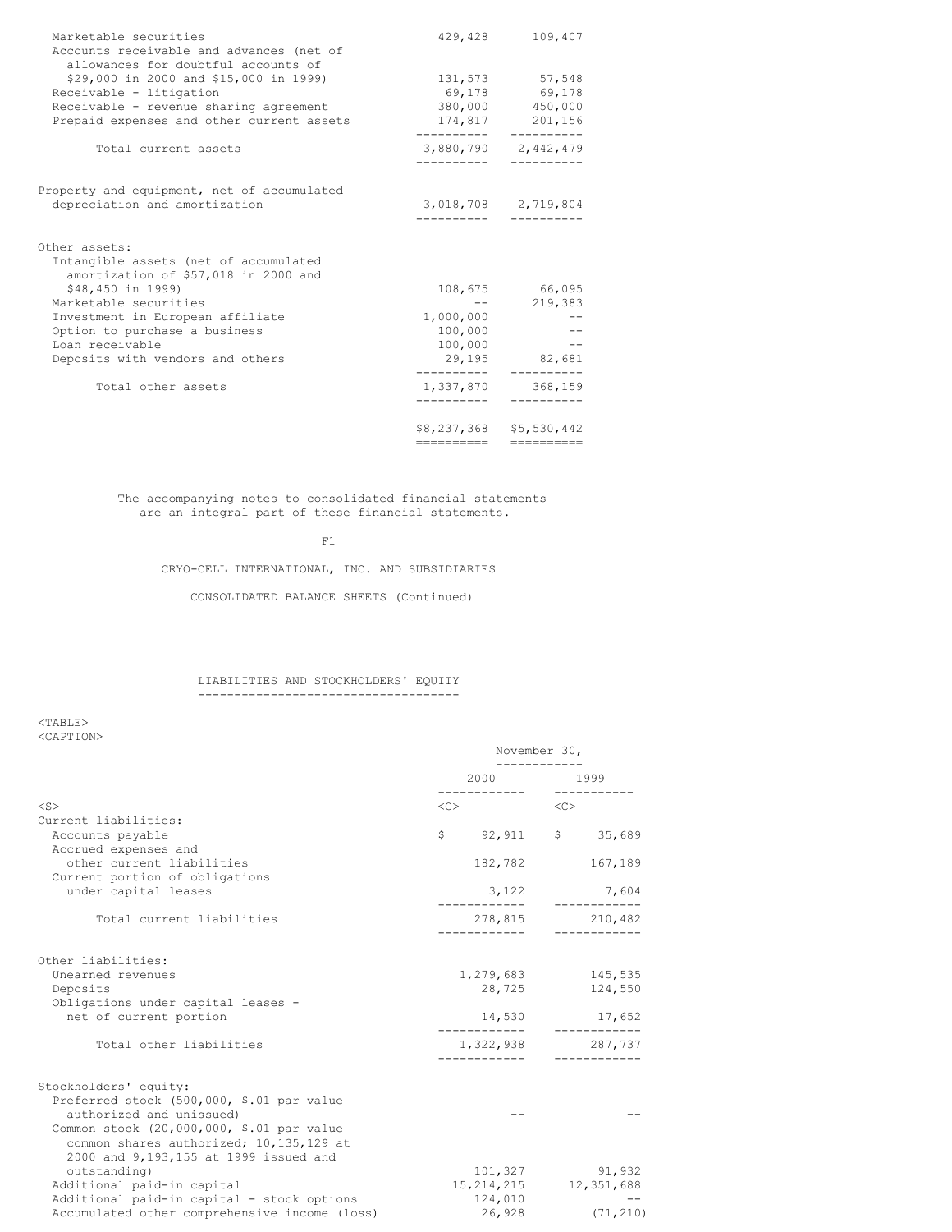| Marketable securities<br>Accounts receivable and advances (net of<br>allowances for doubtful accounts of | 429,428              | 109,407                 |
|----------------------------------------------------------------------------------------------------------|----------------------|-------------------------|
| \$29,000 in 2000 and \$15,000 in 1999)                                                                   |                      | 131,573 57,548          |
| Receivable - litigation                                                                                  |                      | 69,178 69,178           |
| Receivable - revenue sharing agreement                                                                   |                      | 380,000 450,000         |
| Prepaid expenses and other current assets                                                                | 174,817              | 201,156                 |
| Total current assets                                                                                     |                      | 3,880,790 2,442,479     |
| Property and equipment, net of accumulated                                                               |                      |                         |
| depreciation and amortization                                                                            |                      | 3,018,708 2,719,804     |
| Other assets:                                                                                            |                      |                         |
| Intangible assets (net of accumulated<br>amortization of \$57,018 in 2000 and                            |                      |                         |
| \$48,450 in 1999)                                                                                        |                      | 108,675 66,095          |
| Marketable securities                                                                                    |                      | 219,383                 |
| Investment in European affiliate                                                                         | 1,000,000            |                         |
| Option to purchase a business                                                                            | 100,000              |                         |
| Loan receivable                                                                                          | 100,000              |                         |
| Deposits with vendors and others                                                                         | 29,195<br>__________ | 82,681                  |
| Total other assets                                                                                       | 1,337,870            | 368,159                 |
|                                                                                                          |                      | \$8,237,368 \$5,530,442 |
|                                                                                                          | ----------           |                         |

The accompanying notes to consolidated financial statements are an integral part of these financial statements.

F1

CRYO-CELL INTERNATIONAL, INC. AND SUBSIDIARIES

CONSOLIDATED BALANCE SHEETS (Continued)

## LIABILITIES AND STOCKHOLDERS' EQUITY ------------------------------------

<TABLE> <CAPTION>

|                                               |            | November 30,                                                                                                                                                                                                                    |           |                |
|-----------------------------------------------|------------|---------------------------------------------------------------------------------------------------------------------------------------------------------------------------------------------------------------------------------|-----------|----------------|
|                                               |            | 2000 - 2001 - 2002 - 2003 - 2004 - 2006 - 2007 - 2008 - 2008 - 2014 - 2015 - 2016 - 2016 - 2016 - 2017 - 2017 - 2017 - 2017 - 2017 - 2017 - 2017 - 2017 - 2017 - 2017 - 2017 - 2017 - 2017 - 2017 - 2017 - 2017 - 2017 - 2017 - |           | 1999           |
| $<$ S>                                        | $<\infty>$ |                                                                                                                                                                                                                                 | < <c></c> |                |
| Current liabilities:                          |            |                                                                                                                                                                                                                                 |           |                |
| Accounts payable                              |            | $$92,911$ \$ 35,689                                                                                                                                                                                                             |           |                |
| Accrued expenses and                          |            |                                                                                                                                                                                                                                 |           |                |
| other current liabilities                     |            | 182,782                                                                                                                                                                                                                         |           | 167,189        |
| Current portion of obligations                |            |                                                                                                                                                                                                                                 |           |                |
| under capital leases                          |            | 3,122                                                                                                                                                                                                                           |           | 7,604          |
| Total current liabilities                     |            | 278,815 210,482                                                                                                                                                                                                                 |           |                |
|                                               |            | .                                                                                                                                                                                                                               |           | ----------     |
| Other liabilities:                            |            |                                                                                                                                                                                                                                 |           |                |
| Unearned revenues                             |            | 1,279,683 145,535                                                                                                                                                                                                               |           |                |
| Deposits                                      |            | 28,725                                                                                                                                                                                                                          |           | 124,550        |
| Obligations under capital leases -            |            |                                                                                                                                                                                                                                 |           |                |
| net of current portion                        |            | 14,530                                                                                                                                                                                                                          |           | 17,652         |
| Total other liabilities                       |            | 1,322,938 287,737                                                                                                                                                                                                               |           |                |
|                                               |            |                                                                                                                                                                                                                                 |           | ----------     |
| Stockholders' equity:                         |            |                                                                                                                                                                                                                                 |           |                |
| Preferred stock (500,000, \$.01 par value     |            |                                                                                                                                                                                                                                 |           |                |
| authorized and unissued)                      |            |                                                                                                                                                                                                                                 |           |                |
| Common stock (20,000,000, \$.01 par value     |            |                                                                                                                                                                                                                                 |           |                |
| common shares authorized; 10,135,129 at       |            |                                                                                                                                                                                                                                 |           |                |
| 2000 and 9,193,155 at 1999 issued and         |            |                                                                                                                                                                                                                                 |           |                |
| outstanding)                                  |            |                                                                                                                                                                                                                                 |           | 101,327 91,932 |
| Additional paid-in capital                    |            | 15, 214, 215 12, 351, 688                                                                                                                                                                                                       |           |                |
| Additional paid-in capital - stock options    |            | 124,010                                                                                                                                                                                                                         |           |                |
| Accumulated other comprehensive income (loss) |            | 26,928                                                                                                                                                                                                                          |           | (71, 210)      |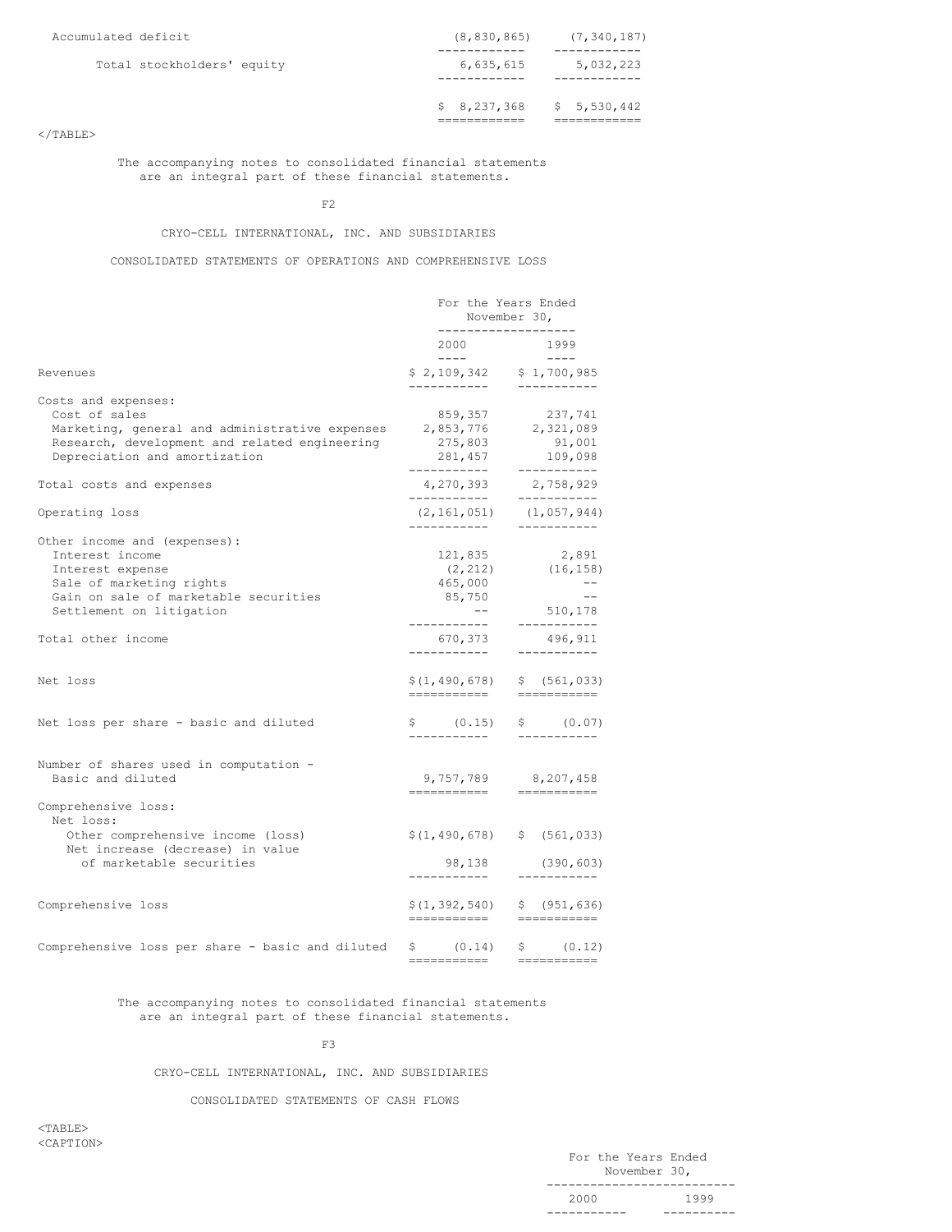| Accumulated deficit |                            | (8, 830, 865)                    | (7, 340, 187)        |
|---------------------|----------------------------|----------------------------------|----------------------|
|                     | Total stockholders' equity | 6,635,615<br>_ _ _ _ _ _ _ _ _ _ | 5,032,223<br>------- |
|                     |                            | $$8,237,368 \t$5,530,442$        |                      |

## $<$ /TABLE>

The accompanying notes to consolidated financial statements are an integral part of these financial statements.

F2

## CRYO-CELL INTERNATIONAL, INC. AND SUBSIDIARIES

CONSOLIDATED STATEMENTS OF OPERATIONS AND COMPREHENSIVE LOSS

|                                                              | For the Years Ended<br>November 30,<br>------------------- |  |                                                                                                                                                                                                                                                                                                                                                                                                                                                                                                                                                            |
|--------------------------------------------------------------|------------------------------------------------------------|--|------------------------------------------------------------------------------------------------------------------------------------------------------------------------------------------------------------------------------------------------------------------------------------------------------------------------------------------------------------------------------------------------------------------------------------------------------------------------------------------------------------------------------------------------------------|
|                                                              | 2000                                                       |  | 1999                                                                                                                                                                                                                                                                                                                                                                                                                                                                                                                                                       |
| Revenues                                                     | $\frac{1}{2}$<br>$$2,109,342$ $$1,700,985$<br>------------ |  | $\qquad \qquad - - - -$<br>___________                                                                                                                                                                                                                                                                                                                                                                                                                                                                                                                     |
| Costs and expenses:                                          |                                                            |  |                                                                                                                                                                                                                                                                                                                                                                                                                                                                                                                                                            |
| Cost of sales                                                | 859,357                                                    |  | 237,741                                                                                                                                                                                                                                                                                                                                                                                                                                                                                                                                                    |
| Marketing, general and administrative expenses               | 2,853,776                                                  |  | 2,321,089                                                                                                                                                                                                                                                                                                                                                                                                                                                                                                                                                  |
| Research, development and related engineering                | 275,803                                                    |  | 91,001                                                                                                                                                                                                                                                                                                                                                                                                                                                                                                                                                     |
| Depreciation and amortization                                | 281,457<br>-----------                                     |  | 109,098<br>-----------                                                                                                                                                                                                                                                                                                                                                                                                                                                                                                                                     |
| Total costs and expenses                                     | 4,270,393<br>------------                                  |  | 2,758,929<br>-----------                                                                                                                                                                                                                                                                                                                                                                                                                                                                                                                                   |
| Operating loss                                               | (2, 161, 051)                                              |  | (1,057,944)                                                                                                                                                                                                                                                                                                                                                                                                                                                                                                                                                |
| Other income and (expenses):                                 | ------------                                               |  | -----------                                                                                                                                                                                                                                                                                                                                                                                                                                                                                                                                                |
| Interest income                                              | 121,835                                                    |  | 2,891                                                                                                                                                                                                                                                                                                                                                                                                                                                                                                                                                      |
| Interest expense                                             | (2, 212)                                                   |  | (16, 158)                                                                                                                                                                                                                                                                                                                                                                                                                                                                                                                                                  |
| Sale of marketing rights                                     | 465,000                                                    |  | $\qquad -$                                                                                                                                                                                                                                                                                                                                                                                                                                                                                                                                                 |
| Gain on sale of marketable securities                        | 85,750                                                     |  | $ -$                                                                                                                                                                                                                                                                                                                                                                                                                                                                                                                                                       |
| Settlement on litigation                                     | $- -$                                                      |  | 510,178                                                                                                                                                                                                                                                                                                                                                                                                                                                                                                                                                    |
| Total other income                                           | -----------<br>670,373                                     |  | -----------<br>496,911                                                                                                                                                                                                                                                                                                                                                                                                                                                                                                                                     |
| Net loss                                                     | ___________<br>\$(1, 490, 678)                             |  | ___________<br>\$(561, 033)                                                                                                                                                                                                                                                                                                                                                                                                                                                                                                                                |
|                                                              | -----------                                                |  | $\begin{tabular}{ll} \multicolumn{3}{l}{{\color{red}\boldsymbol{=}}} & \multicolumn{3}{l}{\color{blue}\boldsymbol{=}} & \multicolumn{3}{l}{\color{blue}\boldsymbol{=}} & \multicolumn{3}{l}{\color{blue}\boldsymbol{=}} & \multicolumn{3}{l}{\color{blue}\boldsymbol{=}} & \multicolumn{3}{l}{\color{blue}\boldsymbol{=}} & \multicolumn{3}{l}{\color{blue}\boldsymbol{=}} & \multicolumn{3}{l}{\color{blue}\boldsymbol{=}} & \multicolumn{3}{l}{\color{blue}\boldsymbol{=}} & \multicolumn{3}{l}{\color{blue}\boldsymbol{=}} & \multicolumn{3}{l}{\color$ |
| Net loss per share - basic and diluted                       | \$ (0.15)<br>___________                                   |  | \$ (0.07)<br>___________                                                                                                                                                                                                                                                                                                                                                                                                                                                                                                                                   |
| Number of shares used in computation -                       |                                                            |  |                                                                                                                                                                                                                                                                                                                                                                                                                                                                                                                                                            |
| Basic and diluted                                            | 9,757,789                                                  |  | 8,207,458                                                                                                                                                                                                                                                                                                                                                                                                                                                                                                                                                  |
| Comprehensive loss:<br>Net loss:                             |                                                            |  |                                                                                                                                                                                                                                                                                                                                                                                                                                                                                                                                                            |
| Other comprehensive income (loss)                            | \$(1, 490, 678)                                            |  | \$ (561, 033)                                                                                                                                                                                                                                                                                                                                                                                                                                                                                                                                              |
| Net increase (decrease) in value<br>of marketable securities | 98,138                                                     |  | (390, 603)                                                                                                                                                                                                                                                                                                                                                                                                                                                                                                                                                 |
|                                                              | -----------                                                |  | ___________                                                                                                                                                                                                                                                                                                                                                                                                                                                                                                                                                |
| Comprehensive loss                                           | \$(1, 392, 540)<br>===========                             |  | \$ (951, 636)<br><b>EEEEEEEEEE</b>                                                                                                                                                                                                                                                                                                                                                                                                                                                                                                                         |
| Comprehensive loss per share - basic and diluted             | \$ (0.14)                                                  |  | \$ (0.12)                                                                                                                                                                                                                                                                                                                                                                                                                                                                                                                                                  |
|                                                              | ------------                                               |  | ===========                                                                                                                                                                                                                                                                                                                                                                                                                                                                                                                                                |

The accompanying notes to consolidated financial statements are an integral part of these financial statements.

F3

# CRYO-CELL INTERNATIONAL, INC. AND SUBSIDIARIES

CONSOLIDATED STATEMENTS OF CASH FLOWS

<TABLE> <CAPTION>

|      | For the Years Ended |      |
|------|---------------------|------|
|      | November 30,        |      |
|      |                     |      |
| 2000 |                     | 1999 |
|      |                     |      |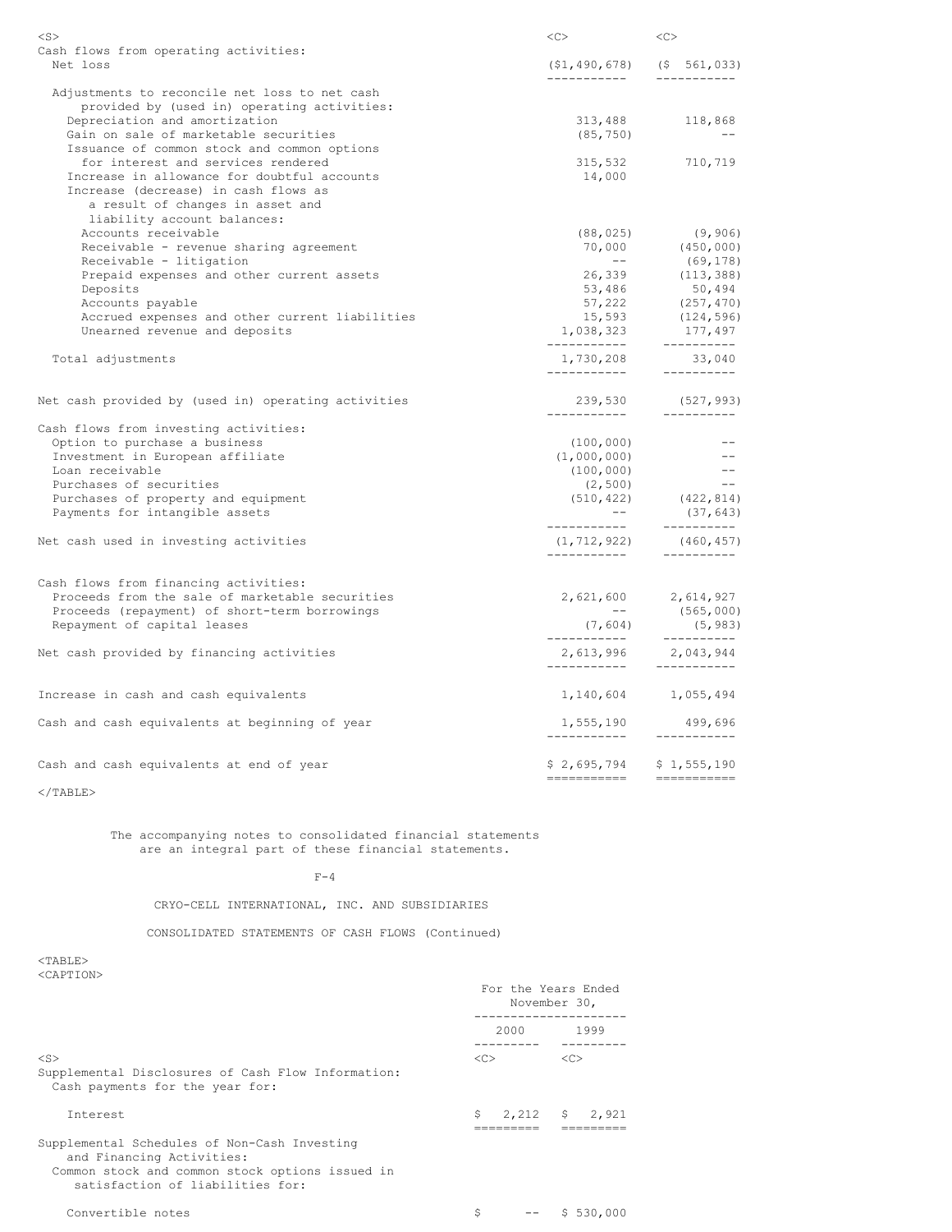| $<$ S>                                                                                   | <<>                                      | <<                                                                                                                                                                                                                                                                                       |
|------------------------------------------------------------------------------------------|------------------------------------------|------------------------------------------------------------------------------------------------------------------------------------------------------------------------------------------------------------------------------------------------------------------------------------------|
| Cash flows from operating activities:                                                    |                                          |                                                                                                                                                                                                                                                                                          |
| Net loss                                                                                 | ------------                             | $(51, 490, 678)$ $(5, 561, 033)$                                                                                                                                                                                                                                                         |
| Adjustments to reconcile net loss to net cash                                            |                                          |                                                                                                                                                                                                                                                                                          |
| provided by (used in) operating activities:                                              |                                          |                                                                                                                                                                                                                                                                                          |
| Depreciation and amortization                                                            |                                          | 313,488 118,868                                                                                                                                                                                                                                                                          |
| Gain on sale of marketable securities                                                    | (85, 750)                                | $-$                                                                                                                                                                                                                                                                                      |
| Issuance of common stock and common options                                              |                                          |                                                                                                                                                                                                                                                                                          |
| for interest and services rendered                                                       | 315,532                                  | 710,719                                                                                                                                                                                                                                                                                  |
| Increase in allowance for doubtful accounts                                              | 14,000                                   |                                                                                                                                                                                                                                                                                          |
| Increase (decrease) in cash flows as                                                     |                                          |                                                                                                                                                                                                                                                                                          |
| a result of changes in asset and                                                         |                                          |                                                                                                                                                                                                                                                                                          |
| liability account balances:                                                              |                                          |                                                                                                                                                                                                                                                                                          |
| Accounts receivable                                                                      | (88, 025)                                | (9, 906)                                                                                                                                                                                                                                                                                 |
| Receivable - revenue sharing agreement                                                   |                                          | (450,000)                                                                                                                                                                                                                                                                                |
|                                                                                          | $\sim$ $ -$                              |                                                                                                                                                                                                                                                                                          |
| Receivable - litigation                                                                  |                                          | (69, 178)                                                                                                                                                                                                                                                                                |
| Prepaid expenses and other current assets                                                | 26,339                                   | (113, 388)                                                                                                                                                                                                                                                                               |
| Deposits                                                                                 |                                          |                                                                                                                                                                                                                                                                                          |
| Accounts payable                                                                         |                                          |                                                                                                                                                                                                                                                                                          |
| Accrued expenses and other current liabilities                                           |                                          |                                                                                                                                                                                                                                                                                          |
| Unearned revenue and deposits                                                            | ____________                             | $50,494$<br>$15,593$<br>$1,038,323$<br>$177$<br>$15,593$<br>$177$<br>$179$<br>$179$<br>$179$<br>$179$<br>$179$<br>$179$<br>$179$<br>$179$<br>$179$<br>$179$<br>$179$<br>$179$<br>$179$<br>$179$<br>$179$<br>$179$<br>$179$<br>$179$<br>$179$<br>$179$<br>$179$<br>$179$<br>$179$<br>$17$ |
| Total adjustments                                                                        | ------------                             | 1,730,208 33,040<br>33,040                                                                                                                                                                                                                                                               |
| Net cash provided by (used in) operating activities                                      |                                          | 239,530 (527,993)                                                                                                                                                                                                                                                                        |
| Cash flows from investing activities:                                                    | -----------                              | -----------                                                                                                                                                                                                                                                                              |
| Option to purchase a business                                                            | (100, 000)                               |                                                                                                                                                                                                                                                                                          |
| Investment in European affiliate                                                         | (1,000,000)                              | $- -$                                                                                                                                                                                                                                                                                    |
| Loan receivable                                                                          | (100, 000)                               | $- -$                                                                                                                                                                                                                                                                                    |
| Purchases of securities                                                                  | (2, 500)                                 | $- -$                                                                                                                                                                                                                                                                                    |
|                                                                                          |                                          |                                                                                                                                                                                                                                                                                          |
| Purchases of property and equipment<br>Payments for intangible assets                    | $- -$                                    | $(510, 422)$ $(422, 814)$<br>(37, 643)                                                                                                                                                                                                                                                   |
|                                                                                          | ___________                              | ___________                                                                                                                                                                                                                                                                              |
| Net cash used in investing activities                                                    | (1, 712, 922)<br>___________             | (460, 457)<br>__________                                                                                                                                                                                                                                                                 |
|                                                                                          |                                          |                                                                                                                                                                                                                                                                                          |
| Cash flows from financing activities:<br>Proceeds from the sale of marketable securities |                                          | 2,621,600 2,614,927                                                                                                                                                                                                                                                                      |
| Proceeds (repayment) of short-term borrowings                                            |                                          | (565, 000)                                                                                                                                                                                                                                                                               |
| Repayment of capital leases                                                              |                                          | (5, 983)                                                                                                                                                                                                                                                                                 |
| Net cash provided by financing activities                                                | ___________                              | 2,043,944                                                                                                                                                                                                                                                                                |
|                                                                                          |                                          |                                                                                                                                                                                                                                                                                          |
| Increase in cash and cash equivalents                                                    |                                          | 1, 140, 604 1, 055, 494                                                                                                                                                                                                                                                                  |
| Cash and cash equivalents at beginning of year                                           |                                          |                                                                                                                                                                                                                                                                                          |
|                                                                                          |                                          |                                                                                                                                                                                                                                                                                          |
| Cash and cash equivalents at end of year                                                 | $$2,695,794$ $$1,555,190$<br>=========== | ===========                                                                                                                                                                                                                                                                              |
|                                                                                          |                                          |                                                                                                                                                                                                                                                                                          |

 $\rm <$  /TABLE>

The accompanying notes to consolidated financial statements are an integral part of these financial statements.

 $F-4$ 

CRYO-CELL INTERNATIONAL, INC. AND SUBSIDIARIES

CONSOLIDATED STATEMENTS OF CASH FLOWS (Continued)

<TABLE> <CAPTION>

| KUAPTIUNA                                                                                                                                                        | For the Years Ended<br>November 30, |                                                                                                                                                                                                                                         |
|------------------------------------------------------------------------------------------------------------------------------------------------------------------|-------------------------------------|-----------------------------------------------------------------------------------------------------------------------------------------------------------------------------------------------------------------------------------------|
|                                                                                                                                                                  |                                     | 2000 - 2001 - 2002 - 2003 - 2004 - 2006 - 2007 - 2008 - 2012 - 2012 - 2012 - 2012 - 2013 - 2014 - 2014 - 2014 - 2014 - 2014 - 2014 - 2014 - 2014 - 2014 - 2014 - 2014 - 2014 - 2014 - 2014 - 2014 - 2014 - 2014 - 2014 - 2014 -<br>1999 |
| $<$ S $>$<br>Supplemental Disclosures of Cash Flow Information:<br>Cash payments for the year for:                                                               | $<<$ $>$                            | <<                                                                                                                                                                                                                                      |
| <b>Tnterest</b>                                                                                                                                                  | Ŝ.                                  | 2,212 \$ 2,921                                                                                                                                                                                                                          |
| Supplemental Schedules of Non-Cash Investing<br>and Financing Activities:<br>Common stock and common stock options issued in<br>satisfaction of liabilities for: |                                     |                                                                                                                                                                                                                                         |
| Convertible notes                                                                                                                                                | \$                                  | \$530.000<br>$- -$                                                                                                                                                                                                                      |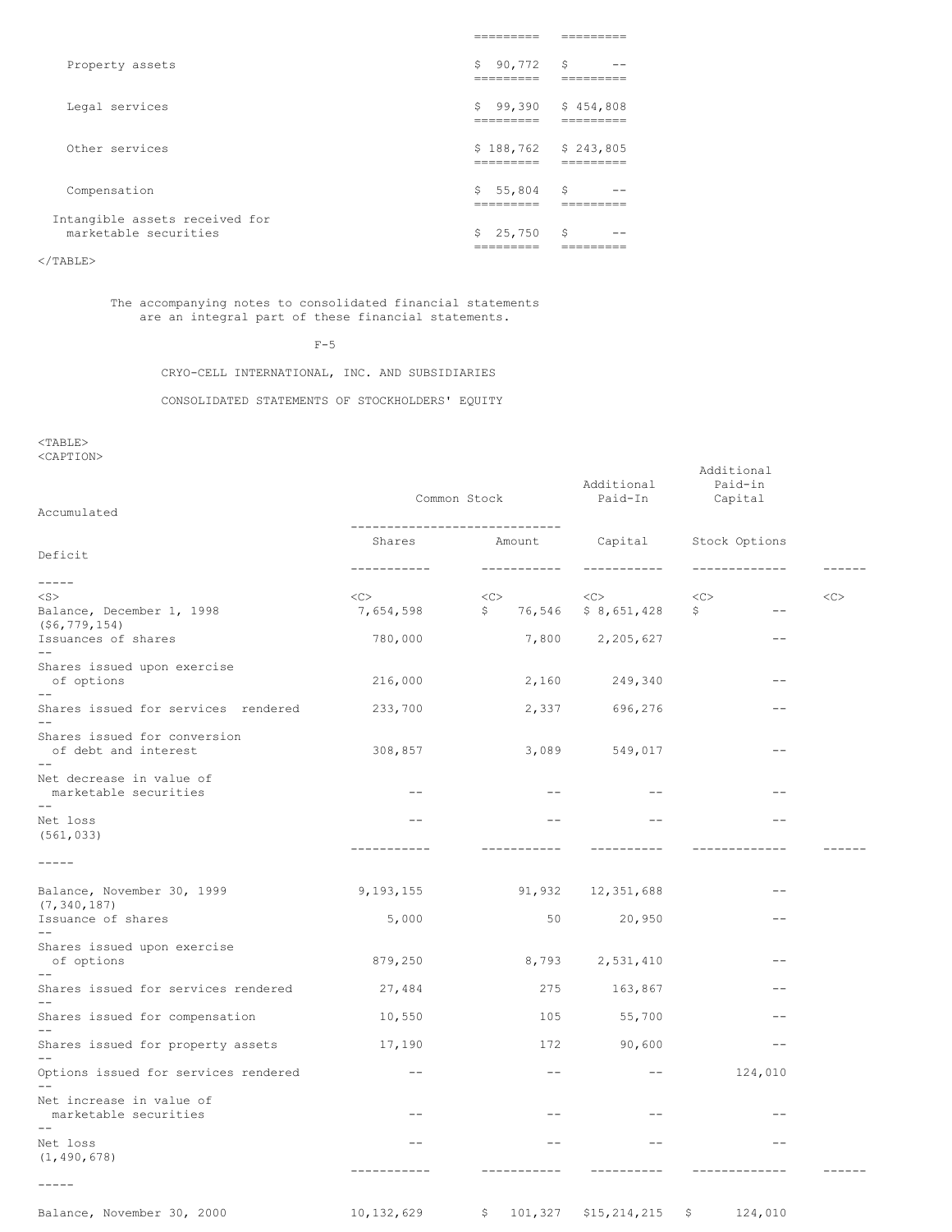| Property assets                                         | 90,772 \$<br>S.<br>--------- | --                             |
|---------------------------------------------------------|------------------------------|--------------------------------|
| Legal services                                          | _______                      | $$99,390 \t$454,808$<br>______ |
| Other services                                          |                              | $$188,762 \t$243,805$          |
| Compensation                                            | $$5,804$ \$                  |                                |
| Intangible assets received for<br>marketable securities | $$25,750$ \$                 |                                |

 $<$ /TABLE>

The accompanying notes to consolidated financial statements are an integral part of these financial statements.

 $F-5$ 

CRYO-CELL INTERNATIONAL, INC. AND SUBSIDIARIES

CONSOLIDATED STATEMENTS OF STOCKHOLDERS' EQUITY

<TABLE>

<CAPTION>

|                                                            |                       | Common Stock                  | Additional<br>Paid-In                   | Additional<br>Paid-in<br>Capital |           |
|------------------------------------------------------------|-----------------------|-------------------------------|-----------------------------------------|----------------------------------|-----------|
| Accumulated                                                |                       | ----------------------------- |                                         |                                  |           |
| Deficit                                                    | Shares<br>----------- | Amount<br>------------        | Capital<br>-----------                  | Stock Options<br>-------------   |           |
| -----                                                      |                       |                               |                                         |                                  |           |
| $<$ S $>$<br>Balance, December 1, 1998<br>$($ \$6,779,154) | <<<br>7,654,598       | <<><br>\$                     | $<<$ $<$ $<$ $>$<br>76,546 \$ 8,651,428 | <<<br>\$<br>$\qquad \qquad -$    | $<$ C $>$ |
| Issuances of shares                                        | 780,000               |                               | 7,800 2,205,627                         | $- -$                            |           |
| Shares issued upon exercise<br>of options                  | 216,000               | 2,160                         | 249,340                                 | $\qquad \qquad -$                |           |
| Shares issued for services rendered                        | 233,700               | 2,337                         | 696,276                                 |                                  |           |
| Shares issued for conversion<br>of debt and interest       | 308,857               | 3,089                         | 549,017                                 | $- -$                            |           |
| Net decrease in value of<br>marketable securities<br>$- -$ | $--$                  | $--$                          | $ -$                                    | $- -$                            |           |
| Net loss<br>(561, 033)                                     | $\qquad \qquad -$     | $- -$                         | $\qquad \qquad -$                       | $\qquad \qquad -$                |           |
| $------$                                                   | -----------           | -----------                   | ----------                              |                                  |           |
| Balance, November 30, 1999<br>(7, 340, 187)                | 9,193,155             |                               | 91,932 12,351,688                       |                                  |           |
| Issuance of shares                                         | 5,000                 | 50                            | 20,950                                  | $\qquad \qquad -$                |           |
| Shares issued upon exercise<br>of options                  | 879,250               |                               | 8,793 2,531,410                         | $\qquad \qquad -$                |           |
| Shares issued for services rendered                        | 27,484                | 275                           | 163,867                                 | $ -$                             |           |
| Shares issued for compensation                             | 10,550                | 105                           | 55,700                                  | $- -$                            |           |
| Shares issued for property assets                          | 17,190                | 172                           | 90,600                                  | $-\,-$                           |           |
| Options issued for services rendered                       | $\qquad \qquad -$     | $\qquad \qquad -$             | $--$                                    | 124,010                          |           |
| Net increase in value of<br>marketable securities<br>$- -$ | $\qquad \qquad -$     | $\qquad \qquad -$             | $ -$                                    | $\qquad \qquad -$                |           |
| Net loss<br>(1, 490, 678)                                  | $- -$                 | $- -$                         | $- -$                                   | $- -$                            |           |
| $- - - - -$                                                | -----------           |                               |                                         |                                  |           |
| Balance, November 30, 2000                                 | 10,132,629            | \$<br>101,327                 | $$15, 214, 215$ \$                      | 124,010                          |           |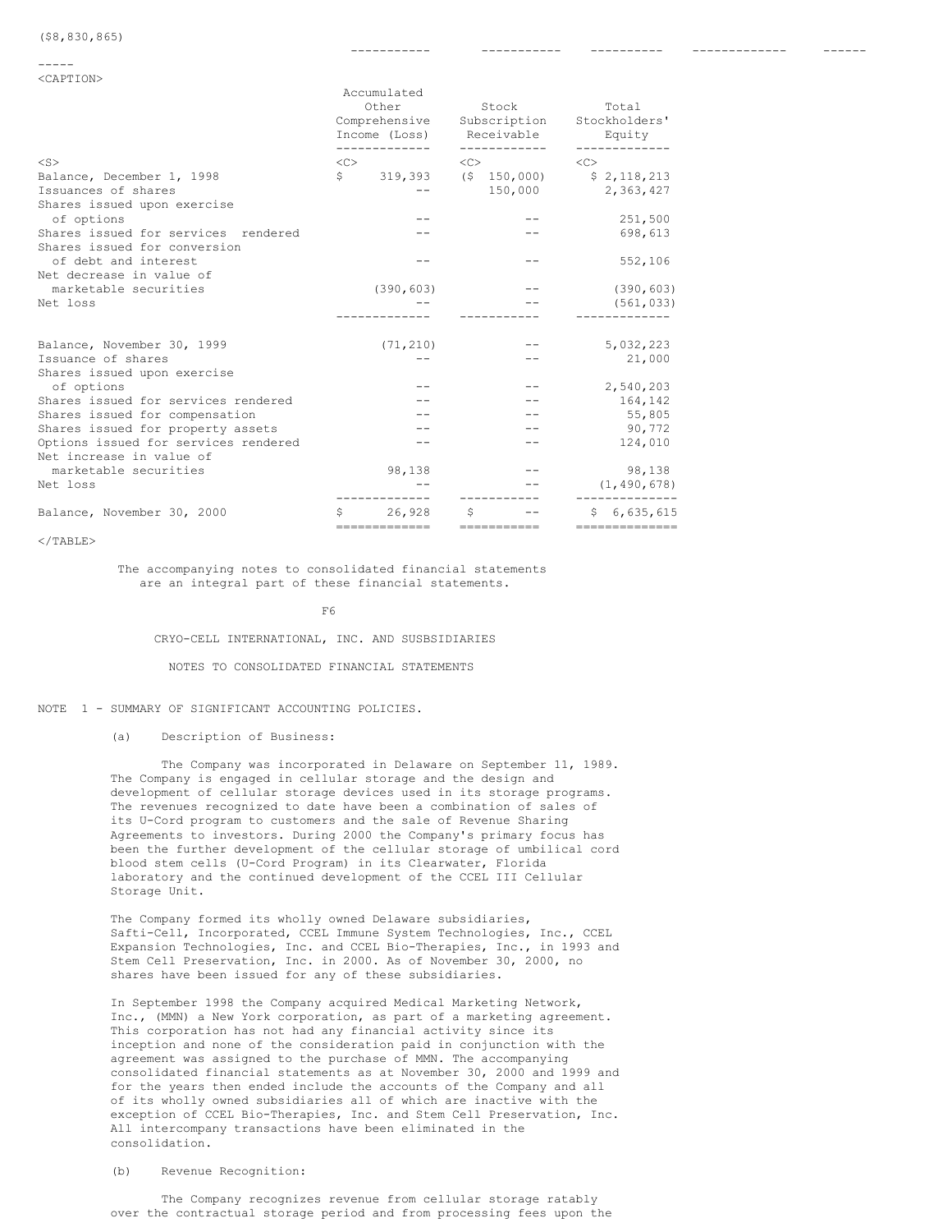| <caption></caption>                                                              |                                       |                          |                                                      |               |                                              |
|----------------------------------------------------------------------------------|---------------------------------------|--------------------------|------------------------------------------------------|---------------|----------------------------------------------|
|                                                                                  | Accumulated<br>Other<br>Income (Loss) |                          | Stock<br>Comprehensive<br>Subscription<br>Receivable |               | Total<br>Stockholders'<br>Equity             |
| $<$ S>                                                                           | $<\infty$                             | -------------            | $<\infty$                                            | ------------  | $\langle C \rangle$                          |
| Balance, December 1, 1998<br>Issuances of shares                                 | $S$ and $S$                           |                          |                                                      | 150,000       | 319,393 (\$150,000) \$2,118,213<br>2,363,427 |
| Shares issued upon exercise<br>of options<br>Shares issued for services rendered |                                       |                          |                                                      |               | 251,500<br>698,613                           |
| Shares issued for conversion<br>of debt and interest                             |                                       |                          |                                                      |               | 552,106                                      |
| Net decrease in value of<br>marketable securities                                |                                       | (390, 603)               |                                                      |               | (390, 603)                                   |
| Net loss                                                                         |                                       |                          |                                                      |               | (561, 033)                                   |
| Balance, November 30, 1999                                                       |                                       | (71, 210)                |                                                      |               | 5,032,223                                    |
| Issuance of shares<br>Shares issued upon exercise                                |                                       |                          |                                                      |               | 21,000                                       |
| of options                                                                       |                                       |                          |                                                      |               | 2,540,203                                    |
| Shares issued for services rendered                                              |                                       |                          |                                                      |               | 164,142                                      |
| Shares issued for compensation                                                   |                                       |                          |                                                      |               | 55,805                                       |
| Shares issued for property assets                                                |                                       |                          |                                                      |               | 90,772                                       |
| Options issued for services rendered<br>Net increase in value of                 |                                       |                          |                                                      |               | 124,010                                      |
| marketable securities                                                            |                                       | 98,138                   |                                                      |               | 98,138                                       |
| Net loss                                                                         |                                       |                          |                                                      |               | (1, 490, 678)                                |
| Balance, November 30, 2000                                                       | S                                     | 26,928<br>-------------- | S                                                    | ------------- | \$6,635,615<br>---------------               |

----------- ----------- ---------- ------------- ------

 $\langle$ /TABLE>

The accompanying notes to consolidated financial statements are an integral part of these financial statements.

F6

CRYO-CELL INTERNATIONAL, INC. AND SUSBSIDIARIES

NOTES TO CONSOLIDATED FINANCIAL STATEMENTS

NOTE 1 - SUMMARY OF SIGNIFICANT ACCOUNTING POLICIES.

(a) Description of Business:

The Company was incorporated in Delaware on September 11, 1989. The Company is engaged in cellular storage and the design and development of cellular storage devices used in its storage programs. The revenues recognized to date have been a combination of sales of its U-Cord program to customers and the sale of Revenue Sharing Agreements to investors. During 2000 the Company's primary focus has been the further development of the cellular storage of umbilical cord blood stem cells (U-Cord Program) in its Clearwater, Florida laboratory and the continued development of the CCEL III Cellular Storage Unit.

The Company formed its wholly owned Delaware subsidiaries, Safti-Cell, Incorporated, CCEL Immune System Technologies, Inc., CCEL Expansion Technologies, Inc. and CCEL Bio-Therapies, Inc., in 1993 and Stem Cell Preservation, Inc. in 2000. As of November 30, 2000, no shares have been issued for any of these subsidiaries.

In September 1998 the Company acquired Medical Marketing Network, Inc., (MMN) a New York corporation, as part of a marketing agreement. This corporation has not had any financial activity since its inception and none of the consideration paid in conjunction with the agreement was assigned to the purchase of MMN. The accompanying consolidated financial statements as at November 30, 2000 and 1999 and for the years then ended include the accounts of the Company and all of its wholly owned subsidiaries all of which are inactive with the exception of CCEL Bio-Therapies, Inc. and Stem Cell Preservation, Inc. All intercompany transactions have been eliminated in the consolidation.

## (b) Revenue Recognition:

The Company recognizes revenue from cellular storage ratably over the contractual storage period and from processing fees upon the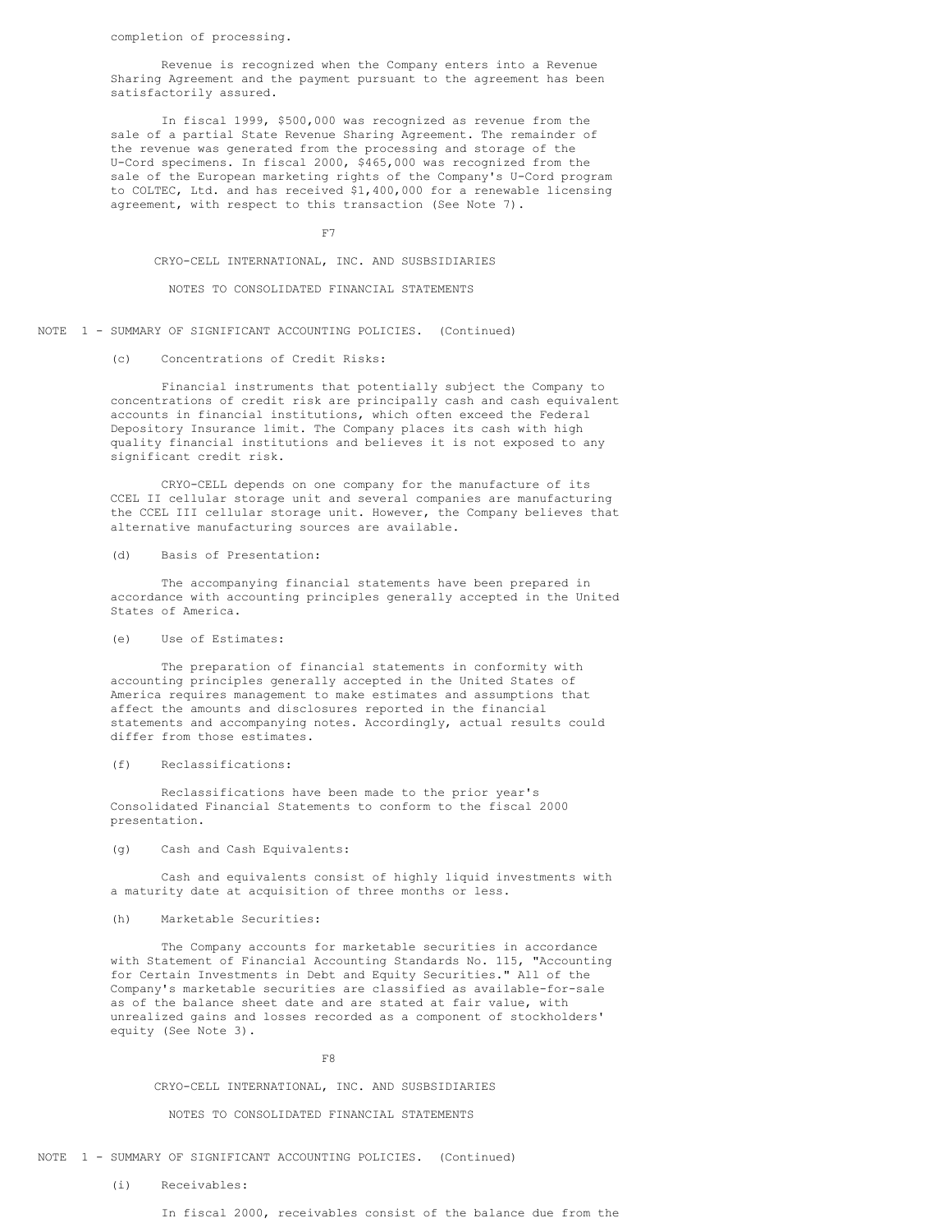completion of processing.

Revenue is recognized when the Company enters into a Revenue Sharing Agreement and the payment pursuant to the agreement has been satisfactorily assured.

In fiscal 1999, \$500,000 was recognized as revenue from the sale of a partial State Revenue Sharing Agreement. The remainder of the revenue was generated from the processing and storage of the U-Cord specimens. In fiscal 2000, \$465,000 was recognized from the sale of the European marketing rights of the Company's U-Cord program to COLTEC, Ltd. and has received \$1,400,000 for a renewable licensing agreement, with respect to this transaction (See Note 7).

F7

CRYO-CELL INTERNATIONAL, INC. AND SUSBSIDIARIES

## NOTES TO CONSOLIDATED FINANCIAL STATEMENTS

NOTE 1 - SUMMARY OF SIGNIFICANT ACCOUNTING POLICIES. (Continued)

# (c) Concentrations of Credit Risks:

Financial instruments that potentially subject the Company to concentrations of credit risk are principally cash and cash equivalent accounts in financial institutions, which often exceed the Federal Depository Insurance limit. The Company places its cash with high quality financial institutions and believes it is not exposed to any significant credit risk.

CRYO-CELL depends on one company for the manufacture of its CCEL II cellular storage unit and several companies are manufacturing the CCEL III cellular storage unit. However, the Company believes that alternative manufacturing sources are available.

(d) Basis of Presentation:

The accompanying financial statements have been prepared in accordance with accounting principles generally accepted in the United States of America.

## (e) Use of Estimates:

The preparation of financial statements in conformity with accounting principles generally accepted in the United States of America requires management to make estimates and assumptions that affect the amounts and disclosures reported in the financial statements and accompanying notes. Accordingly, actual results could differ from those estimates.

## (f) Reclassifications:

Reclassifications have been made to the prior year's Consolidated Financial Statements to conform to the fiscal 2000 presentation.

## (g) Cash and Cash Equivalents:

Cash and equivalents consist of highly liquid investments with a maturity date at acquisition of three months or less.

#### (h) Marketable Securities:

The Company accounts for marketable securities in accordance with Statement of Financial Accounting Standards No. 115, "Accounting for Certain Investments in Debt and Equity Securities." All of the Company's marketable securities are classified as available-for-sale as of the balance sheet date and are stated at fair value, with unrealized gains and losses recorded as a component of stockholders' equity (See Note 3).

#### F8

#### CRYO-CELL INTERNATIONAL, INC. AND SUSBSIDIARIES

#### NOTES TO CONSOLIDATED FINANCIAL STATEMENTS

#### NOTE 1 - SUMMARY OF SIGNIFICANT ACCOUNTING POLICIES. (Continued)

(i) Receivables: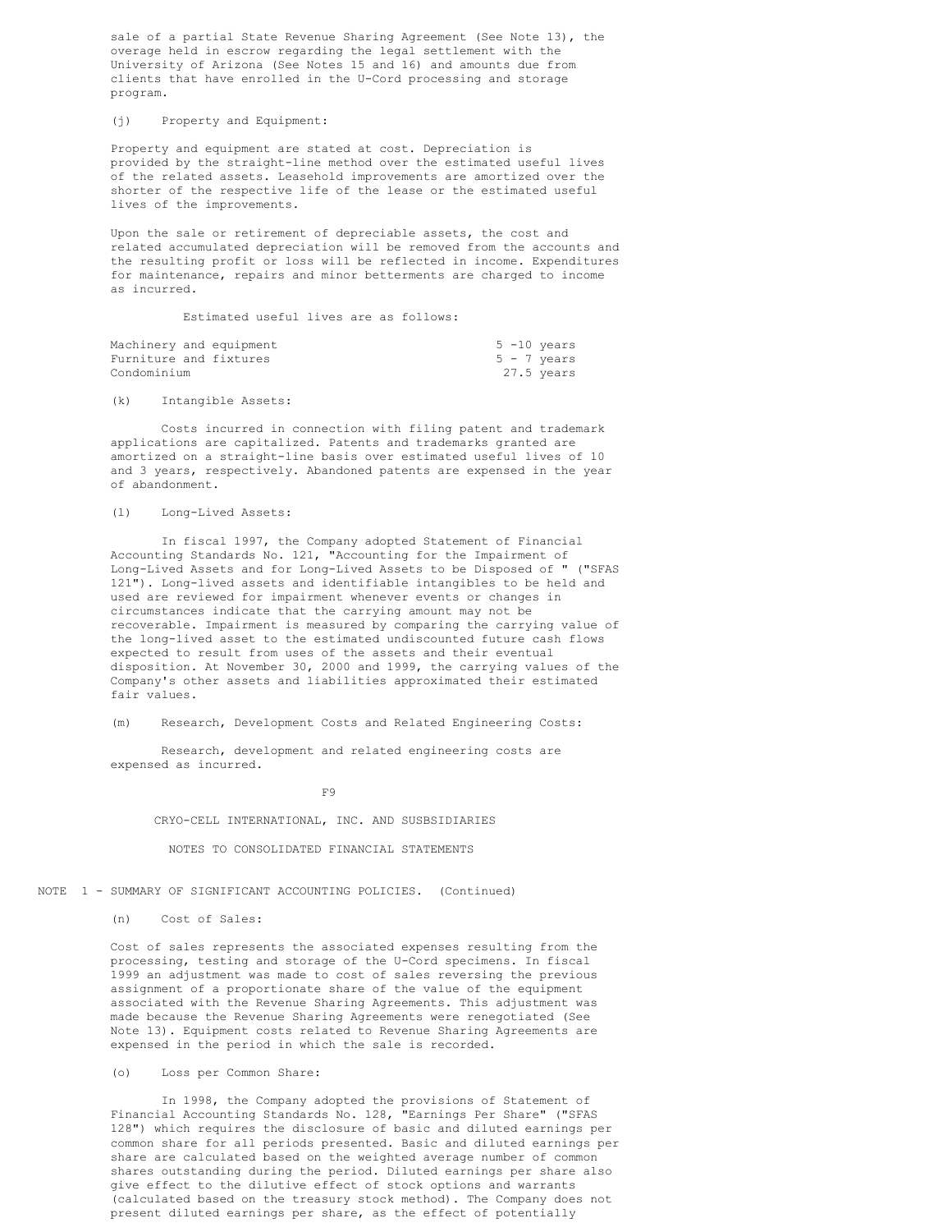sale of a partial State Revenue Sharing Agreement (See Note 13), the overage held in escrow regarding the legal settlement with the University of Arizona (See Notes 15 and 16) and amounts due from clients that have enrolled in the U-Cord processing and storage program.

#### (j) Property and Equipment:

Property and equipment are stated at cost. Depreciation is provided by the straight-line method over the estimated useful lives of the related assets. Leasehold improvements are amortized over the shorter of the respective life of the lease or the estimated useful lives of the improvements.

Upon the sale or retirement of depreciable assets, the cost and related accumulated depreciation will be removed from the accounts and the resulting profit or loss will be reflected in income. Expenditures for maintenance, repairs and minor betterments are charged to income as incurred.

Estimated useful lives are as follows:

|                        | Machinery and equipment |  | $5 - 10$ years |
|------------------------|-------------------------|--|----------------|
| Furniture and fixtures |                         |  | $5 - 7$ years  |
| Condominium            |                         |  | 27.5 years     |

(k) Intangible Assets:

Costs incurred in connection with filing patent and trademark applications are capitalized. Patents and trademarks granted are amortized on a straight-line basis over estimated useful lives of 10 and 3 years, respectively. Abandoned patents are expensed in the year of abandonment.

## (l) Long-Lived Assets:

In fiscal 1997, the Company adopted Statement of Financial Accounting Standards No. 121, "Accounting for the Impairment of Long-Lived Assets and for Long-Lived Assets to be Disposed of " ("SFAS 121"). Long-lived assets and identifiable intangibles to be held and used are reviewed for impairment whenever events or changes in circumstances indicate that the carrying amount may not be recoverable. Impairment is measured by comparing the carrying value of the long-lived asset to the estimated undiscounted future cash flows expected to result from uses of the assets and their eventual disposition. At November 30, 2000 and 1999, the carrying values of the Company's other assets and liabilities approximated their estimated fair values.

(m) Research, Development Costs and Related Engineering Costs:

Research, development and related engineering costs are expensed as incurred.

F9

CRYO-CELL INTERNATIONAL, INC. AND SUSBSIDIARIES

NOTES TO CONSOLIDATED FINANCIAL STATEMENTS

NOTE 1 - SUMMARY OF SIGNIFICANT ACCOUNTING POLICIES. (Continued)

(n) Cost of Sales:

Cost of sales represents the associated expenses resulting from the processing, testing and storage of the U-Cord specimens. In fiscal 1999 an adjustment was made to cost of sales reversing the previous assignment of a proportionate share of the value of the equipment associated with the Revenue Sharing Agreements. This adjustment was made because the Revenue Sharing Agreements were renegotiated (See Note 13). Equipment costs related to Revenue Sharing Agreements are expensed in the period in which the sale is recorded.

(o) Loss per Common Share:

In 1998, the Company adopted the provisions of Statement of Financial Accounting Standards No. 128, "Earnings Per Share" ("SFAS 128") which requires the disclosure of basic and diluted earnings per common share for all periods presented. Basic and diluted earnings per share are calculated based on the weighted average number of common shares outstanding during the period. Diluted earnings per share also give effect to the dilutive effect of stock options and warrants (calculated based on the treasury stock method). The Company does not present diluted earnings per share, as the effect of potentially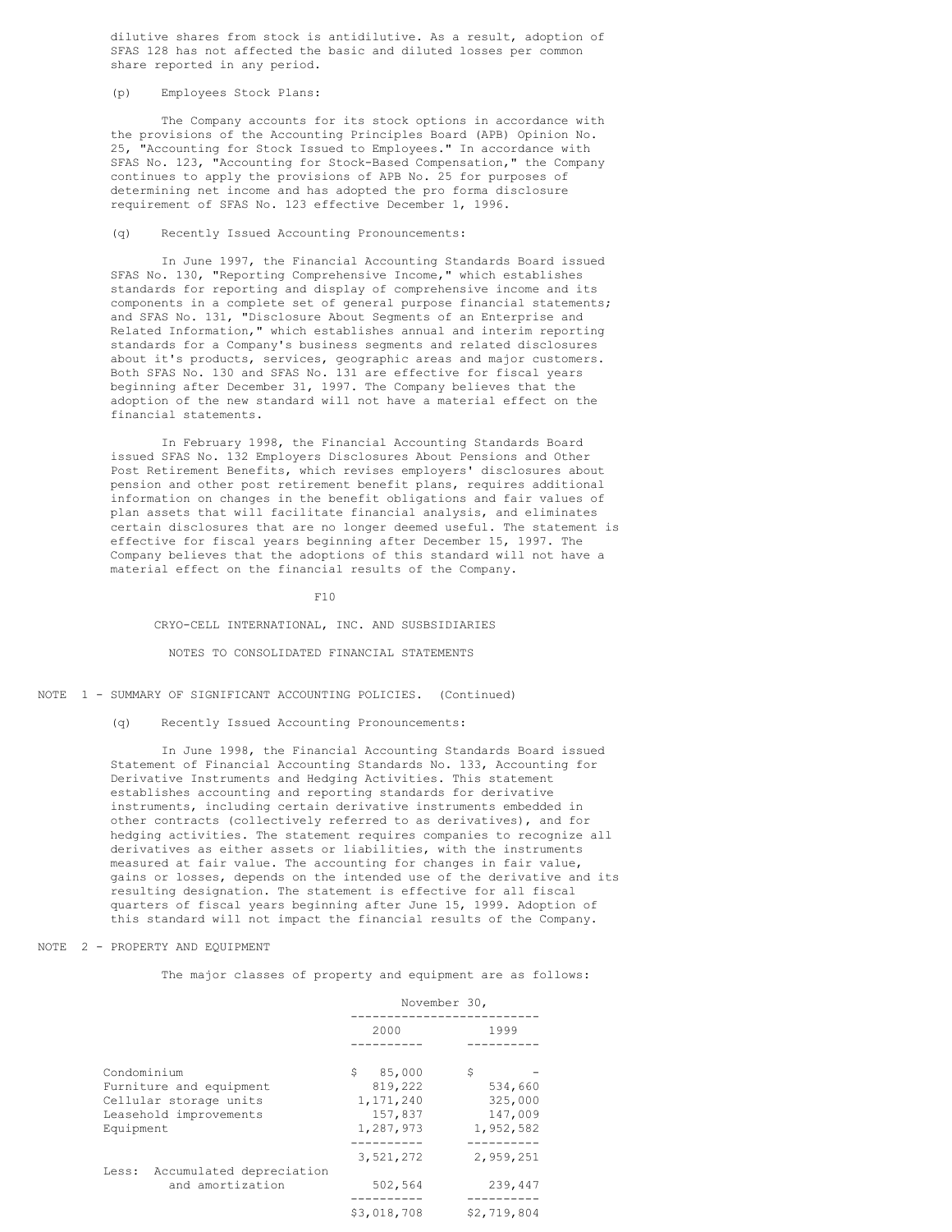dilutive shares from stock is antidilutive. As a result, adoption of SFAS 128 has not affected the basic and diluted losses per common share reported in any period.

## (p) Employees Stock Plans:

The Company accounts for its stock options in accordance with the provisions of the Accounting Principles Board (APB) Opinion No. 25, "Accounting for Stock Issued to Employees." In accordance with SFAS No. 123, "Accounting for Stock-Based Compensation," the Company continues to apply the provisions of APB No. 25 for purposes of determining net income and has adopted the pro forma disclosure requirement of SFAS No. 123 effective December 1, 1996.

#### (q) Recently Issued Accounting Pronouncements:

In June 1997, the Financial Accounting Standards Board issued SFAS No. 130, "Reporting Comprehensive Income," which establishes standards for reporting and display of comprehensive income and its components in a complete set of general purpose financial statements; and SFAS No. 131, "Disclosure About Segments of an Enterprise and Related Information," which establishes annual and interim reporting standards for a Company's business segments and related disclosures about it's products, services, geographic areas and major customers. Both SFAS No. 130 and SFAS No. 131 are effective for fiscal years beginning after December 31, 1997. The Company believes that the adoption of the new standard will not have a material effect on the financial statements.

In February 1998, the Financial Accounting Standards Board issued SFAS No. 132 Employers Disclosures About Pensions and Other Post Retirement Benefits, which revises employers' disclosures about pension and other post retirement benefit plans, requires additional information on changes in the benefit obligations and fair values of plan assets that will facilitate financial analysis, and eliminates certain disclosures that are no longer deemed useful. The statement is effective for fiscal years beginning after December 15, 1997. The Company believes that the adoptions of this standard will not have a material effect on the financial results of the Company.

 $F10$ 

CRYO-CELL INTERNATIONAL, INC. AND SUSBSIDIARIES

#### NOTES TO CONSOLIDATED FINANCIAL STATEMENTS

## NOTE 1 - SUMMARY OF SIGNIFICANT ACCOUNTING POLICIES. (Continued)

#### (q) Recently Issued Accounting Pronouncements:

In June 1998, the Financial Accounting Standards Board issued Statement of Financial Accounting Standards No. 133, Accounting for Derivative Instruments and Hedging Activities. This statement establishes accounting and reporting standards for derivative instruments, including certain derivative instruments embedded in other contracts (collectively referred to as derivatives), and for hedging activities. The statement requires companies to recognize all derivatives as either assets or liabilities, with the instruments measured at fair value. The accounting for changes in fair value, gains or losses, depends on the intended use of the derivative and its resulting designation. The statement is effective for all fiscal quarters of fiscal years beginning after June 15, 1999. Adoption of this standard will not impact the financial results of the Company.

#### NOTE 2 - PROPERTY AND EQUIPMENT

The major classes of property and equipment are as follows:

|                                   |              | November 30, |
|-----------------------------------|--------------|--------------|
|                                   | 2000         | 1999         |
|                                   |              |              |
| Condominium                       | S.<br>85,000 | \$           |
| Furniture and equipment           | 819,222      | 534,660      |
| Cellular storage units            | 1,171,240    | 325,000      |
| Leasehold improvements            | 157,837      | 147,009      |
| Equipment                         | 1,287,973    | 1,952,582    |
|                                   |              |              |
|                                   | 3,521,272    | 2,959,251    |
| Accumulated depreciation<br>Less: |              |              |
| and amortization                  | 502,564      | 239,447      |
|                                   | \$3.018.708  | \$2.719.804  |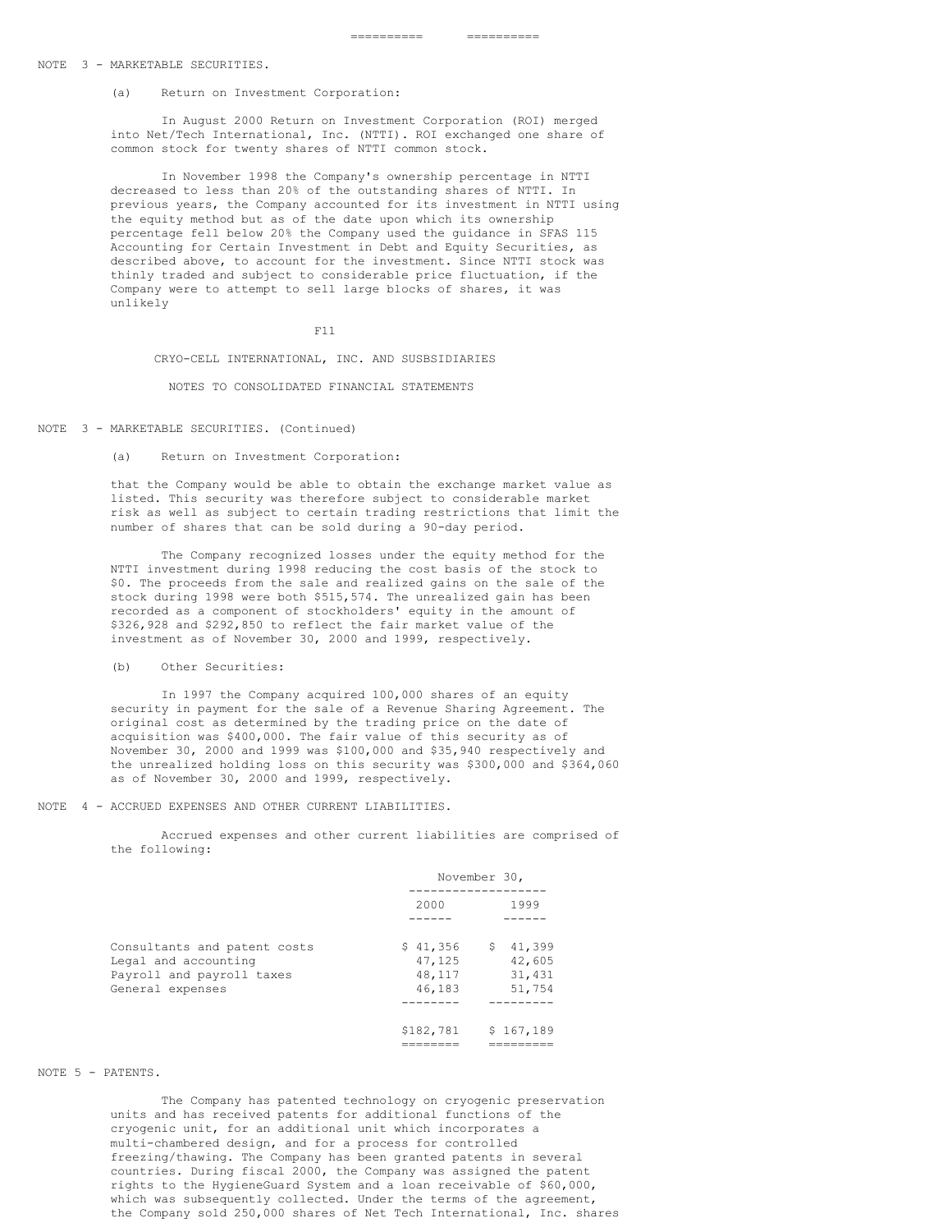#### NOTE 3 - MARKETABLE SECURITIES.

(a) Return on Investment Corporation:

In August 2000 Return on Investment Corporation (ROI) merged into Net/Tech International, Inc. (NTTI). ROI exchanged one share of common stock for twenty shares of NTTI common stock.

In November 1998 the Company's ownership percentage in NTTI decreased to less than 20% of the outstanding shares of NTTI. In previous years, the Company accounted for its investment in NTTI using the equity method but as of the date upon which its ownership percentage fell below 20% the Company used the guidance in SFAS 115 Accounting for Certain Investment in Debt and Equity Securities, as described above, to account for the investment. Since NTTI stock was thinly traded and subject to considerable price fluctuation, if the Company were to attempt to sell large blocks of shares, it was unlikely

F11

CRYO-CELL INTERNATIONAL, INC. AND SUSBSIDIARIES

NOTES TO CONSOLIDATED FINANCIAL STATEMENTS

NOTE 3 - MARKETABLE SECURITIES. (Continued)

(a) Return on Investment Corporation:

that the Company would be able to obtain the exchange market value as listed. This security was therefore subject to considerable market risk as well as subject to certain trading restrictions that limit the number of shares that can be sold during a 90-day period.

The Company recognized losses under the equity method for the NTTI investment during 1998 reducing the cost basis of the stock to \$0. The proceeds from the sale and realized gains on the sale of the stock during 1998 were both \$515,574. The unrealized gain has been recorded as a component of stockholders' equity in the amount of \$326,928 and \$292,850 to reflect the fair market value of the investment as of November 30, 2000 and 1999, respectively.

(b) Other Securities:

In 1997 the Company acquired 100,000 shares of an equity security in payment for the sale of a Revenue Sharing Agreement. The original cost as determined by the trading price on the date of acquisition was \$400,000. The fair value of this security as of November 30, 2000 and 1999 was \$100,000 and \$35,940 respectively and the unrealized holding loss on this security was \$300,000 and \$364,060 as of November 30, 2000 and 1999, respectively.

NOTE 4 - ACCRUED EXPENSES AND OTHER CURRENT LIABILITIES.

Accrued expenses and other current liabilities are comprised of the following:

|                                                                                                       | November 30,                           |                                        |  |
|-------------------------------------------------------------------------------------------------------|----------------------------------------|----------------------------------------|--|
|                                                                                                       | 2000                                   | 1999                                   |  |
| Consultants and patent costs<br>Legal and accounting<br>Payroll and payroll taxes<br>General expenses | \$41,356<br>47,125<br>48,117<br>46,183 | \$41,399<br>42,605<br>31,431<br>51,754 |  |
|                                                                                                       | \$182,781                              | \$167,189                              |  |

#### NOTE 5 - PATENTS.

The Company has patented technology on cryogenic preservation units and has received patents for additional functions of the cryogenic unit, for an additional unit which incorporates a multi-chambered design, and for a process for controlled freezing/thawing. The Company has been granted patents in several countries. During fiscal 2000, the Company was assigned the patent rights to the HygieneGuard System and a loan receivable of \$60,000, which was subsequently collected. Under the terms of the agreement, the Company sold 250,000 shares of Net Tech International, Inc. shares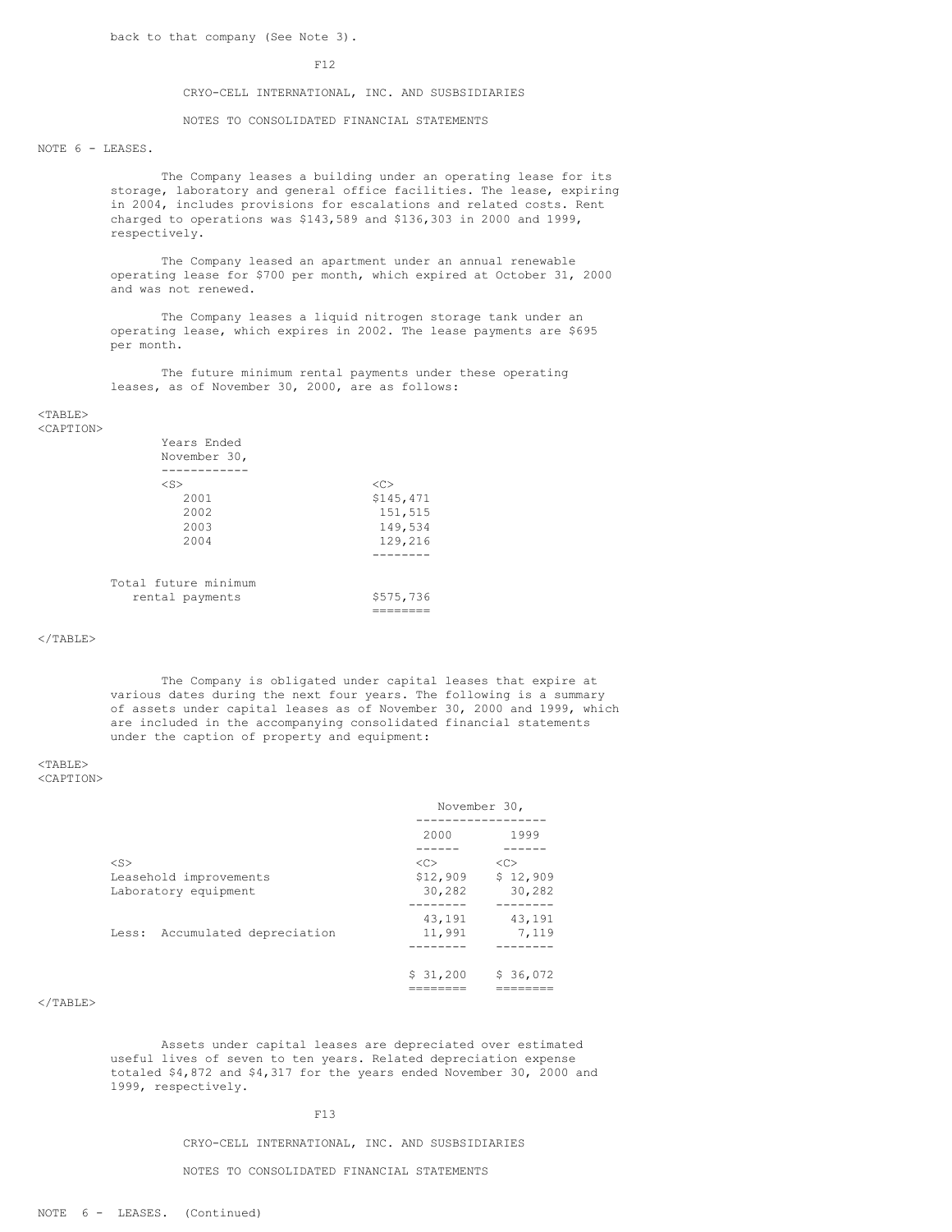back to that company (See Note 3).

#### F12

## CRYO-CELL INTERNATIONAL, INC. AND SUSBSIDIARIES

NOTES TO CONSOLIDATED FINANCIAL STATEMENTS

## NOTE 6 - LEASES.

The Company leases a building under an operating lease for its storage, laboratory and general office facilities. The lease, expiring in 2004, includes provisions for escalations and related costs. Rent charged to operations was \$143,589 and \$136,303 in 2000 and 1999, respectively.

The Company leased an apartment under an annual renewable operating lease for \$700 per month, which expired at October 31, 2000 and was not renewed.

The Company leases a liquid nitrogen storage tank under an operating lease, which expires in 2002. The lease payments are \$695 per month.

The future minimum rental payments under these operating leases, as of November 30, 2000, are as follows:

#### <TABLE> <CAPTION>

| Years Ended<br>November 30, |               |
|-----------------------------|---------------|
|                             |               |
| $<$ S $>$                   | < <sub></sub> |
| 2001                        | \$145,471     |
| 2002                        | 151,515       |
| 2003                        | 149,534       |
| 2004                        | 129,216       |
|                             |               |
| Total future minimum        |               |
| rental payments             | \$575,736     |
|                             |               |

## $\langle$ /TABLE>

The Company is obligated under capital leases that expire at various dates during the next four years. The following is a summary of assets under capital leases as of November 30, 2000 and 1999, which are included in the accompanying consolidated financial statements under the caption of property and equipment:

#### <TABLE>

<CAPTION>

|                                                | November 30,       |                    |  |
|------------------------------------------------|--------------------|--------------------|--|
|                                                | 2000               | 1999               |  |
| $<$ S>                                         | < <sub></sub>      | <<                 |  |
| Leasehold improvements<br>Laboratory equipment | \$12,909<br>30,282 | \$12,909<br>30,282 |  |
| Less: Accumulated depreciation                 | 43,191<br>11,991   | 43,191<br>7,119    |  |
|                                                | \$31,200           | \$36,072           |  |

## $<$ /TABLE>

Assets under capital leases are depreciated over estimated useful lives of seven to ten years. Related depreciation expense totaled \$4,872 and \$4,317 for the years ended November 30, 2000 and 1999, respectively.

## F13

CRYO-CELL INTERNATIONAL, INC. AND SUSBSIDIARIES

NOTES TO CONSOLIDATED FINANCIAL STATEMENTS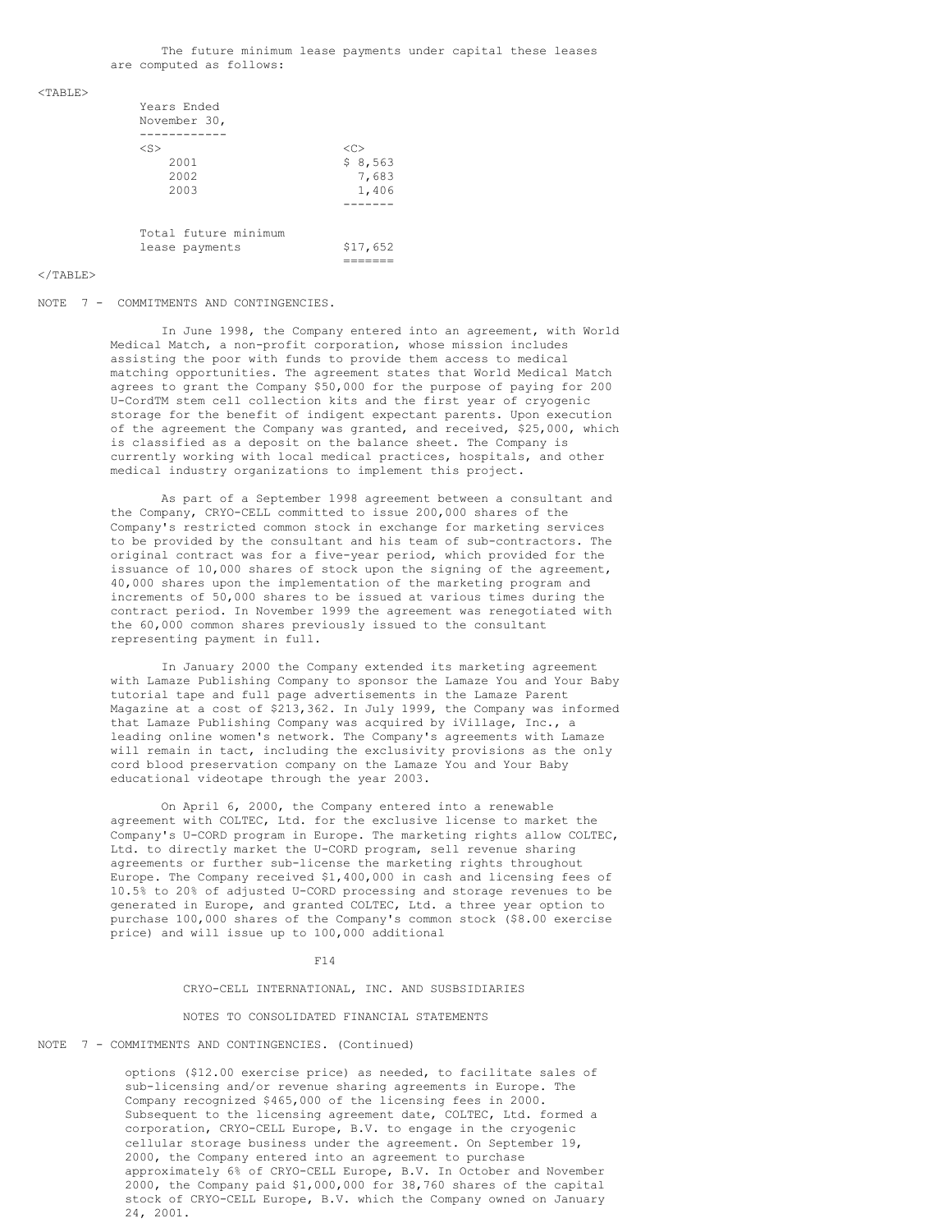#### $<$ TABLE>

| Years Ended<br>November 30, |               |
|-----------------------------|---------------|
|                             |               |
| $<$ S $>$                   | < <sub></sub> |
| 2001                        | \$8,563       |
| 2002                        | 7,683         |
| 2003                        | 1,406         |
|                             |               |
| Total future minimum        |               |
| lease payments              | \$17,652      |
|                             |               |

#### </TABLE>

#### NOTE 7 - COMMITMENTS AND CONTINGENCIES.

In June 1998, the Company entered into an agreement, with World Medical Match, a non-profit corporation, whose mission includes assisting the poor with funds to provide them access to medical matching opportunities. The agreement states that World Medical Match agrees to grant the Company \$50,000 for the purpose of paying for 200 U-CordTM stem cell collection kits and the first year of cryogenic storage for the benefit of indigent expectant parents. Upon execution of the agreement the Company was granted, and received, \$25,000, which is classified as a deposit on the balance sheet. The Company is currently working with local medical practices, hospitals, and other medical industry organizations to implement this project.

As part of a September 1998 agreement between a consultant and the Company, CRYO-CELL committed to issue 200,000 shares of the Company's restricted common stock in exchange for marketing services to be provided by the consultant and his team of sub-contractors. The original contract was for a five-year period, which provided for the issuance of 10,000 shares of stock upon the signing of the agreement, 40,000 shares upon the implementation of the marketing program and increments of 50,000 shares to be issued at various times during the contract period. In November 1999 the agreement was renegotiated with the 60,000 common shares previously issued to the consultant representing payment in full.

In January 2000 the Company extended its marketing agreement with Lamaze Publishing Company to sponsor the Lamaze You and Your Baby tutorial tape and full page advertisements in the Lamaze Parent Magazine at a cost of \$213,362. In July 1999, the Company was informed that Lamaze Publishing Company was acquired by iVillage, Inc., a leading online women's network. The Company's agreements with Lamaze will remain in tact, including the exclusivity provisions as the only cord blood preservation company on the Lamaze You and Your Baby educational videotape through the year 2003.

On April 6, 2000, the Company entered into a renewable agreement with COLTEC, Ltd. for the exclusive license to market the Company's U-CORD program in Europe. The marketing rights allow COLTEC, Ltd. to directly market the U-CORD program, sell revenue sharing agreements or further sub-license the marketing rights throughout Europe. The Company received \$1,400,000 in cash and licensing fees of 10.5% to 20% of adjusted U-CORD processing and storage revenues to be generated in Europe, and granted COLTEC, Ltd. a three year option to purchase 100,000 shares of the Company's common stock (\$8.00 exercise price) and will issue up to 100,000 additional

#### F14

#### CRYO-CELL INTERNATIONAL, INC. AND SUSBSIDIARIES

#### NOTES TO CONSOLIDATED FINANCIAL STATEMENTS

#### NOTE 7 - COMMITMENTS AND CONTINGENCIES. (Continued)

options (\$12.00 exercise price) as needed, to facilitate sales of sub-licensing and/or revenue sharing agreements in Europe. The Company recognized \$465,000 of the licensing fees in 2000. Subsequent to the licensing agreement date, COLTEC, Ltd. formed a corporation, CRYO-CELL Europe, B.V. to engage in the cryogenic cellular storage business under the agreement. On September 19, 2000, the Company entered into an agreement to purchase approximately 6% of CRYO-CELL Europe, B.V. In October and November 2000, the Company paid \$1,000,000 for 38,760 shares of the capital stock of CRYO-CELL Europe, B.V. which the Company owned on January 24, 2001.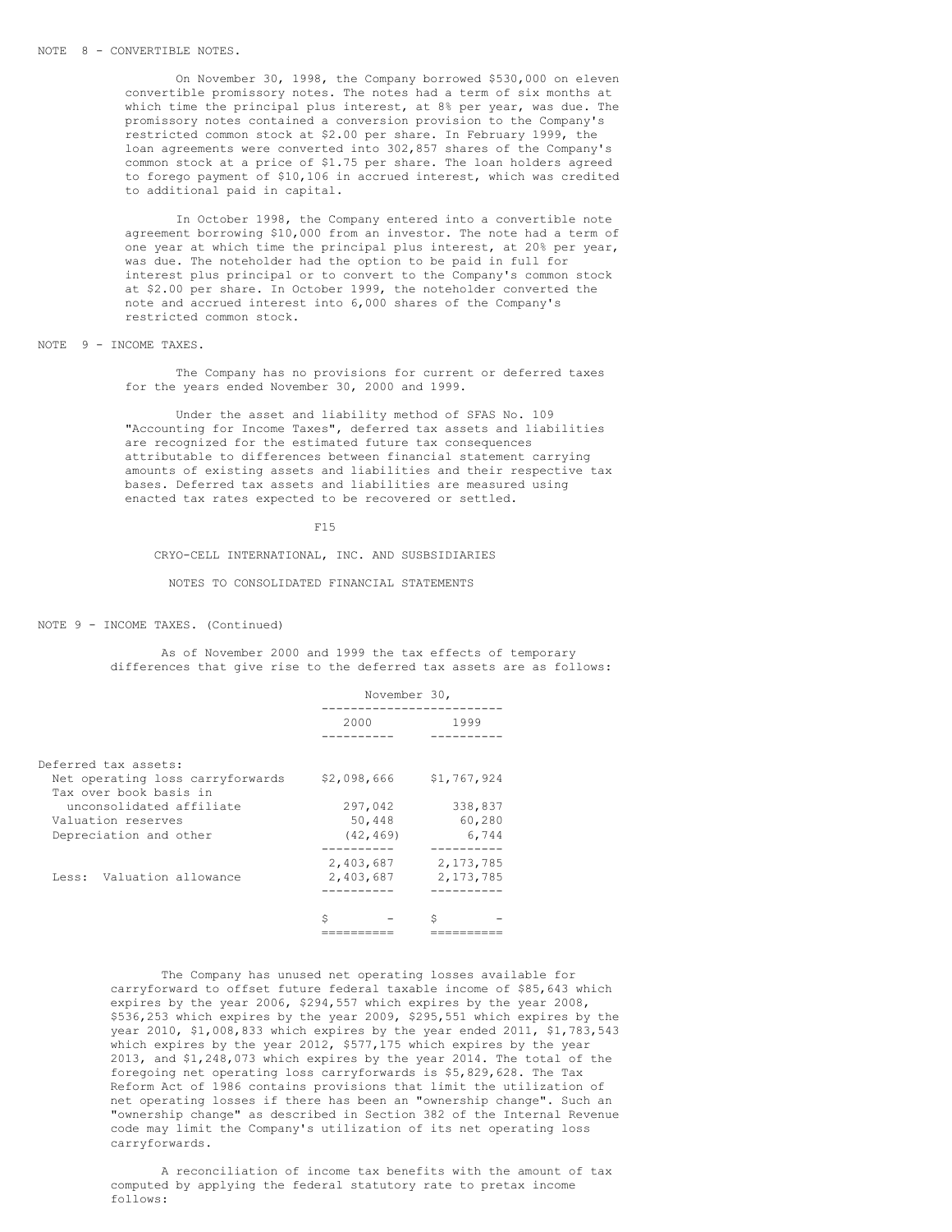On November 30, 1998, the Company borrowed \$530,000 on eleven convertible promissory notes. The notes had a term of six months at which time the principal plus interest, at 8% per year, was due. The promissory notes contained a conversion provision to the Company's restricted common stock at \$2.00 per share. In February 1999, the loan agreements were converted into 302,857 shares of the Company's common stock at a price of \$1.75 per share. The loan holders agreed to forego payment of \$10,106 in accrued interest, which was credited to additional paid in capital.

In October 1998, the Company entered into a convertible note agreement borrowing \$10,000 from an investor. The note had a term of one year at which time the principal plus interest, at 20% per year, was due. The noteholder had the option to be paid in full for interest plus principal or to convert to the Company's common stock at \$2.00 per share. In October 1999, the noteholder converted the note and accrued interest into 6,000 shares of the Company's restricted common stock.

## NOTE 9 - INCOME TAXES.

The Company has no provisions for current or deferred taxes for the years ended November 30, 2000 and 1999.

Under the asset and liability method of SFAS No. 109 "Accounting for Income Taxes", deferred tax assets and liabilities are recognized for the estimated future tax consequences attributable to differences between financial statement carrying amounts of existing assets and liabilities and their respective tax bases. Deferred tax assets and liabilities are measured using enacted tax rates expected to be recovered or settled.

#### F15

## CRYO-CELL INTERNATIONAL, INC. AND SUSBSIDIARIES

## NOTES TO CONSOLIDATED FINANCIAL STATEMENTS

#### NOTE 9 - INCOME TAXES. (Continued)

As of November 2000 and 1999 the tax effects of temporary differences that give rise to the deferred tax assets are as follows:

|                                                            | November 30,           |                                 |  |  |
|------------------------------------------------------------|------------------------|---------------------------------|--|--|
|                                                            | 2000                   | 1999                            |  |  |
|                                                            |                        |                                 |  |  |
| Deferred tax assets:                                       |                        |                                 |  |  |
| Net operating loss carryforwards<br>Tax over book basis in | \$2,098,666            | \$1,767,924                     |  |  |
| unconsolidated affiliate                                   | 297,042                | 338,837                         |  |  |
| Valuation reserves                                         | 50,448                 | 60,280                          |  |  |
| Depreciation and other                                     | (42, 469)              | 6,744                           |  |  |
| Valuation allowance<br>Less:                               | 2,403,687<br>2,403,687 | .<br>2, 173, 785<br>2, 173, 785 |  |  |
|                                                            |                        |                                 |  |  |
|                                                            | Ś                      | Ŝ                               |  |  |
|                                                            |                        |                                 |  |  |

The Company has unused net operating losses available for carryforward to offset future federal taxable income of \$85,643 which expires by the year 2006, \$294,557 which expires by the year 2008, \$536,253 which expires by the year 2009, \$295,551 which expires by the year 2010, \$1,008,833 which expires by the year ended 2011, \$1,783,543 which expires by the year 2012, \$577,175 which expires by the year 2013, and \$1,248,073 which expires by the year 2014. The total of the foregoing net operating loss carryforwards is \$5,829,628. The Tax Reform Act of 1986 contains provisions that limit the utilization of net operating losses if there has been an "ownership change". Such an "ownership change" as described in Section 382 of the Internal Revenue code may limit the Company's utilization of its net operating loss carryforwards.

A reconciliation of income tax benefits with the amount of tax computed by applying the federal statutory rate to pretax income follows: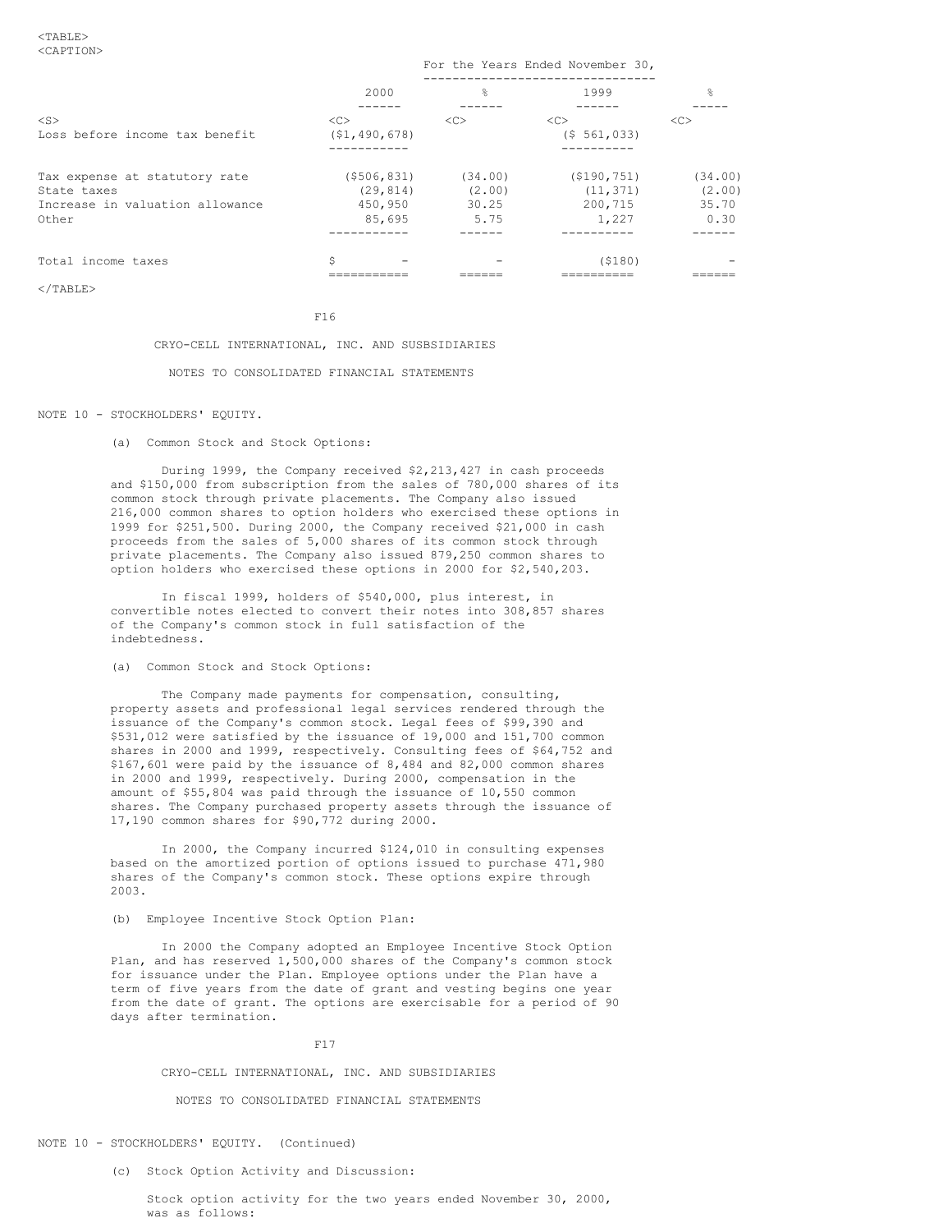$\langle$ /TABLE>

|                                                                                          | 2000                                            | 읒                                  | 1999                                           | $\frac{6}{10}$                     |  |  |
|------------------------------------------------------------------------------------------|-------------------------------------------------|------------------------------------|------------------------------------------------|------------------------------------|--|--|
| $<$ S><br>Loss before income tax benefit                                                 | <<<br>(51, 490, 678)                            | <<                                 | < <sub><br/>(5 561, 033)</sub>                 | <<                                 |  |  |
| Tax expense at statutory rate<br>State taxes<br>Increase in valuation allowance<br>Other | $($ \$506,831)<br>(29.814)<br>450,950<br>85,695 | (34.00)<br>(2.00)<br>30.25<br>5.75 | ( \$190, 751)<br>(11, 371)<br>200,715<br>1,227 | (34,00)<br>(2.00)<br>35.70<br>0.30 |  |  |
| Total income taxes                                                                       | Ŝ                                               |                                    | (5180)                                         |                                    |  |  |

For the Years Ended November 30,

# F16 CRYO-CELL INTERNATIONAL, INC. AND SUSBSIDIARIES

#### NOTES TO CONSOLIDATED FINANCIAL STATEMENTS

## NOTE 10 - STOCKHOLDERS' EQUITY.

(a) Common Stock and Stock Options:

During 1999, the Company received \$2,213,427 in cash proceeds and \$150,000 from subscription from the sales of 780,000 shares of its common stock through private placements. The Company also issued 216,000 common shares to option holders who exercised these options in 1999 for \$251,500. During 2000, the Company received \$21,000 in cash proceeds from the sales of 5,000 shares of its common stock through private placements. The Company also issued 879,250 common shares to option holders who exercised these options in 2000 for \$2,540,203.

In fiscal 1999, holders of \$540,000, plus interest, in convertible notes elected to convert their notes into 308,857 shares of the Company's common stock in full satisfaction of the indebtedness.

# (a) Common Stock and Stock Options:

The Company made payments for compensation, consulting, property assets and professional legal services rendered through the issuance of the Company's common stock. Legal fees of \$99,390 and \$531,012 were satisfied by the issuance of 19,000 and 151,700 common shares in 2000 and 1999, respectively. Consulting fees of \$64,752 and \$167,601 were paid by the issuance of 8,484 and 82,000 common shares in 2000 and 1999, respectively. During 2000, compensation in the amount of \$55,804 was paid through the issuance of 10,550 common shares. The Company purchased property assets through the issuance of 17,190 common shares for \$90,772 during 2000.

In 2000, the Company incurred \$124,010 in consulting expenses based on the amortized portion of options issued to purchase 471,980 shares of the Company's common stock. These options expire through 2003.

## (b) Employee Incentive Stock Option Plan:

In 2000 the Company adopted an Employee Incentive Stock Option Plan, and has reserved 1,500,000 shares of the Company's common stock for issuance under the Plan. Employee options under the Plan have a term of five years from the date of grant and vesting begins one year from the date of grant. The options are exercisable for a period of 90 days after termination.

#### F17

## CRYO-CELL INTERNATIONAL, INC. AND SUBSIDIARIES

## NOTES TO CONSOLIDATED FINANCIAL STATEMENTS

#### NOTE 10 - STOCKHOLDERS' EQUITY. (Continued)

(c) Stock Option Activity and Discussion:

Stock option activity for the two years ended November 30, 2000, was as follows: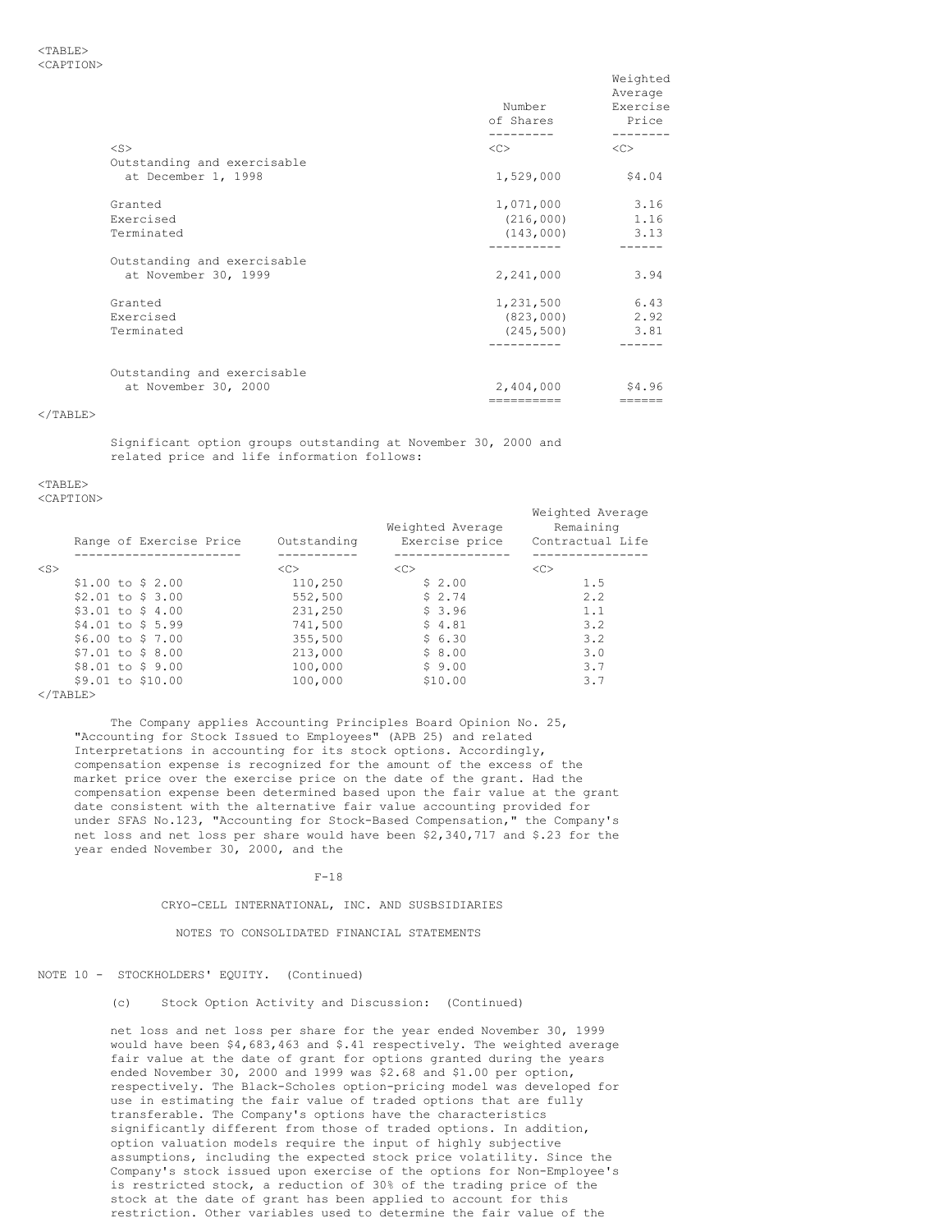|                                                    | Number<br>of Shares | Weighted<br>Average<br>Exercise<br>Price<br>-------- |
|----------------------------------------------------|---------------------|------------------------------------------------------|
| $<$ S>                                             | $<<$ $>>$           | < <sub></sub>                                        |
| Outstanding and exercisable<br>at December 1, 1998 | 1,529,000           | \$4.04                                               |
| Granted                                            | 1,071,000           | 3.16                                                 |
| Exercised                                          | $(216,000)$ 1.16    |                                                      |
| Terminated                                         | $(143,000)$ 3.13    |                                                      |
|                                                    | ----------          |                                                      |
| Outstanding and exercisable                        |                     |                                                      |
| at November 30, 1999                               | 2,241,000           | 3.94                                                 |
| Granted                                            | 1,231,500           | 6.43                                                 |
| Exercised                                          | (823,000)           | 2.92                                                 |
| Terminated                                         | (245, 500)          | 3.81                                                 |
|                                                    |                     |                                                      |
| Outstanding and exercisable                        |                     |                                                      |
| at November 30, 2000                               | 2,404,000           | \$4.96                                               |
|                                                    | ==========          | ======                                               |

</TABLE>

Significant option groups outstanding at November 30, 2000 and related price and life information follows:

<TABLE>

<CAPTION>

|        | Range of Exercise Price | Outstanding   | Weighted Average<br>Exercise price | Weighted Average<br>Remaining<br>Contractual Life |
|--------|-------------------------|---------------|------------------------------------|---------------------------------------------------|
| $<$ S> |                         | < <sub></sub> | < <sub></sub>                      | < <sub></sub>                                     |
|        | $$1.00$ to \$ 2.00      | 110,250       | \$2.00                             | 1.5                                               |
|        | $$2.01$ to \$ 3.00      | 552,500       | \$2.74                             | 2.2                                               |
|        | $$3.01$ to \$ 4.00      | 231,250       | \$3.96                             | 1.1                                               |
|        | $$4.01$ to \$ 5.99      | 741,500       | \$4.81                             | 3.2                                               |
|        | $$6.00$ to \$ 7.00      | 355,500       | \$6.30                             | 3.2                                               |
|        | $$7.01$ to \$ 8.00      | 213,000       | \$8.00                             | 3.0                                               |
|        | \$8.01 to \$9.00        | 100,000       | \$9.00                             | 3.7                                               |
|        | \$9.01 to \$10.00       | 100,000       | \$10.00                            | 3.7                                               |
|        |                         |               |                                    |                                                   |

 $<$ /TABLE>

The Company applies Accounting Principles Board Opinion No. 25, "Accounting for Stock Issued to Employees" (APB 25) and related Interpretations in accounting for its stock options. Accordingly, compensation expense is recognized for the amount of the excess of the market price over the exercise price on the date of the grant. Had the compensation expense been determined based upon the fair value at the grant date consistent with the alternative fair value accounting provided for under SFAS No.123, "Accounting for Stock-Based Compensation," the Company's net loss and net loss per share would have been \$2,340,717 and \$.23 for the year ended November 30, 2000, and the

 $F-18$ 

CRYO-CELL INTERNATIONAL, INC. AND SUSBSIDIARIES

NOTES TO CONSOLIDATED FINANCIAL STATEMENTS

# NOTE 10 - STOCKHOLDERS' EQUITY. (Continued)

(c) Stock Option Activity and Discussion: (Continued)

net loss and net loss per share for the year ended November 30, 1999 would have been \$4,683,463 and \$.41 respectively. The weighted average fair value at the date of grant for options granted during the years ended November 30, 2000 and 1999 was \$2.68 and \$1.00 per option, respectively. The Black-Scholes option-pricing model was developed for use in estimating the fair value of traded options that are fully transferable. The Company's options have the characteristics significantly different from those of traded options. In addition, option valuation models require the input of highly subjective assumptions, including the expected stock price volatility. Since the Company's stock issued upon exercise of the options for Non-Employee's is restricted stock, a reduction of 30% of the trading price of the stock at the date of grant has been applied to account for this restriction. Other variables used to determine the fair value of the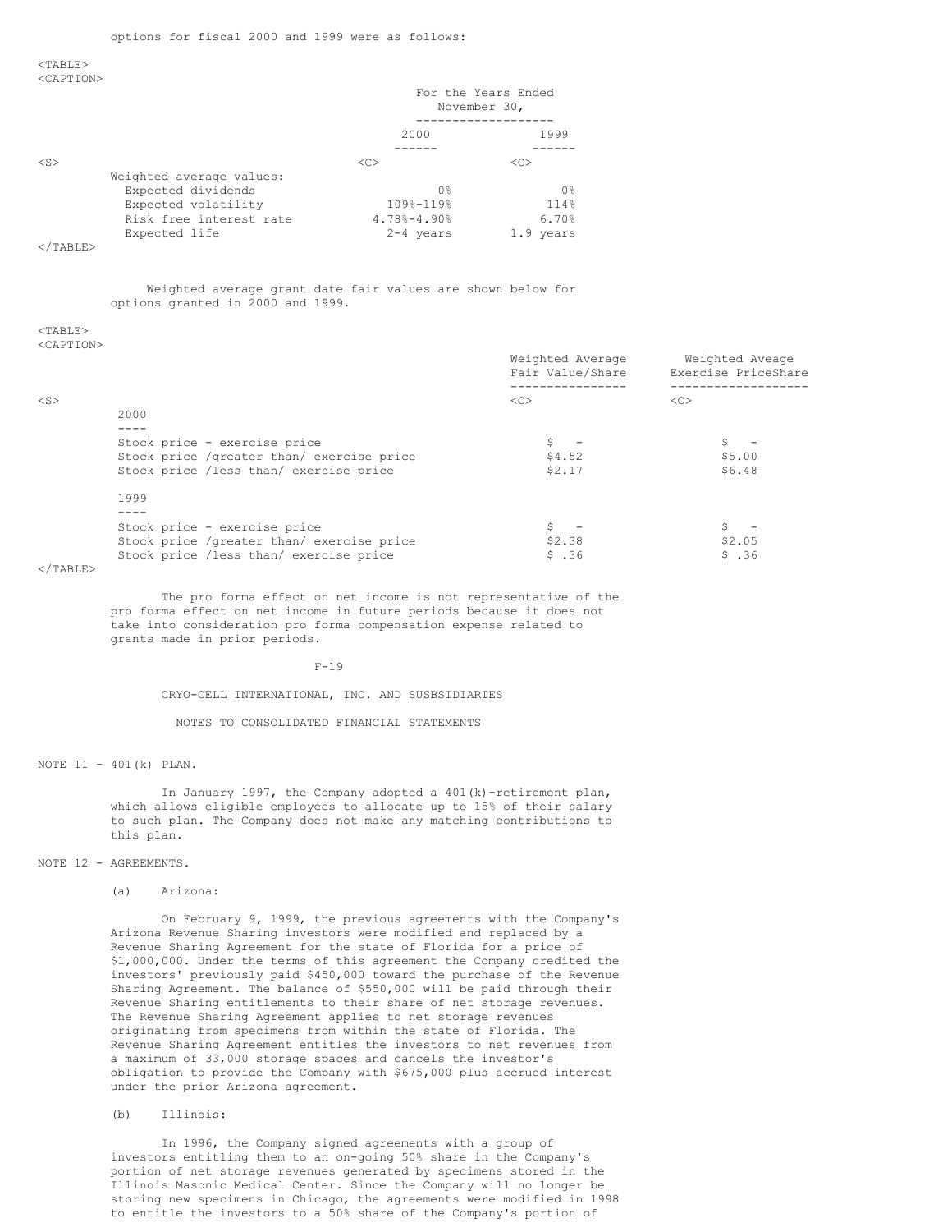#### $<$ TABLE> <CAPTION>

|                          |    | For the Years Ended<br>November 30, |  |
|--------------------------|----|-------------------------------------|--|
|                          |    | 1999<br>2000                        |  |
|                          |    |                                     |  |
| $<$ S $>$                | << | <<                                  |  |
| Weighted average values: |    |                                     |  |
| Expected dividends       |    | 0 <sup>8</sup><br>0 <sup>°</sup>    |  |
| Expected volatility      |    | 109%-119%<br>114%                   |  |
| Risk free interest rate  |    | $4.78% - 4.90%$<br>6.70%            |  |
| Expected life            |    | $2 - 4$ years<br>1.9 years          |  |

## $<$ /TABLE>

Weighted average grant date fair values are shown below for options granted in 2000 and 1999.

# $<$ TABLE>

<CAPTION>

|                             |                                            | Weighted Average<br>Fair Value/Share | Weighted Aveage<br>Exercise PriceShare |
|-----------------------------|--------------------------------------------|--------------------------------------|----------------------------------------|
| $<$ S>                      |                                            | < <sub></sub>                        | <<                                     |
|                             | 2000                                       |                                      |                                        |
|                             | Stock price - exercise price               |                                      |                                        |
|                             | Stock price /greater than/ exercise price  | \$4.52                               | \$5.00                                 |
|                             | Stock price /less than/ exercise price     | \$2.17                               | \$6.48                                 |
|                             | 1999                                       |                                      |                                        |
|                             |                                            |                                      |                                        |
|                             | Stock price - exercise price               |                                      |                                        |
|                             | Stock price / qreater than/ exercise price | \$2.38                               | \$2.05                                 |
|                             | Stock price /less than/ exercise price     | \$.36                                | \$.36                                  |
| $2$ / $m \times n \times m$ |                                            |                                      |                                        |

</TABLE>

The pro forma effect on net income is not representative of the pro forma effect on net income in future periods because it does not take into consideration pro forma compensation expense related to grants made in prior periods.

 $F-19$ 

CRYO-CELL INTERNATIONAL, INC. AND SUSBSIDIARIES

NOTES TO CONSOLIDATED FINANCIAL STATEMENTS

NOTE 11 - 401(k) PLAN.

In January 1997, the Company adopted a 401(k)-retirement plan, which allows eligible employees to allocate up to 15% of their salary to such plan. The Company does not make any matching contributions to this plan.

## NOTE 12 - AGREEMENTS.

(a) Arizona:

On February 9, 1999, the previous agreements with the Company's Arizona Revenue Sharing investors were modified and replaced by a Revenue Sharing Agreement for the state of Florida for a price of \$1,000,000. Under the terms of this agreement the Company credited the investors' previously paid \$450,000 toward the purchase of the Revenue Sharing Agreement. The balance of \$550,000 will be paid through their Revenue Sharing entitlements to their share of net storage revenues. The Revenue Sharing Agreement applies to net storage revenues originating from specimens from within the state of Florida. The Revenue Sharing Agreement entitles the investors to net revenues from a maximum of 33,000 storage spaces and cancels the investor's obligation to provide the Company with \$675,000 plus accrued interest under the prior Arizona agreement.

(b) Illinois:

In 1996, the Company signed agreements with a group of investors entitling them to an on-going 50% share in the Company's portion of net storage revenues generated by specimens stored in the Illinois Masonic Medical Center. Since the Company will no longer be storing new specimens in Chicago, the agreements were modified in 1998 to entitle the investors to a 50% share of the Company's portion of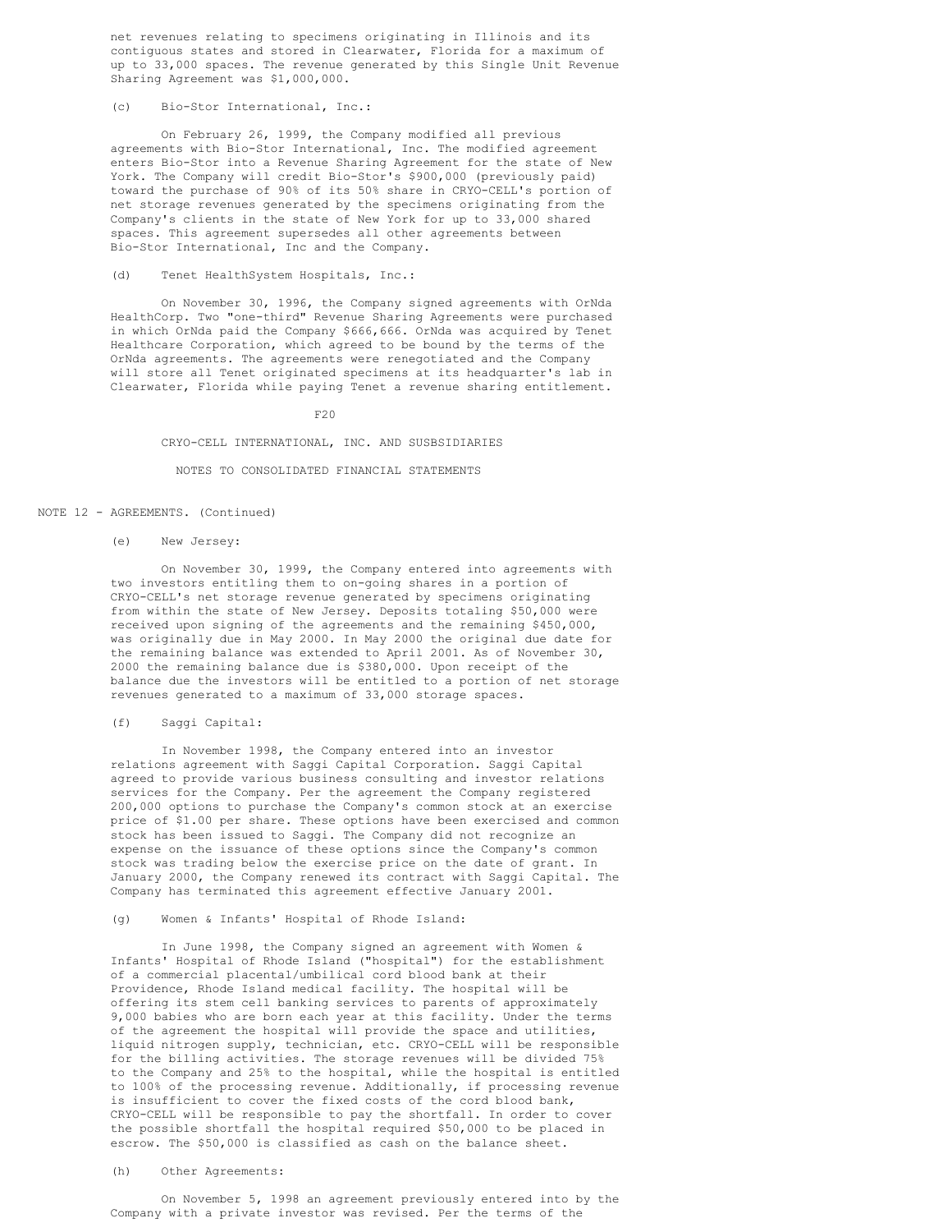net revenues relating to specimens originating in Illinois and its contiguous states and stored in Clearwater, Florida for a maximum of up to 33,000 spaces. The revenue generated by this Single Unit Revenue Sharing Agreement was \$1,000,000.

## (c) Bio-Stor International, Inc.:

On February 26, 1999, the Company modified all previous agreements with Bio-Stor International, Inc. The modified agreement enters Bio-Stor into a Revenue Sharing Agreement for the state of New York. The Company will credit Bio-Stor's \$900,000 (previously paid) toward the purchase of 90% of its 50% share in CRYO-CELL's portion of net storage revenues generated by the specimens originating from the Company's clients in the state of New York for up to 33,000 shared spaces. This agreement supersedes all other agreements between Bio-Stor International, Inc and the Company.

## (d) Tenet HealthSystem Hospitals, Inc.:

On November 30, 1996, the Company signed agreements with OrNda HealthCorp. Two "one-third" Revenue Sharing Agreements were purchased in which OrNda paid the Company \$666,666. OrNda was acquired by Tenet Healthcare Corporation, which agreed to be bound by the terms of the OrNda agreements. The agreements were renegotiated and the Company will store all Tenet originated specimens at its headquarter's lab in Clearwater, Florida while paying Tenet a revenue sharing entitlement.

F20

## CRYO-CELL INTERNATIONAL, INC. AND SUSBSIDIARIES

#### NOTES TO CONSOLIDATED FINANCIAL STATEMENTS

### NOTE 12 - AGREEMENTS. (Continued)

### (e) New Jersey:

On November 30, 1999, the Company entered into agreements with two investors entitling them to on-going shares in a portion of CRYO-CELL's net storage revenue generated by specimens originating from within the state of New Jersey. Deposits totaling \$50,000 were received upon signing of the agreements and the remaining \$450,000, was originally due in May 2000. In May 2000 the original due date for the remaining balance was extended to April 2001. As of November 30, 2000 the remaining balance due is \$380,000. Upon receipt of the balance due the investors will be entitled to a portion of net storage revenues generated to a maximum of 33,000 storage spaces.

#### (f) Saggi Capital:

In November 1998, the Company entered into an investor relations agreement with Saggi Capital Corporation. Saggi Capital agreed to provide various business consulting and investor relations services for the Company. Per the agreement the Company registered 200,000 options to purchase the Company's common stock at an exercise price of \$1.00 per share. These options have been exercised and common stock has been issued to Saggi. The Company did not recognize an expense on the issuance of these options since the Company's common stock was trading below the exercise price on the date of grant. In January 2000, the Company renewed its contract with Saggi Capital. The Company has terminated this agreement effective January 2001.

## (g) Women & Infants' Hospital of Rhode Island:

In June 1998, the Company signed an agreement with Women & Infants' Hospital of Rhode Island ("hospital") for the establishment of a commercial placental/umbilical cord blood bank at their Providence, Rhode Island medical facility. The hospital will be offering its stem cell banking services to parents of approximately 9,000 babies who are born each year at this facility. Under the terms of the agreement the hospital will provide the space and utilities, liquid nitrogen supply, technician, etc. CRYO-CELL will be responsible for the billing activities. The storage revenues will be divided 75% to the Company and 25% to the hospital, while the hospital is entitled to 100% of the processing revenue. Additionally, if processing revenue is insufficient to cover the fixed costs of the cord blood bank, CRYO-CELL will be responsible to pay the shortfall. In order to cover the possible shortfall the hospital required \$50,000 to be placed in escrow. The \$50,000 is classified as cash on the balance sheet.

## (h) Other Agreements:

On November 5, 1998 an agreement previously entered into by the Company with a private investor was revised. Per the terms of the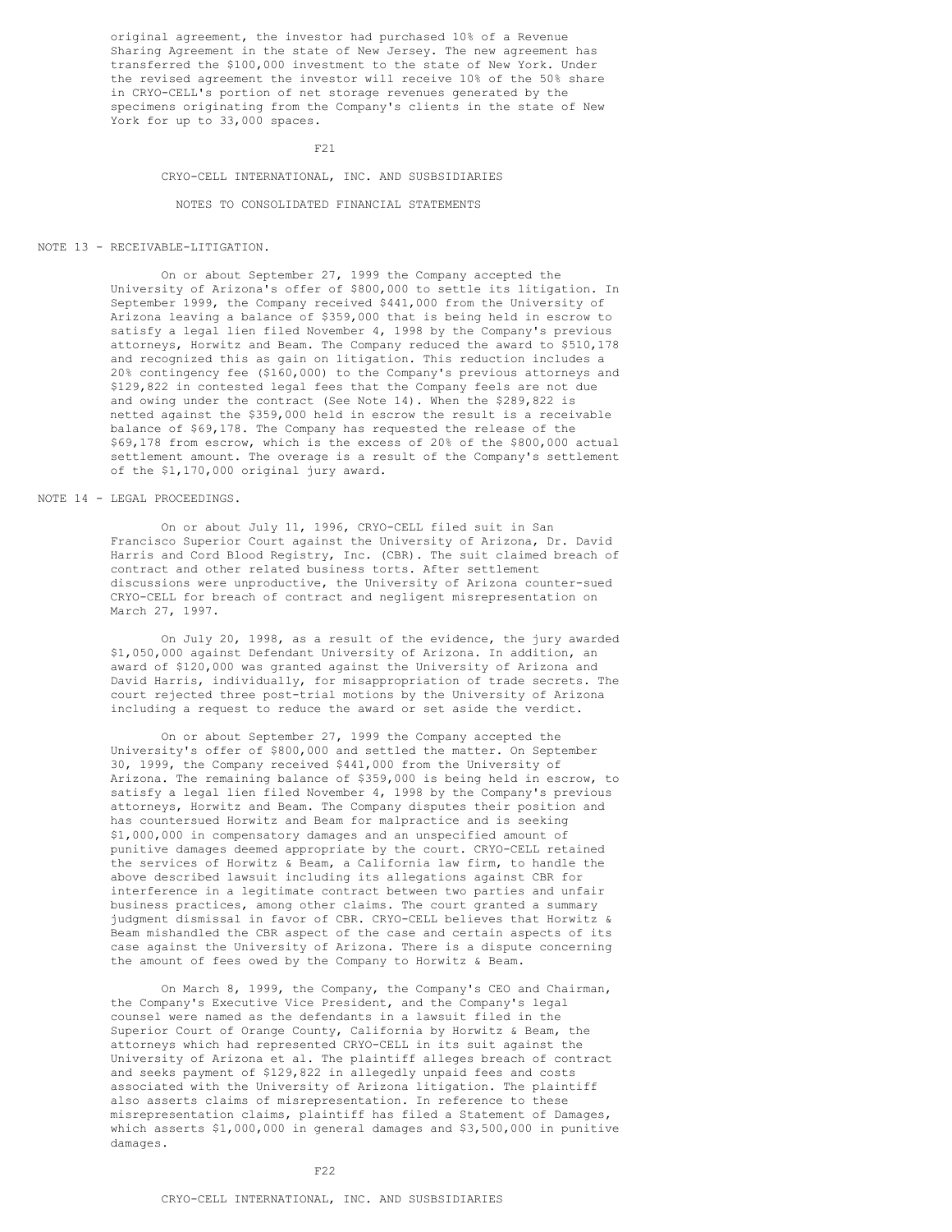original agreement, the investor had purchased 10% of a Revenue Sharing Agreement in the state of New Jersey. The new agreement has transferred the \$100,000 investment to the state of New York. Under the revised agreement the investor will receive 10% of the 50% share in CRYO-CELL's portion of net storage revenues generated by the specimens originating from the Company's clients in the state of New York for up to 33,000 spaces.

F21

### CRYO-CELL INTERNATIONAL, INC. AND SUSBSIDIARIES

NOTES TO CONSOLIDATED FINANCIAL STATEMENTS

#### NOTE 13 - RECEIVABLE-LITIGATION.

On or about September 27, 1999 the Company accepted the University of Arizona's offer of \$800,000 to settle its litigation. In September 1999, the Company received \$441,000 from the University of Arizona leaving a balance of \$359,000 that is being held in escrow to satisfy a legal lien filed November 4, 1998 by the Company's previous attorneys, Horwitz and Beam. The Company reduced the award to \$510,178 and recognized this as gain on litigation. This reduction includes a 20% contingency fee (\$160,000) to the Company's previous attorneys and \$129,822 in contested legal fees that the Company feels are not due and owing under the contract (See Note 14). When the \$289,822 is netted against the \$359,000 held in escrow the result is a receivable balance of \$69,178. The Company has requested the release of the \$69,178 from escrow, which is the excess of 20% of the \$800,000 actual settlement amount. The overage is a result of the Company's settlement of the \$1,170,000 original jury award.

## NOTE 14 - LEGAL PROCEEDINGS.

On or about July 11, 1996, CRYO-CELL filed suit in San Francisco Superior Court against the University of Arizona, Dr. David Harris and Cord Blood Registry, Inc. (CBR). The suit claimed breach of contract and other related business torts. After settlement discussions were unproductive, the University of Arizona counter-sued CRYO-CELL for breach of contract and negligent misrepresentation on March 27, 1997.

On July 20, 1998, as a result of the evidence, the jury awarded \$1,050,000 against Defendant University of Arizona. In addition, an award of \$120,000 was granted against the University of Arizona and David Harris, individually, for misappropriation of trade secrets. The court rejected three post-trial motions by the University of Arizona including a request to reduce the award or set aside the verdict.

On or about September 27, 1999 the Company accepted the University's offer of \$800,000 and settled the matter. On September 30, 1999, the Company received \$441,000 from the University of Arizona. The remaining balance of \$359,000 is being held in escrow, to satisfy a legal lien filed November 4, 1998 by the Company's previous attorneys, Horwitz and Beam. The Company disputes their position and has countersued Horwitz and Beam for malpractice and is seeking \$1,000,000 in compensatory damages and an unspecified amount of punitive damages deemed appropriate by the court. CRYO-CELL retained the services of Horwitz & Beam, a California law firm, to handle the above described lawsuit including its allegations against CBR for interference in a legitimate contract between two parties and unfair business practices, among other claims. The court granted a summary judgment dismissal in favor of CBR. CRYO-CELL believes that Horwitz & Beam mishandled the CBR aspect of the case and certain aspects of its case against the University of Arizona. There is a dispute concerning the amount of fees owed by the Company to Horwitz & Beam.

On March 8, 1999, the Company, the Company's CEO and Chairman, the Company's Executive Vice President, and the Company's legal counsel were named as the defendants in a lawsuit filed in the Superior Court of Orange County, California by Horwitz & Beam, the attorneys which had represented CRYO-CELL in its suit against the University of Arizona et al. The plaintiff alleges breach of contract and seeks payment of \$129,822 in allegedly unpaid fees and costs associated with the University of Arizona litigation. The plaintiff also asserts claims of misrepresentation. In reference to these misrepresentation claims, plaintiff has filed a Statement of Damages, which asserts \$1,000,000 in general damages and \$3,500,000 in punitive damages.

F22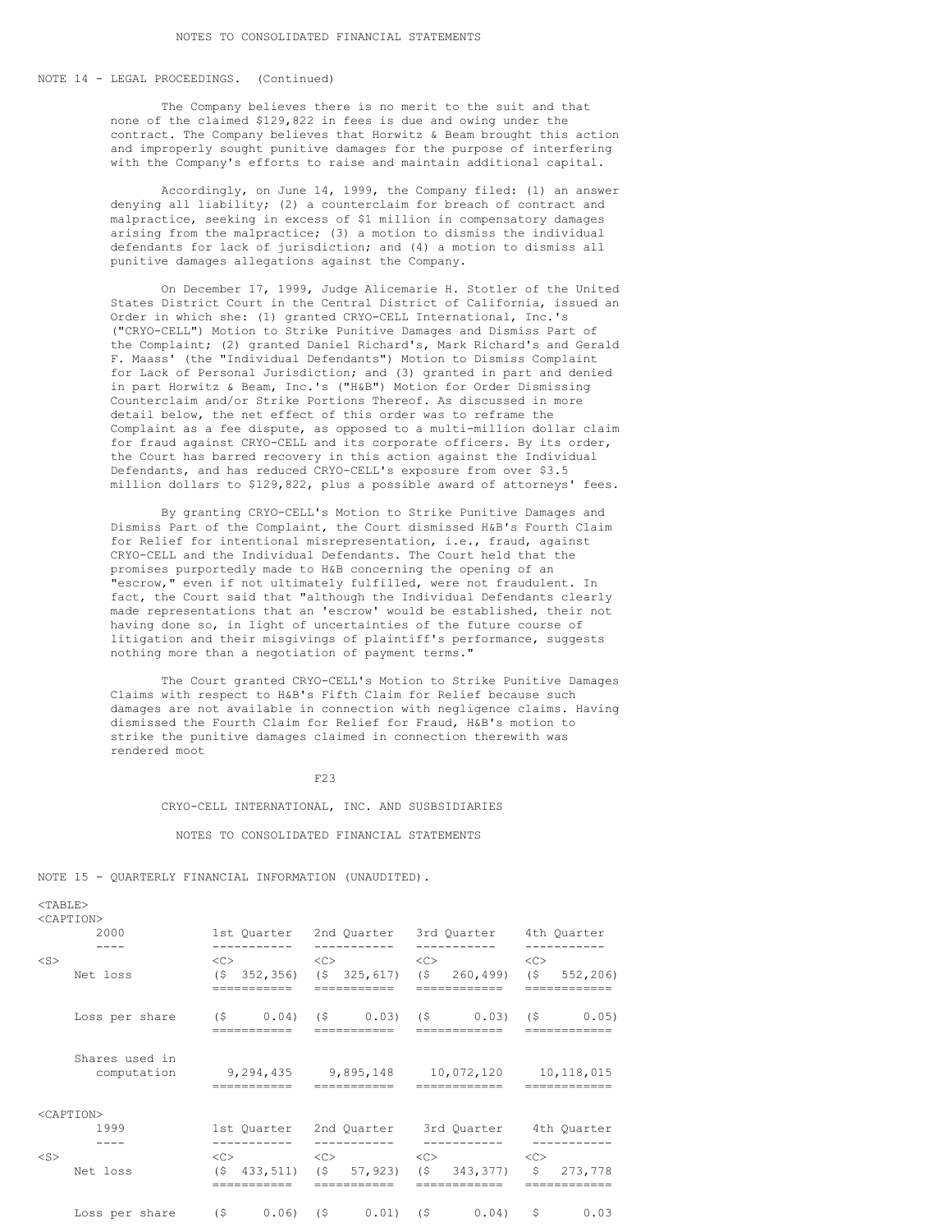## NOTE 14 - LEGAL PROCEEDINGS. (Continued)

The Company believes there is no merit to the suit and that none of the claimed \$129,822 in fees is due and owing under the contract. The Company believes that Horwitz & Beam brought this action and improperly sought punitive damages for the purpose of interfering with the Company's efforts to raise and maintain additional capital.

Accordingly, on June 14, 1999, the Company filed: (1) an answer denying all liability; (2) a counterclaim for breach of contract and malpractice, seeking in excess of \$1 million in compensatory damages arising from the malpractice; (3) a motion to dismiss the individual defendants for lack of jurisdiction; and (4) a motion to dismiss all punitive damages allegations against the Company.

On December 17, 1999, Judge Alicemarie H. Stotler of the United States District Court in the Central District of California, issued an Order in which she: (1) granted CRYO-CELL International, Inc.'s ("CRYO-CELL") Motion to Strike Punitive Damages and Dismiss Part of the Complaint; (2) granted Daniel Richard's, Mark Richard's and Gerald F. Maass' (the "Individual Defendants") Motion to Dismiss Complaint for Lack of Personal Jurisdiction; and (3) granted in part and denied in part Horwitz & Beam, Inc.'s ("H&B") Motion for Order Dismissing Counterclaim and/or Strike Portions Thereof. As discussed in more detail below, the net effect of this order was to reframe the Complaint as a fee dispute, as opposed to a multi-million dollar claim for fraud against CRYO-CELL and its corporate officers. By its order, the Court has barred recovery in this action against the Individual Defendants, and has reduced CRYO-CELL's exposure from over \$3.5 million dollars to \$129,822, plus a possible award of attorneys' fees.

By granting CRYO-CELL's Motion to Strike Punitive Damages and Dismiss Part of the Complaint, the Court dismissed H&B's Fourth Claim for Relief for intentional misrepresentation, i.e., fraud, against CRYO-CELL and the Individual Defendants. The Court held that the promises purportedly made to H&B concerning the opening of an "escrow," even if not ultimately fulfilled, were not fraudulent. In fact, the Court said that "although the Individual Defendants clearly made representations that an 'escrow' would be established, their not having done so, in light of uncertainties of the future course of litigation and their misgivings of plaintiff's performance, suggests nothing more than a negotiation of payment terms."

The Court granted CRYO-CELL's Motion to Strike Punitive Damages Claims with respect to H&B's Fifth Claim for Relief because such damages are not available in connection with negligence claims. Having dismissed the Fourth Claim for Relief for Fraud, H&B's motion to strike the punitive damages claimed in connection therewith was rendered moot

F23

CRYO-CELL INTERNATIONAL, INC. AND SUSBSIDIARIES

NOTES TO CONSOLIDATED FINANCIAL STATEMENTS

NOTE 15 - QUARTERLY FINANCIAL INFORMATION (UNAUDITED).

|           | <caption></caption>                                                    |                                          |                                                             |                                                                |                                    |
|-----------|------------------------------------------------------------------------|------------------------------------------|-------------------------------------------------------------|----------------------------------------------------------------|------------------------------------|
|           | 2000                                                                   | -----------                              | -----------                                                 | 1st Ouarter 2nd Ouarter 3rd Ouarter 4th Ouarter<br>----------- | ---------                          |
| $<$ S $>$ | Net loss                                                               | $\langle C \rangle$<br>(S<br>----------- | $\langle C \rangle$<br>352,356) (\$ 325,617)<br>----------- | $\langle C \rangle$<br>$(5 \t260, 499)$<br>==========          | <<><br>(5, 552, 206)<br>---------- |
|           | Loss per share $(5 \t 0.04)$ $(5 \t 0.03)$ $(5 \t 0.03)$ $(5 \t 0.05)$ |                                          |                                                             |                                                                |                                    |
|           | Shares used in<br>computation                                          |                                          | 9,294,435 9,895,148                                         | 10,072,120                                                     | 10,118,015                         |
|           | <caption></caption>                                                    |                                          |                                                             |                                                                |                                    |
|           | 1999                                                                   |                                          | 1st Quarter 2nd Quarter                                     |                                                                | 3rd Quarter 4th Quarter            |
| $<$ S $>$ | Net loss                                                               | $<\infty$                                | $(5, 433, 511)$ $(5, 57, 923)$                              | $\langle C \rangle$ $\langle C \rangle$<br>$(S \t 343, 377)$   | \$273,778                          |
|           | Loss per share (\$ 0.06) (\$ 0.01) (\$ 0.04) \$                        |                                          |                                                             |                                                                | 0.03                               |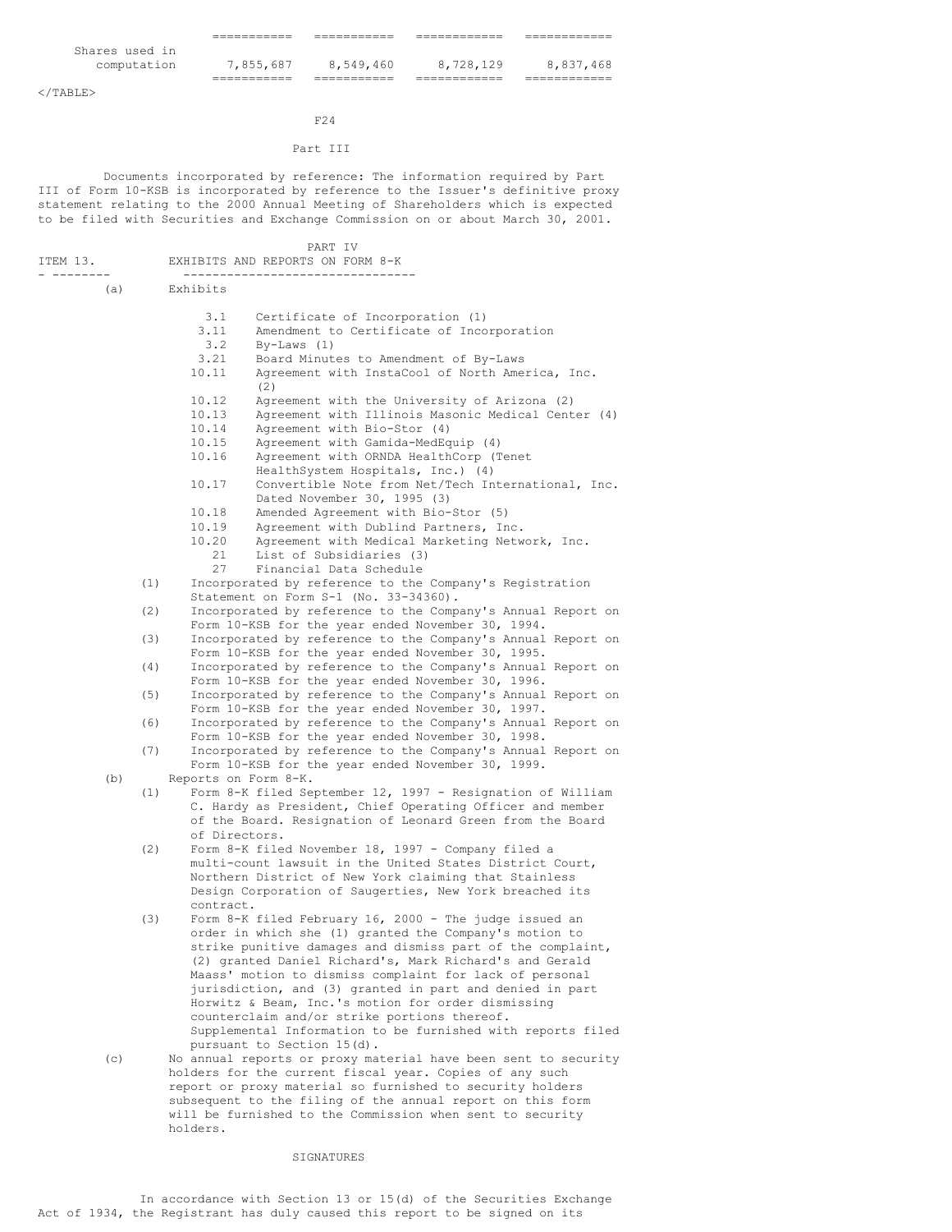|                | __________  | ___________<br>_________ | __________ | ______      |
|----------------|-------------|--------------------------|------------|-------------|
| Shares used in |             |                          |            |             |
| computation    | 7,855,687   | 8,549,460                | 8,728,129  | 8,837,468   |
|                | ___________ | ___________              | __________ | ----------- |

 $<$ /TABLE>

# F24

# Part III

Documents incorporated by reference: The information required by Part III of Form 10-KSB is incorporated by reference to the Issuer's definitive proxy statement relating to the 2000 Annual Meeting of Shareholders which is expected to be filed with Securities and Exchange Commission on or about March 30, 2001.

|          |     |                      | PART IV                                                                                                              |
|----------|-----|----------------------|----------------------------------------------------------------------------------------------------------------------|
| ITEM 13. |     |                      | EXHIBITS AND REPORTS ON FORM 8-K                                                                                     |
|          |     |                      | --------------------------                                                                                           |
|          | (a) | Exhibits             |                                                                                                                      |
|          |     | 3.1                  | Certificate of Incorporation (1)                                                                                     |
|          |     | 3.11                 | Amendment to Certificate of Incorporation                                                                            |
|          |     | 3.2                  | $By-Laws (1)$                                                                                                        |
|          |     | 3.21                 | Board Minutes to Amendment of By-Laws                                                                                |
|          |     | 10.11                | Agreement with InstaCool of North America, Inc.                                                                      |
|          |     |                      | (2)                                                                                                                  |
|          |     | 10.12<br>10.13       | Agreement with the University of Arizona (2)<br>Agreement with Illinois Masonic Medical Center (4)                   |
|          |     | 10.14                | Agreement with Bio-Stor (4)                                                                                          |
|          |     | 10.15                | Agreement with Gamida-MedEquip (4)                                                                                   |
|          |     | 10.16                | Agreement with ORNDA HealthCorp (Tenet                                                                               |
|          |     |                      | HealthSystem Hospitals, Inc.) (4)                                                                                    |
|          |     | 10.17                | Convertible Note from Net/Tech International, Inc.                                                                   |
|          |     |                      | Dated November 30, 1995 (3)                                                                                          |
|          |     | 10.18                | Amended Agreement with Bio-Stor (5)                                                                                  |
|          |     | 10.19<br>10.20       | Agreement with Dublind Partners, Inc.<br>Agreement with Medical Marketing Network, Inc.                              |
|          |     | 21                   | List of Subsidiaries (3)                                                                                             |
|          |     | 27                   | Financial Data Schedule                                                                                              |
|          | (1) |                      | Incorporated by reference to the Company's Registration                                                              |
|          |     |                      | Statement on Form S-1 (No. 33-34360).                                                                                |
|          | (2) |                      | Incorporated by reference to the Company's Annual Report on                                                          |
|          |     |                      | Form 10-KSB for the year ended November 30, 1994.                                                                    |
|          | (3) |                      | Incorporated by reference to the Company's Annual Report on<br>Form 10-KSB for the year ended November 30, 1995.     |
|          | (4) |                      | Incorporated by reference to the Company's Annual Report on                                                          |
|          |     |                      | Form 10-KSB for the year ended November 30, 1996.                                                                    |
|          | (5) |                      | Incorporated by reference to the Company's Annual Report on                                                          |
|          |     |                      | Form 10-KSB for the year ended November 30, 1997.                                                                    |
|          | (6) |                      | Incorporated by reference to the Company's Annual Report on                                                          |
|          |     |                      | Form 10-KSB for the year ended November 30, 1998.                                                                    |
|          | (7) |                      | Incorporated by reference to the Company's Annual Report on<br>Form 10-KSB for the year ended November 30, 1999.     |
|          | (b) | Reports on Form 8-K. |                                                                                                                      |
|          | (1) |                      | Form 8-K filed September 12, 1997 - Resignation of William                                                           |
|          |     |                      | C. Hardy as President, Chief Operating Officer and member                                                            |
|          |     |                      | of the Board. Resignation of Leonard Green from the Board                                                            |
|          |     | of Directors.        |                                                                                                                      |
|          | (2) |                      | Form 8-K filed November 18, 1997 - Company filed a<br>multi-count lawsuit in the United States District Court,       |
|          |     |                      | Northern District of New York claiming that Stainless                                                                |
|          |     |                      | Design Corporation of Saugerties, New York breached its                                                              |
|          |     | contract.            |                                                                                                                      |
|          | (3) |                      | Form 8-K filed February 16, 2000 - The judge issued an                                                               |
|          |     |                      | order in which she (1) granted the Company's motion to                                                               |
|          |     |                      | strike punitive damages and dismiss part of the complaint,                                                           |
|          |     |                      | (2) granted Daniel Richard's, Mark Richard's and Gerald<br>Maass' motion to dismiss complaint for lack of personal   |
|          |     |                      | jurisdiction, and (3) granted in part and denied in part                                                             |
|          |     |                      | Horwitz & Beam, Inc.'s motion for order dismissing                                                                   |
|          |     |                      | counterclaim and/or strike portions thereof.                                                                         |
|          |     |                      | Supplemental Information to be furnished with reports filed                                                          |
|          |     |                      | pursuant to Section 15(d).                                                                                           |
|          | (c) |                      | No annual reports or proxy material have been sent to security                                                       |
|          |     |                      | holders for the current fiscal year. Copies of any such<br>report or proxy material so furnished to security holders |
|          |     |                      | subsequent to the filing of the annual report on this form                                                           |
|          |     |                      | will be furnished to the Commission when sent to security                                                            |
|          |     | holders.             |                                                                                                                      |

## SIGNATURES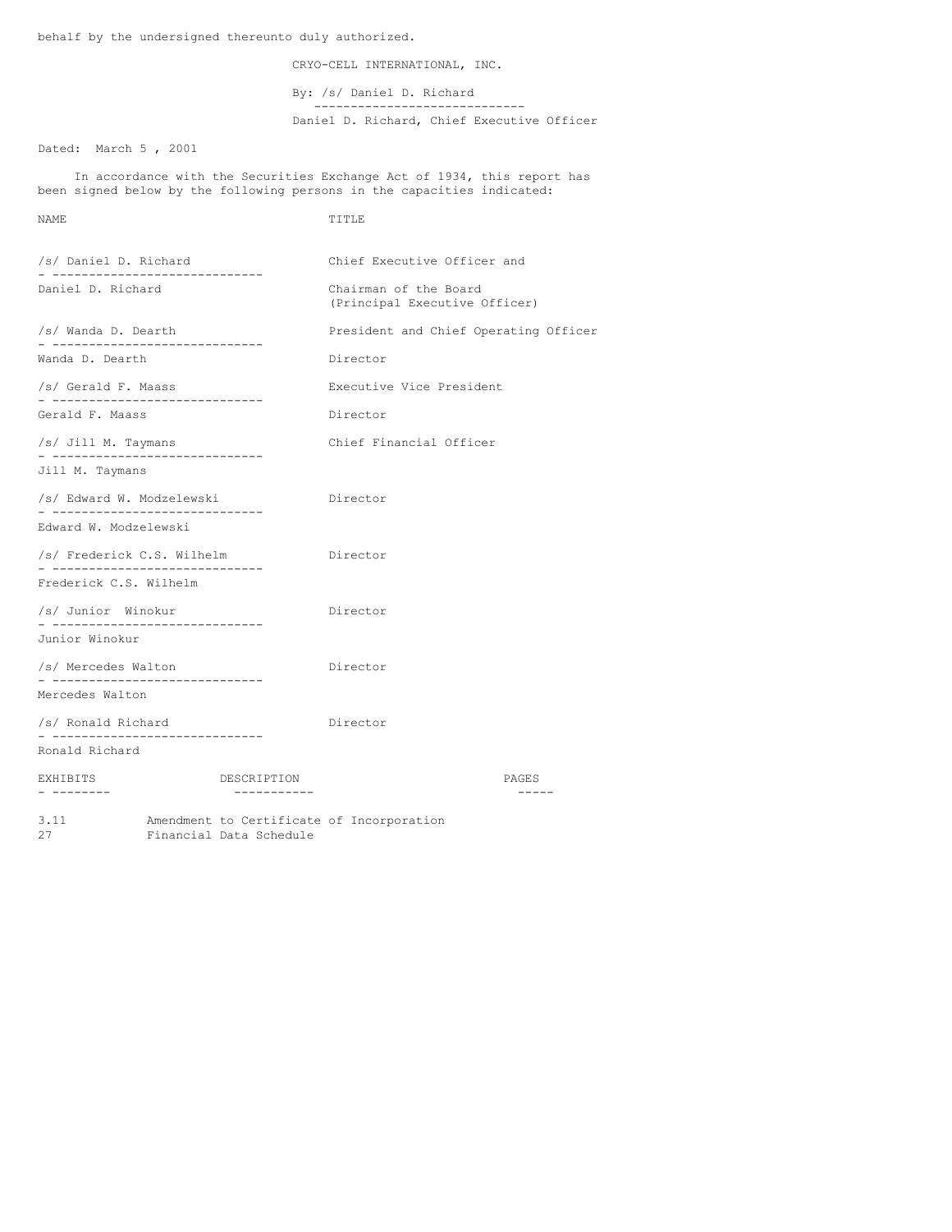behalf by the undersigned thereunto duly authorized.

CRYO-CELL INTERNATIONAL, INC.

By: /s/ Daniel D. Richard -----------------------------

Daniel D. Richard, Chief Executive Officer

Dated: March 5 , 2001

In accordance with the Securities Exchange Act of 1934, this report has been signed below by the following persons in the capacities indicated:

NAME TITLE

| /s/ Daniel D. Richard                                         |  |                         | Chief Executive Officer and                            |       |  |
|---------------------------------------------------------------|--|-------------------------|--------------------------------------------------------|-------|--|
| Daniel D. Richard                                             |  |                         | Chairman of the Board<br>(Principal Executive Officer) |       |  |
| /s/ Wanda D. Dearth<br>- ------------------------------       |  |                         | President and Chief Operating Officer                  |       |  |
| Wanda D. Dearth                                               |  |                         | Director                                               |       |  |
| /s/ Gerald F. Maass<br>- ------------------------------       |  |                         | Executive Vice President                               |       |  |
| Gerald F. Maass                                               |  |                         | Director                                               |       |  |
| /s/ Jill M. Taymans<br>- ------------------------------       |  |                         | Chief Financial Officer                                |       |  |
| Jill M. Taymans                                               |  |                         |                                                        |       |  |
| /s/ Edward W. Modzelewski                                     |  |                         | Director                                               |       |  |
| Edward W. Modzelewski                                         |  |                         |                                                        |       |  |
| /s/ Frederick C.S. Wilhelm<br>- ----------------------------- |  |                         | Director                                               |       |  |
| Frederick C.S. Wilhelm                                        |  |                         |                                                        |       |  |
| /s/ Junior Winokur<br>- ------------------------------        |  |                         | Director                                               |       |  |
| Junior Winokur                                                |  |                         |                                                        |       |  |
| /s/ Mercedes Walton<br>- ------------------------------       |  | Director                |                                                        |       |  |
| Mercedes Walton                                               |  |                         |                                                        |       |  |
| /s/ Ronald Richard<br>- ------------------------------        |  |                         | Director                                               |       |  |
| Ronald Richard                                                |  |                         |                                                        |       |  |
| EXHIBITS                                                      |  | DESCRIPTION             |                                                        | PAGES |  |
| 3.11<br>27                                                    |  | Financial Data Schedule | Amendment to Certificate of Incorporation              |       |  |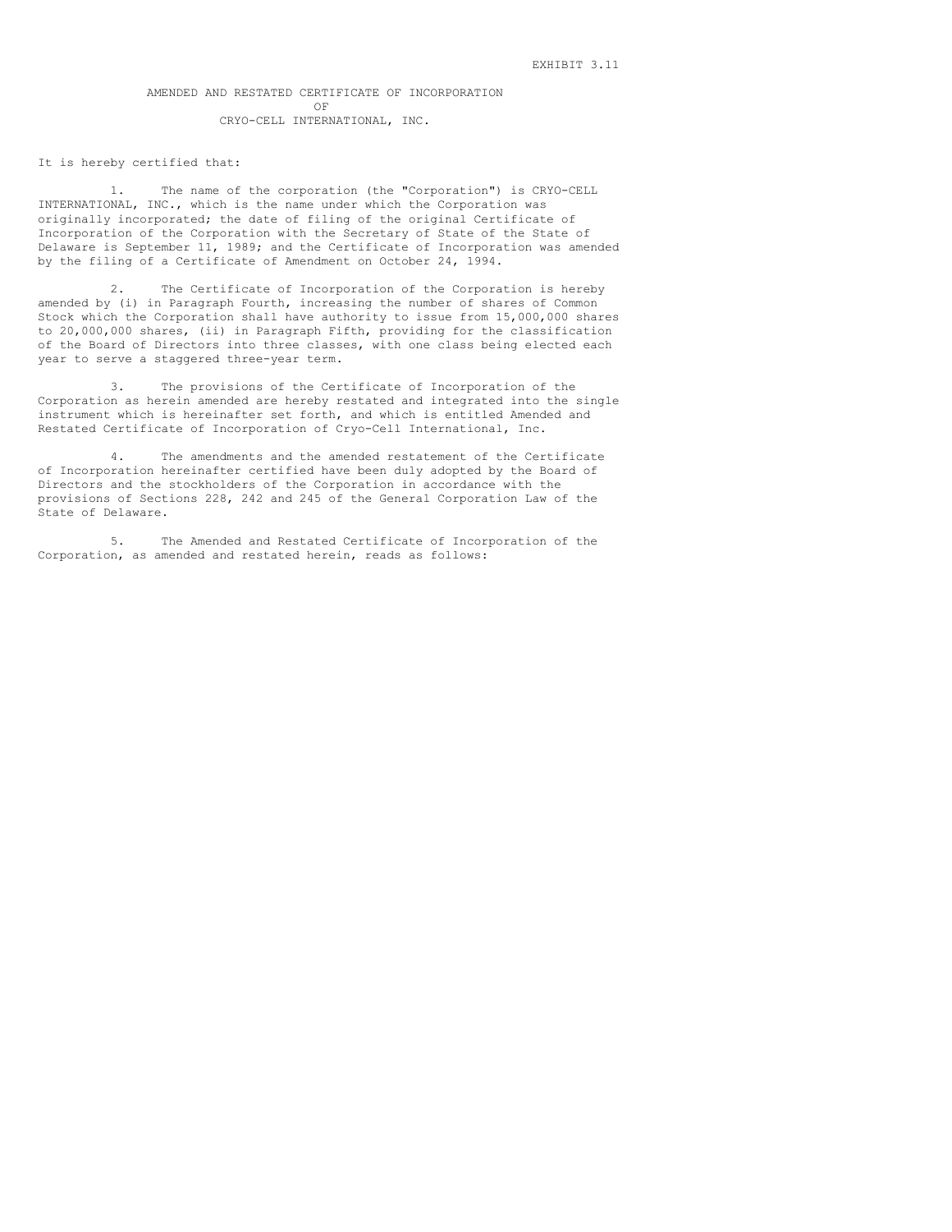## AMENDED AND RESTATED CERTIFICATE OF INCORPORATION OF CRYO-CELL INTERNATIONAL, INC.

#### It is hereby certified that:

1. The name of the corporation (the "Corporation") is CRYO-CELL INTERNATIONAL, INC., which is the name under which the Corporation was originally incorporated; the date of filing of the original Certificate of Incorporation of the Corporation with the Secretary of State of the State of Delaware is September 11, 1989; and the Certificate of Incorporation was amended by the filing of a Certificate of Amendment on October 24, 1994.

2. The Certificate of Incorporation of the Corporation is hereby amended by (i) in Paragraph Fourth, increasing the number of shares of Common Stock which the Corporation shall have authority to issue from 15,000,000 shares to 20,000,000 shares, (ii) in Paragraph Fifth, providing for the classification of the Board of Directors into three classes, with one class being elected each year to serve a staggered three-year term.

3. The provisions of the Certificate of Incorporation of the Corporation as herein amended are hereby restated and integrated into the single instrument which is hereinafter set forth, and which is entitled Amended and Restated Certificate of Incorporation of Cryo-Cell International, Inc.

4. The amendments and the amended restatement of the Certificate of Incorporation hereinafter certified have been duly adopted by the Board of Directors and the stockholders of the Corporation in accordance with the provisions of Sections 228, 242 and 245 of the General Corporation Law of the State of Delaware.

5. The Amended and Restated Certificate of Incorporation of the Corporation, as amended and restated herein, reads as follows: